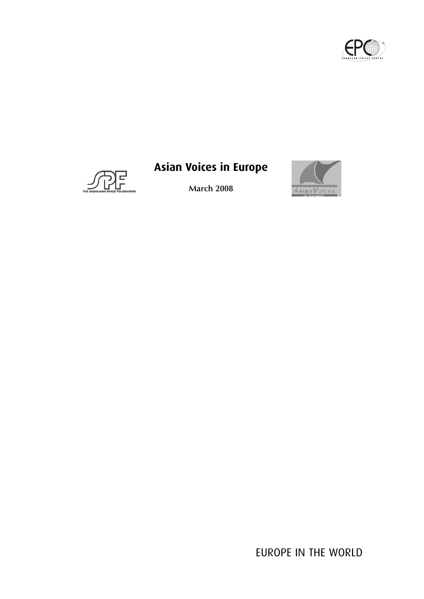



# **Asian Voices in Europe**

**March 2008**



EUROPE IN THE WORLD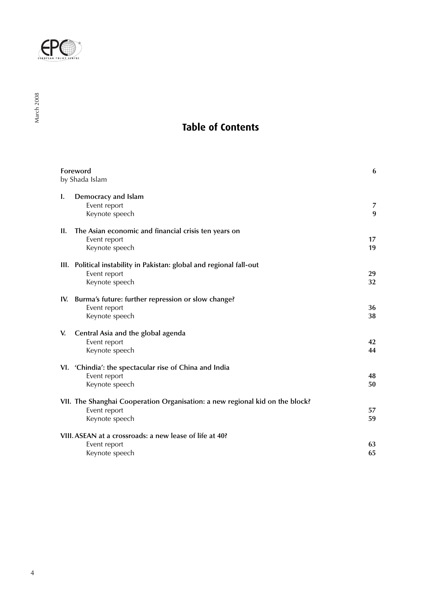

# **Table of Contents**

|     | Foreword<br>by Shada Islam                                                                                     | 6        |
|-----|----------------------------------------------------------------------------------------------------------------|----------|
| Ι.  | Democracy and Islam<br>Event report<br>Keynote speech                                                          | 7<br>9   |
| H.  | The Asian economic and financial crisis ten years on<br>Event report<br>Keynote speech                         | 17<br>19 |
|     | III. Political instability in Pakistan: global and regional fall-out<br>Event report<br>Keynote speech         | 29<br>32 |
| IV. | Burma's future: further repression or slow change?<br>Event report<br>Keynote speech                           | 36<br>38 |
| V.  | Central Asia and the global agenda<br>Event report<br>Keynote speech                                           | 42<br>44 |
|     | VI. 'Chindia': the spectacular rise of China and India<br>Event report<br>Keynote speech                       | 48<br>50 |
|     | VII. The Shanghai Cooperation Organisation: a new regional kid on the block?<br>Event report<br>Keynote speech | 57<br>59 |
|     | VIII. ASEAN at a crossroads: a new lease of life at 40?<br>Event report<br>Keynote speech                      | 63<br>65 |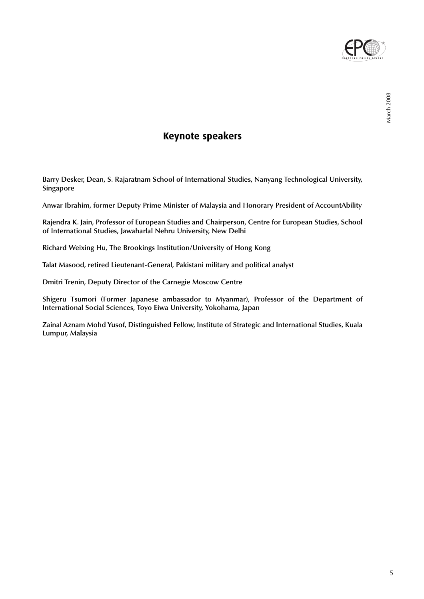

# **Keynote speakers**

**Barry Desker, Dean, S. Rajaratnam School of International Studies, Nanyang Technological University, Singapore**

**Anwar Ibrahim, former Deputy Prime Minister of Malaysia and Honorary President of AccountAbility**

**Rajendra K. Jain, Professor of European Studies and Chairperson, Centre for European Studies, School of International Studies, Jawaharlal Nehru University, New Delhi**

**Richard Weixing Hu, The Brookings Institution/University of Hong Kong**

**Talat Masood, retired Lieutenant-General, Pakistani military and political analyst**

**Dmitri Trenin, Deputy Director of the Carnegie Moscow Centre**

**Shigeru Tsumori (Former Japanese ambassador to Myanmar), Professor of the Department of International Social Sciences, Toyo Eiwa University, Yokohama, Japan**

**Zainal Aznam Mohd Yusof, Distinguished Fellow, Institute of Strategic and International Studies, Kuala Lumpur, Malaysia**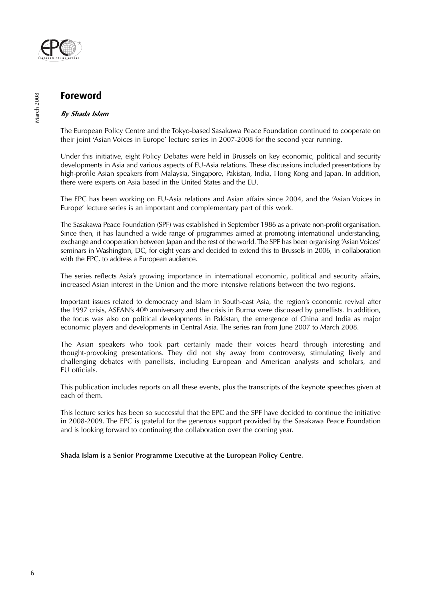

# **Foreword**

# **By Shada Islam**

The European Policy Centre and the Tokyo-based Sasakawa Peace Foundation continued to cooperate on their joint 'Asian Voices in Europe' lecture series in 2007-2008 for the second year running.

Under this initiative, eight Policy Debates were held in Brussels on key economic, political and security developments in Asia and various aspects of EU-Asia relations. These discussions included presentations by high-profile Asian speakers from Malaysia, Singapore, Pakistan, India, Hong Kong and Japan. In addition, there were experts on Asia based in the United States and the EU.

The EPC has been working on EU-Asia relations and Asian affairs since 2004, and the 'Asian Voices in Europe' lecture series is an important and complementary part of this work.

The Sasakawa Peace Foundation (SPF) was established in September 1986 as a private non-profit organisation. Since then, it has launched a wide range of programmes aimed at promoting international understanding, exchange and cooperation between Japan and the rest of the world. The SPF has been organising 'Asian Voices' seminars in Washington, DC, for eight years and decided to extend this to Brussels in 2006, in collaboration with the EPC, to address a European audience.

The series reflects Asia's growing importance in international economic, political and security affairs, increased Asian interest in the Union and the more intensive relations between the two regions.

Important issues related to democracy and Islam in South-east Asia, the region's economic revival after the 1997 crisis, ASEAN's 40<sup>th</sup> anniversary and the crisis in Burma were discussed by panellists. In addition, the focus was also on political developments in Pakistan, the emergence of China and India as major economic players and developments in Central Asia. The series ran from June 2007 to March 2008.

The Asian speakers who took part certainly made their voices heard through interesting and thought-provoking presentations. They did not shy away from controversy, stimulating lively and challenging debates with panellists, including European and American analysts and scholars, and EU officials.

This publication includes reports on all these events, plus the transcripts of the keynote speeches given at each of them.

This lecture series has been so successful that the EPC and the SPF have decided to continue the initiative in 2008-2009. The EPC is grateful for the generous support provided by the Sasakawa Peace Foundation and is looking forward to continuing the collaboration over the coming year.

**Shada Islam is a Senior Programme Executive at the European Policy Centre.**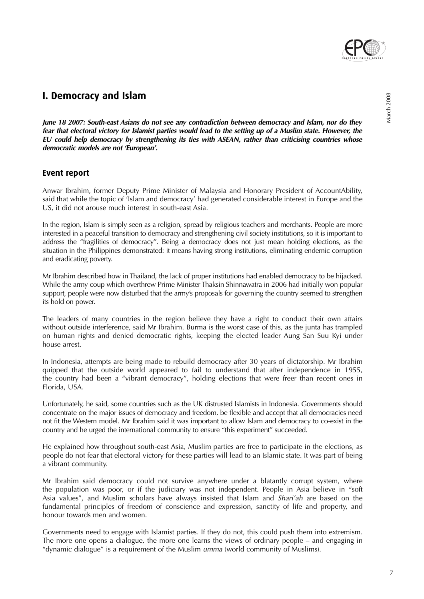

**June 18 2007: South-east Asians do not see any contradiction between democracy and Islam, nor do they fear that electoral victory for Islamist parties would lead to the setting up of a Muslim state. However, the EU could help democracy by strengthening its ties with ASEAN, rather than criticising countries whose democratic models are not 'European'.**

# **Event report**

Anwar Ibrahim, former Deputy Prime Minister of Malaysia and Honorary President of AccountAbility, said that while the topic of 'Islam and democracy' had generated considerable interest in Europe and the US, it did not arouse much interest in south-east Asia.

In the region, Islam is simply seen as a religion, spread by religious teachers and merchants. People are more interested in a peaceful transition to democracy and strengthening civil society institutions, so it is important to address the "fragilities of democracy". Being a democracy does not just mean holding elections, as the situation in the Philippines demonstrated: it means having strong institutions, eliminating endemic corruption and eradicating poverty.

Mr Ibrahim described how in Thailand, the lack of proper institutions had enabled democracy to be hijacked. While the army coup which overthrew Prime Minister Thaksin Shinnawatra in 2006 had initially won popular support, people were now disturbed that the army's proposals for governing the country seemed to strengthen its hold on power.

The leaders of many countries in the region believe they have a right to conduct their own affairs without outside interference, said Mr Ibrahim. Burma is the worst case of this, as the junta has trampled on human rights and denied democratic rights, keeping the elected leader Aung San Suu Kyi under house arrest.

In Indonesia, attempts are being made to rebuild democracy after 30 years of dictatorship. Mr Ibrahim quipped that the outside world appeared to fail to understand that after independence in 1955, the country had been a "vibrant democracy", holding elections that were freer than recent ones in Florida, USA.

Unfortunately, he said, some countries such as the UK distrusted Islamists in Indonesia. Governments should concentrate on the major issues of democracy and freedom, be flexible and accept that all democracies need not fit the Western model. Mr Ibrahim said it was important to allow Islam and democracy to co-exist in the country and he urged the international community to ensure "this experiment" succeeded.

He explained how throughout south-east Asia, Muslim parties are free to participate in the elections, as people do not fear that electoral victory for these parties will lead to an Islamic state. It was part of being a vibrant community.

Mr Ibrahim said democracy could not survive anywhere under a blatantly corrupt system, where the population was poor, or if the judiciary was not independent. People in Asia believe in "soft Asia values", and Muslim scholars have always insisted that Islam and Shari'ah are based on the fundamental principles of freedom of conscience and expression, sanctity of life and property, and honour towards men and women.

Governments need to engage with Islamist parties. If they do not, this could push them into extremism. The more one opens a dialogue, the more one learns the views of ordinary people – and engaging in "dynamic dialogue" is a requirement of the Muslim umma (world community of Muslims).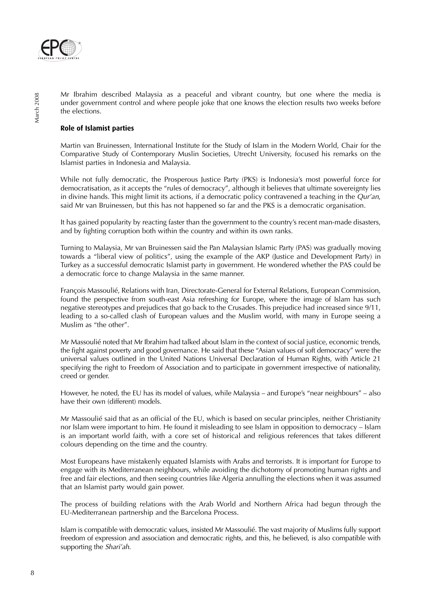

Mr Ibrahim described Malaysia as a peaceful and vibrant country, but one where the media is under government control and where people joke that one knows the election results two weeks before the elections.

# **Role of Islamist parties**

Martin van Bruinessen, International Institute for the Study of Islam in the Modern World, Chair for the Comparative Study of Contemporary Muslin Societies, Utrecht University, focused his remarks on the Islamist parties in Indonesia and Malaysia.

While not fully democratic, the Prosperous Justice Party (PKS) is Indonesia's most powerful force for democratisation, as it accepts the "rules of democracy", although it believes that ultimate sovereignty lies in divine hands. This might limit its actions, if a democratic policy contravened a teaching in the  $Qur'an$ , said Mr van Bruinessen, but this has not happened so far and the PKS is a democratic organisation.

It has gained popularity by reacting faster than the government to the country's recent man-made disasters, and by fighting corruption both within the country and within its own ranks.

Turning to Malaysia, Mr van Bruinessen said the Pan Malaysian Islamic Party (PAS) was gradually moving towards a "liberal view of politics", using the example of the AKP (Justice and Development Party) in Turkey as a successful democratic Islamist party in government. He wondered whether the PAS could be a democratic force to change Malaysia in the same manner.

François Massoulié, Relations with Iran, Directorate-General for External Relations, European Commission, found the perspective from south-east Asia refreshing for Europe, where the image of Islam has such negative stereotypes and prejudices that go back to the Crusades. This prejudice had increased since 9/11, leading to a so-called clash of European values and the Muslim world, with many in Europe seeing a Muslim as "the other".

Mr Massoulié noted that Mr Ibrahim had talked about Islam in the context of social justice, economic trends, the fight against poverty and good governance. He said that these "Asian values of soft democracy" were the universal values outlined in the United Nations Universal Declaration of Human Rights, with Article 21 specifying the right to Freedom of Association and to participate in government irrespective of nationality, creed or gender.

However, he noted, the EU has its model of values, while Malaysia – and Europe's "near neighbours" – also have their own (different) models.

Mr Massoulié said that as an official of the EU, which is based on secular principles, neither Christianity nor Islam were important to him. He found it misleading to see Islam in opposition to democracy – Islam is an important world faith, with a core set of historical and religious references that takes different colours depending on the time and the country.

Most Europeans have mistakenly equated Islamists with Arabs and terrorists. It is important for Europe to engage with its Mediterranean neighbours, while avoiding the dichotomy of promoting human rights and free and fair elections, and then seeing countries like Algeria annulling the elections when it was assumed that an Islamist party would gain power.

The process of building relations with the Arab World and Northern Africa had begun through the EU-Mediterranean partnership and the Barcelona Process.

Islam is compatible with democratic values, insisted Mr Massoulié. The vast majority of Muslims fully support freedom of expression and association and democratic rights, and this, he believed, is also compatible with supporting the Shari'ah.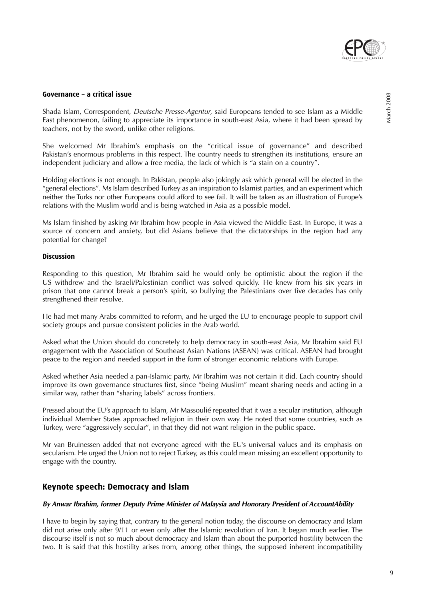

### **Governance – a critical issue**

Shada Islam, Correspondent, Deutsche Presse-Agentur, said Europeans tended to see Islam as a Middle East phenomenon, failing to appreciate its importance in south-east Asia, where it had been spread by teachers, not by the sword, unlike other religions.

She welcomed Mr Ibrahim's emphasis on the "critical issue of governance" and described Pakistan's enormous problems in this respect. The country needs to strengthen its institutions, ensure an independent judiciary and allow a free media, the lack of which is "a stain on a country".

Holding elections is not enough. In Pakistan, people also jokingly ask which general will be elected in the "general elections". Ms Islam described Turkey as an inspiration to Islamist parties, and an experiment which neither the Turks nor other Europeans could afford to see fail. It will be taken as an illustration of Europe's relations with the Muslim world and is being watched in Asia as a possible model.

Ms Islam finished by asking Mr Ibrahim how people in Asia viewed the Middle East. In Europe, it was a source of concern and anxiety, but did Asians believe that the dictatorships in the region had any potential for change?

### **Discussion**

Responding to this question, Mr Ibrahim said he would only be optimistic about the region if the US withdrew and the Israeli/Palestinian conflict was solved quickly. He knew from his six years in prison that one cannot break a person's spirit, so bullying the Palestinians over five decades has only strengthened their resolve.

He had met many Arabs committed to reform, and he urged the EU to encourage people to support civil society groups and pursue consistent policies in the Arab world.

Asked what the Union should do concretely to help democracy in south-east Asia, Mr Ibrahim said EU engagement with the Association of Southeast Asian Nations (ASEAN) was critical. ASEAN had brought peace to the region and needed support in the form of stronger economic relations with Europe.

Asked whether Asia needed a pan-Islamic party, Mr Ibrahim was not certain it did. Each country should improve its own governance structures first, since "being Muslim" meant sharing needs and acting in a similar way, rather than "sharing labels" across frontiers.

Pressed about the EU's approach to Islam, Mr Massoulié repeated that it was a secular institution, although individual Member States approached religion in their own way. He noted that some countries, such as Turkey, were "aggressively secular", in that they did not want religion in the public space.

Mr van Bruinessen added that not everyone agreed with the EU's universal values and its emphasis on secularism. He urged the Union not to reject Turkey, as this could mean missing an excellent opportunity to engage with the country.

# **Keynote speech: Democracy and Islam**

### **By Anwar Ibrahim, former Deputy Prime Minister of Malaysia and Honorary President of AccountAbility**

I have to begin by saying that, contrary to the general notion today, the discourse on democracy and Islam did not arise only after 9/11 or even only after the Islamic revolution of Iran. It began much earlier. The discourse itself is not so much about democracy and Islam than about the purported hostility between the two. It is said that this hostility arises from, among other things, the supposed inherent incompatibility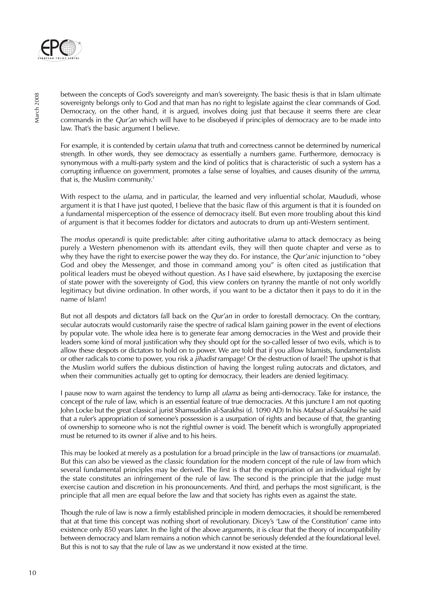

between the concepts of God's sovereignty and man's sovereignty. The basic thesis is that in Islam ultimate sovereignty belongs only to God and that man has no right to legislate against the clear commands of God. Democracy, on the other hand, it is argued, involves doing just that because it seems there are clear commands in the Qur'an which will have to be disobeyed if principles of democracy are to be made into law. That's the basic argument I believe.

For example, it is contended by certain *ulama* that truth and correctness cannot be determined by numerical strength. In other words, they see democracy as essentially a numbers game. Furthermore, democracy is synonymous with a multi-party system and the kind of politics that is characteristic of such a system has a corrupting influence on government, promotes a false sense of loyalties, and causes disunity of the umma, that is, the Muslim community.<sup>1</sup>

With respect to the *ulama*, and in particular, the learned and very influential scholar, Maududi, whose argument it is that I have just quoted, I believe that the basic flaw of this argument is that it is founded on a fundamental misperception of the essence of democracy itself. But even more troubling about this kind of argument is that it becomes fodder for dictators and autocrats to drum up anti-Western sentiment.

The *modus operandi* is quite predictable: after citing authoritative *ulama* to attack democracy as being purely a Western phenomenon with its attendant evils, they will then quote chapter and verse as to why they have the right to exercise power the way they do. For instance, the *Qur'anic* injunction to "obey" God and obey the Messenger, and those in command among you" is often cited as justification that political leaders must be obeyed without question. As I have said elsewhere, by juxtaposing the exercise of state power with the sovereignty of God, this view confers on tyranny the mantle of not only worldly legitimacy but divine ordination. In other words, if you want to be a dictator then it pays to do it in the name of Islam!

But not all despots and dictators fall back on the Qur'an in order to forestall democracy. On the contrary, secular autocrats would customarily raise the spectre of radical Islam gaining power in the event of elections by popular vote. The whole idea here is to generate fear among democracies in the West and provide their leaders some kind of moral justification why they should opt for the so-called lesser of two evils, which is to allow these despots or dictators to hold on to power. We are told that if you allow Islamists, fundamentalists or other radicals to come to power, you risk a jihadist rampage! Or the destruction of Israel! The upshot is that the Muslim world suffers the dubious distinction of having the longest ruling autocrats and dictators, and when their communities actually get to opting for democracy, their leaders are denied legitimacy.

I pause now to warn against the tendency to lump all *ulama* as being anti-democracy. Take for instance, the concept of the rule of law, which is an essential feature of true democracies. At this juncture I am not quoting John Locke but the great classical jurist Shamsuddin al-Sarakhsi (d. 1090 AD) In his Mabsut al-Sarakhsi he said that a ruler's appropriation of someone's possession is a usurpation of rights and because of that, the granting of ownership to someone who is not the rightful owner is void. The benefit which is wrongfully appropriated must be returned to its owner if alive and to his heirs.

This may be looked at merely as a postulation for a broad principle in the law of transactions (or *muamalat*). But this can also be viewed as the classic foundation for the modern concept of the rule of law from which several fundamental principles may be derived. The first is that the expropriation of an individual right by the state constitutes an infringement of the rule of law. The second is the principle that the judge must exercise caution and discretion in his pronouncements. And third, and perhaps the most significant, is the principle that all men are equal before the law and that society has rights even as against the state.

Though the rule of law is now a firmly established principle in modern democracies, it should be remembered that at that time this concept was nothing short of revolutionary. Dicey's 'Law of the Constitution' came into existence only 850 years later. In the light of the above arguments, it is clear that the theory of incompatibility between democracy and Islam remains a notion which cannot be seriously defended at the foundational level. But this is not to say that the rule of law as we understand it now existed at the time.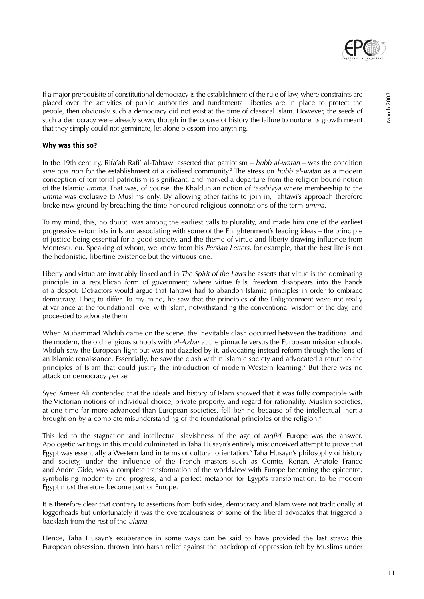

If a major prerequisite of constitutional democracy is the establishment of the rule of law, where constraints are placed over the activities of public authorities and fundamental liberties are in place to protect the people, then obviously such a democracy did not exist at the time of classical Islam. However, the seeds of such a democracy were already sown, though in the course of history the failure to nurture its growth meant that they simply could not germinate, let alone blossom into anything.

# **Why was this so?**

In the 19th century, Rifa'ah Rafi' al-Tahtawi asserted that patriotism – hubb al-watan – was the condition sine qua non for the establishment of a civilised community.<sup>2</sup> The stress on *hubb al-watan* as a modern conception of territorial patriotism is significant, and marked a departure from the religion-bound notion of the Islamic umma. That was, of course, the Khaldunian notion of 'asabiyya where membership to the umma was exclusive to Muslims only. By allowing other faiths to join in, Tahtawi's approach therefore broke new ground by breaching the time honoured religious connotations of the term umma.

To my mind, this, no doubt, was among the earliest calls to plurality, and made him one of the earliest progressive reformists in Islam associating with some of the Enlightenment's leading ideas – the principle of justice being essential for a good society, and the theme of virtue and liberty drawing influence from Montesquieu. Speaking of whom, we know from his Persian Letters, for example, that the best life is not the hedonistic, libertine existence but the virtuous one.

Liberty and virtue are invariably linked and in The Spirit of the Laws he asserts that virtue is the dominating principle in a republican form of government; where virtue fails, freedom disappears into the hands of a despot. Detractors would argue that Tahtawi had to abandon Islamic principles in order to embrace democracy. I beg to differ. To my mind, he saw that the principles of the Enlightenment were not really at variance at the foundational level with Islam, notwithstanding the conventional wisdom of the day, and proceeded to advocate them.

When Muhammad 'Abduh came on the scene, the inevitable clash occurred between the traditional and the modern, the old religious schools with al-Azhar at the pinnacle versus the European mission schools. 'Abduh saw the European light but was not dazzled by it, advocating instead reform through the lens of an Islamic renaissance. Essentially, he saw the clash within Islamic society and advocated a return to the principles of Islam that could justify the introduction of modern Western learning.<sup>3</sup> But there was no attack on democracy per se.

Syed Ameer Ali contended that the ideals and history of Islam showed that it was fully compatible with the Victorian notions of individual choice, private property, and regard for rationality. Muslim societies, at one time far more advanced than European societies, fell behind because of the intellectual inertia brought on by a complete misunderstanding of the foundational principles of the religion.<sup>4</sup>

This led to the stagnation and intellectual slavishness of the age of taglid. Europe was the answer. Apologetic writings in this mould culminated in Taha Husayn's entirely misconceived attempt to prove that Egypt was essentially a Western land in terms of cultural orientation.<sup>5</sup> Taha Husayn's philosophy of history and society, under the influence of the French masters such as Comte, Renan, Anatole France and Andre Gide, was a complete transformation of the worldview with Europe becoming the epicentre, symbolising modernity and progress, and a perfect metaphor for Egypt's transformation: to be modern Egypt must therefore become part of Europe.

It is therefore clear that contrary to assertions from both sides, democracy and Islam were not traditionally at loggerheads but unfortunately it was the overzealousness of some of the liberal advocates that triggered a backlash from the rest of the ulama.

Hence, Taha Husayn's exuberance in some ways can be said to have provided the last straw; this European obsession, thrown into harsh relief against the backdrop of oppression felt by Muslims under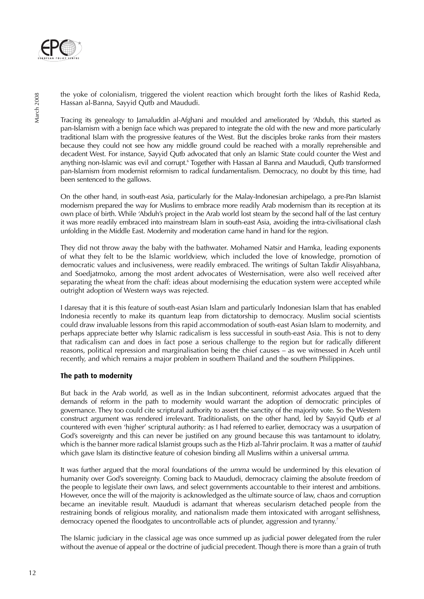

the yoke of colonialism, triggered the violent reaction which brought forth the likes of Rashid Reda, Hassan al-Banna, Sayyid Qutb and Maududi.

Tracing its genealogy to Jamaluddin al-Afghani and moulded and ameliorated by 'Abduh, this started as pan-Islamism with a benign face which was prepared to integrate the old with the new and more particularly traditional Islam with the progressive features of the West. But the disciples broke ranks from their masters because they could not see how any middle ground could be reached with a morally reprehensible and decadent West. For instance, Sayyid Qutb advocated that only an Islamic State could counter the West and anything non-Islamic was evil and corrupt.<sup>6</sup> Together with Hassan al Banna and Maududi, Qutb transformed pan-Islamism from modernist reformism to radical fundamentalism. Democracy, no doubt by this time, had been sentenced to the gallows.

On the other hand, in south-east Asia, particularly for the Malay-Indonesian archipelago, a pre-Pan Islamist modernism prepared the way for Muslims to embrace more readily Arab modernism than its reception at its own place of birth. While 'Abduh's project in the Arab world lost steam by the second half of the last century it was more readily embraced into mainstream Islam in south-east Asia, avoiding the intra-civilisational clash unfolding in the Middle East. Modernity and moderation came hand in hand for the region.

They did not throw away the baby with the bathwater. Mohamed Natsir and Hamka, leading exponents of what they felt to be the Islamic worldview, which included the love of knowledge, promotion of democratic values and inclusiveness, were readily embraced. The writings of Sultan Takdir Alisyahbana, and Soedjatmoko, among the most ardent advocates of Westernisation, were also well received after separating the wheat from the chaff: ideas about modernising the education system were accepted while outright adoption of Western ways was rejected.

I daresay that it is this feature of south-east Asian Islam and particularly Indonesian Islam that has enabled Indonesia recently to make its quantum leap from dictatorship to democracy. Muslim social scientists could draw invaluable lessons from this rapid accommodation of south-east Asian Islam to modernity, and perhaps appreciate better why Islamic radicalism is less successful in south-east Asia. This is not to deny that radicalism can and does in fact pose a serious challenge to the region but for radically different reasons, political repression and marginalisation being the chief causes – as we witnessed in Aceh until recently, and which remains a major problem in southern Thailand and the southern Philippines.

# **The path to modernity**

But back in the Arab world, as well as in the Indian subcontinent, reformist advocates argued that the demands of reform in the path to modernity would warrant the adoption of democratic principles of governance. They too could cite scriptural authority to assert the sanctity of the majority vote. So the Western construct argument was rendered irrelevant. Traditionalists, on the other hand, led by Sayyid Qutb et al countered with even 'higher' scriptural authority: as I had referred to earlier, democracy was a usurpation of God's sovereignty and this can never be justified on any ground because this was tantamount to idolatry, which is the banner more radical Islamist groups such as the Hizb al-Tahrir proclaim. It was a matter of tauhid which gave Islam its distinctive feature of cohesion binding all Muslims within a universal *umma*.

It was further argued that the moral foundations of the umma would be undermined by this elevation of humanity over God's sovereignty. Coming back to Maududi, democracy claiming the absolute freedom of the people to legislate their own laws, and select governments accountable to their interest and ambitions. However, once the will of the majority is acknowledged as the ultimate source of law, chaos and corruption became an inevitable result. Maududi is adamant that whereas secularism detached people from the restraining bonds of religious morality, and nationalism made them intoxicated with arrogant selfishness, democracy opened the floodgates to uncontrollable acts of plunder, aggression and tyranny.<sup>7</sup>

The Islamic judiciary in the classical age was once summed up as judicial power delegated from the ruler without the avenue of appeal or the doctrine of judicial precedent. Though there is more than a grain of truth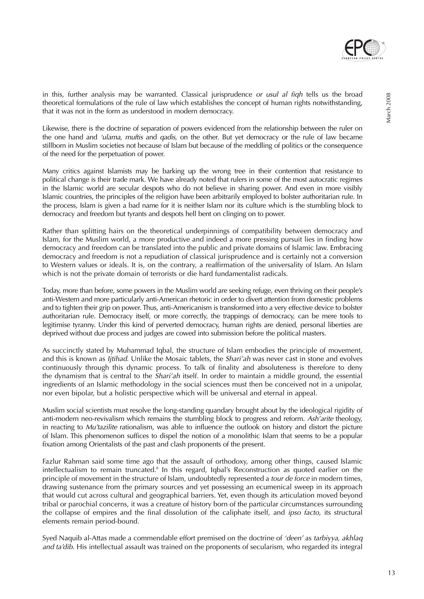

in this, further analysis may be warranted. Classical jurisprudence or usul al fiqh tells us the broad theoretical formulations of the rule of law which establishes the concept of human rights notwithstanding, that it was not in the form as understood in modern democracy.

Likewise, there is the doctrine of separation of powers evidenced from the relationship between the ruler on the one hand and 'ulama, muftis and qadis, on the other. But yet democracy or the rule of law became stillborn in Muslim societies not because of Islam but because of the meddling of politics or the consequence of the need for the perpetuation of power.

Many critics against Islamists may be barking up the wrong tree in their contention that resistance to political change is their trade mark. We have already noted that rulers in some of the most autocratic regimes in the Islamic world are secular despots who do not believe in sharing power. And even in more visibly Islamic countries, the principles of the religion have been arbitrarily employed to bolster authoritarian rule. In the process, Islam is given a bad name for it is neither Islam nor its culture which is the stumbling block to democracy and freedom but tyrants and despots hell bent on clinging on to power.

Rather than splitting hairs on the theoretical underpinnings of compatibility between democracy and Islam, for the Muslim world, a more productive and indeed a more pressing pursuit lies in finding how democracy and freedom can be translated into the public and private domains of Islamic law. Embracing democracy and freedom is not a repudiation of classical jurisprudence and is certainly not a conversion to Western values or ideals. It is, on the contrary, a reaffirmation of the universality of Islam. An Islam which is not the private domain of terrorists or die hard fundamentalist radicals.

Today, more than before, some powers in the Muslim world are seeking refuge, even thriving on their people's anti-Western and more particularly anti-American rhetoric in order to divert attention from domestic problems and to tighten their grip on power. Thus, anti-Americanism is transformed into a very effective device to bolster authoritarian rule. Democracy itself, or more correctly, the trappings of democracy, can be mere tools to legitimise tyranny. Under this kind of perverted democracy, human rights are denied, personal liberties are deprived without due process and judges are cowed into submission before the political masters.

As succinctly stated by Muhammad Iqbal, the structure of Islam embodies the principle of movement, and this is known as *Ijtihad*. Unlike the Mosaic tablets, the *Shari'ah* was never cast in stone and evolves continuously through this dynamic process. To talk of finality and absoluteness is therefore to deny the dynamism that is central to the Shari'ah itself. In order to maintain a middle ground, the essential ingredients of an Islamic methodology in the social sciences must then be conceived not in a unipolar, nor even bipolar, but a holistic perspective which will be universal and eternal in appeal.

Muslim social scientists must resolve the long-standing quandary brought about by the ideological rigidity of anti-modern neo-revivalism which remains the stumbling block to progress and reform. Ash'arite theology, in reacting to Mu'tazilite rationalism, was able to influence the outlook on history and distort the picture of Islam. This phenomenon suffices to dispel the notion of a monolithic Islam that seems to be a popular fixation among Orientalists of the past and clash proponents of the present.

Fazlur Rahman said some time ago that the assault of orthodoxy, among other things, caused Islamic intellectualism to remain truncated.<sup>8</sup> In this regard, Iqbal's Reconstruction as quoted earlier on the principle of movement in the structure of Islam, undoubtedly represented a tour de force in modern times, drawing sustenance from the primary sources and yet possessing an ecumenical sweep in its approach that would cut across cultural and geographical barriers. Yet, even though its articulation moved beyond tribal or parochial concerns, it was a creature of history born of the particular circumstances surrounding the collapse of empires and the final dissolution of the caliphate itself, and ipso facto, its structural elements remain period-bound.

Syed Naquib al-Attas made a commendable effort premised on the doctrine of 'deen' as tarbiyya, akhlaq and ta'dib. His intellectual assault was trained on the proponents of secularism, who regarded its integral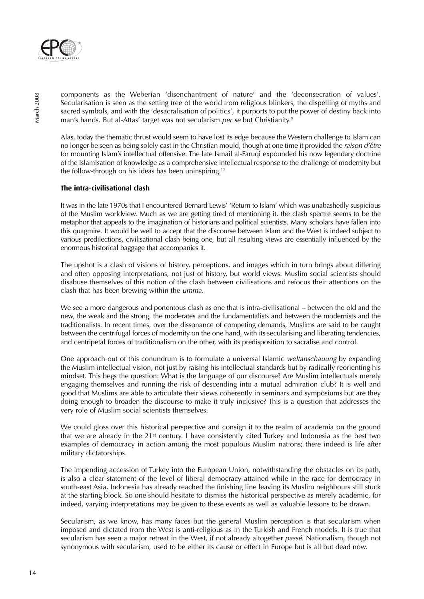

components as the Weberian 'disenchantment of nature' and the 'deconsecration of values'. Secularisation is seen as the setting free of the world from religious blinkers, the dispelling of myths and sacred symbols, and with the 'desacralisation of politics', it purports to put the power of destiny back into man's hands. But al-Attas' target was not secularism per se but Christianity.<sup>9</sup>

Alas, today the thematic thrust would seem to have lost its edge because the Western challenge to Islam can no longer be seen as being solely cast in the Christian mould, though at one time it provided the *raison d'être* for mounting Islam's intellectual offensive. The late Ismail al-Faruqi expounded his now legendary doctrine of the Islamisation of knowledge as a comprehensive intellectual response to the challenge of modernity but the follow-through on his ideas has been uninspiring.<sup>10</sup>

# **The intra-civilisational clash**

It was in the late 1970s that I encountered Bernard Lewis' 'Return to Islam' which was unabashedly suspicious of the Muslim worldview. Much as we are getting tired of mentioning it, the clash spectre seems to be the metaphor that appeals to the imagination of historians and political scientists. Many scholars have fallen into this quagmire. It would be well to accept that the discourse between Islam and the West is indeed subject to various predilections, civilisational clash being one, but all resulting views are essentially influenced by the enormous historical baggage that accompanies it.

The upshot is a clash of visions of history, perceptions, and images which in turn brings about differing and often opposing interpretations, not just of history, but world views. Muslim social scientists should disabuse themselves of this notion of the clash between civilisations and refocus their attentions on the clash that has been brewing within the umma.

We see a more dangerous and portentous clash as one that is intra-civilisational – between the old and the new, the weak and the strong, the moderates and the fundamentalists and between the modernists and the traditionalists. In recent times, over the dissonance of competing demands, Muslims are said to be caught between the centrifugal forces of modernity on the one hand, with its secularising and liberating tendencies, and centripetal forces of traditionalism on the other, with its predisposition to sacralise and control.

One approach out of this conundrum is to formulate a universal Islamic weltanschauung by expanding the Muslim intellectual vision, not just by raising his intellectual standards but by radically reorienting his mindset. This begs the question: What is the language of our discourse? Are Muslim intellectuals merely engaging themselves and running the risk of descending into a mutual admiration club? It is well and good that Muslims are able to articulate their views coherently in seminars and symposiums but are they doing enough to broaden the discourse to make it truly inclusive? This is a question that addresses the very role of Muslim social scientists themselves.

We could gloss over this historical perspective and consign it to the realm of academia on the ground that we are already in the 21st century. I have consistently cited Turkey and Indonesia as the best two examples of democracy in action among the most populous Muslim nations; there indeed is life after military dictatorships.

The impending accession of Turkey into the European Union, notwithstanding the obstacles on its path, is also a clear statement of the level of liberal democracy attained while in the race for democracy in south-east Asia, Indonesia has already reached the finishing line leaving its Muslim neighbours still stuck at the starting block. So one should hesitate to dismiss the historical perspective as merely academic, for indeed, varying interpretations may be given to these events as well as valuable lessons to be drawn.

Secularism, as we know, has many faces but the general Muslim perception is that secularism when imposed and dictated from the West is anti-religious as in the Turkish and French models. It is true that secularism has seen a major retreat in the West, if not already altogether passé. Nationalism, though not synonymous with secularism, used to be either its cause or effect in Europe but is all but dead now.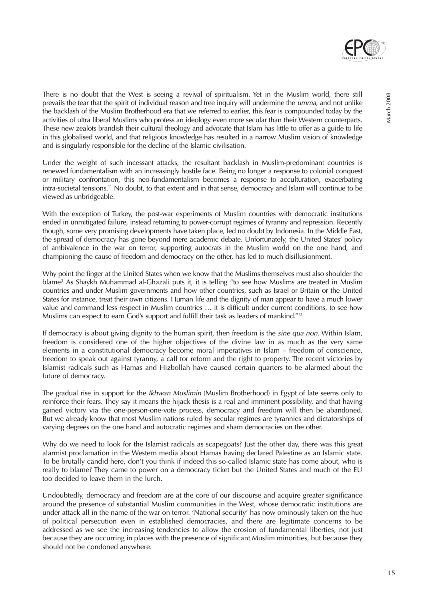

March 2008

Vlarch 2008

There is no doubt that the West is seeing a revival of spiritualism. Yet in the Muslim world, there still prevails the fear that the spirit of individual reason and free inquiry will undermine the *umma*, and not unlike the backlash of the Muslim Brotherhood era that we referred to earlier, this fear is compounded today by the activities of ultra liberal Muslims who profess an ideology even more secular than their Western counterparts. These new zealots brandish their cultural theology and advocate that Islam has little to offer as a guide to life in this globalised world, and that religious knowledge has resulted in a narrow Muslim vision of knowledge and is singularly responsible for the decline of the Islamic civilisation.

Under the weight of such incessant attacks, the resultant backlash in Muslim-predominant countries is renewed fundamentalism with an increasingly hostile face. Being no longer a response to colonial conquest or military confrontation, this neo-fundamentalism becomes a response to acculturation, exacerbating intra-societal tensions.<sup>11</sup> No doubt, to that extent and in that sense, democracy and Islam will continue to be viewed as unbridgeable.

With the exception of Turkey, the post-war experiments of Muslim countries with democratic institutions ended in unmitigated failure, instead returning to power-corrupt regimes of tyranny and repression. Recently though, some very promising developments have taken place, led no doubt by Indonesia. In the Middle East, the spread of democracy has gone beyond mere academic debate. Unfortunately, the United States' policy of ambivalence in the war on terror, supporting autocrats in the Muslim world on the one hand, and championing the cause of freedom and democracy on the other, has led to much disillusionment.

Why point the finger at the United States when we know that the Muslims themselves must also shoulder the blame? As Shaykh Muhammad al-Ghazali puts it, it is telling "to see how Muslims are treated in Muslim countries and under Muslim governments and how other countries, such as Israel or Britain or the United States for instance, treat their own citizens. Human life and the dignity of man appear to have a much lower value and command less respect in Muslim countries … it is difficult under current conditions, to see how Muslims can expect to earn God's support and fulfill their task as leaders of mankind."12

If democracy is about giving dignity to the human spirit, then freedom is the sine qua non. Within Islam, freedom is considered one of the higher objectives of the divine law in as much as the very same elements in a constitutional democracy become moral imperatives in Islam – freedom of conscience, freedom to speak out against tyranny, a call for reform and the right to property. The recent victories by Islamist radicals such as Hamas and Hizbollah have caused certain quarters to be alarmed about the future of democracy.

The gradual rise in support for the *Ikhwan Muslimin* (Muslim Brotherhood) in Egypt of late seems only to reinforce their fears. They say it means the hijack thesis is a real and imminent possibility, and that having gained victory via the one-person-one-vote process, democracy and freedom will then be abandoned. But we already know that most Muslim nations ruled by secular regimes are tyrannies and dictatorships of varying degrees on the one hand and autocratic regimes and sham democracies on the other.

Why do we need to look for the Islamist radicals as scapegoats? Just the other day, there was this great alarmist proclamation in the Western media about Hamas having declared Palestine as an Islamic state. To be brutally candid here, don't you think if indeed this so-called Islamic state has come about, who is really to blame? They came to power on a democracy ticket but the United States and much of the EU too decided to leave them in the lurch.

Undoubtedly, democracy and freedom are at the core of our discourse and acquire greater significance around the presence of substantial Muslim communities in the West, whose democratic institutions are under attack all in the name of the war on terror. 'National security' has now ominously taken on the hue of political persecution even in established democracies, and there are legitimate concerns to be addressed as we see the increasing tendencies to allow the erosion of fundamental liberties, not just because they are occurring in places with the presence of significant Muslim minorities, but because they should not be condoned anywhere.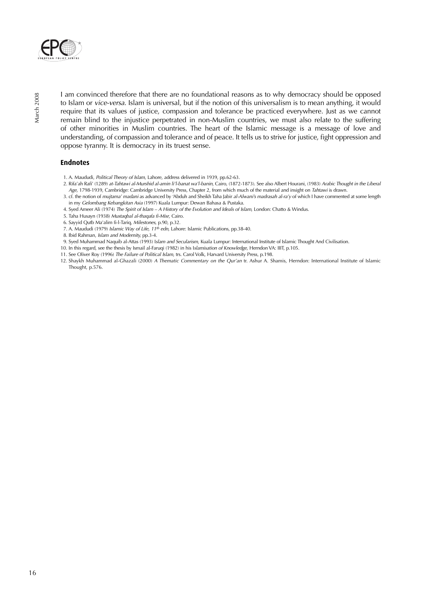

I am convinced therefore that there are no foundational reasons as to why democracy should be opposed to Islam or vice-versa. Islam is universal, but if the notion of this universalism is to mean anything, it would require that its values of justice, compassion and tolerance be practiced everywhere. Just as we cannot remain blind to the injustice perpetrated in non-Muslim countries, we must also relate to the suffering of other minorities in Muslim countries. The heart of the Islamic message is a message of love and understanding, of compassion and tolerance and of peace. It tells us to strive for justice, fight oppression and oppose tyranny. It is democracy in its truest sense.

### **Endnotes**

- 1. A. Maududi, Political Theory of Islam, Lahore, address delivered in 1939, pp.62-63.
- 2. Rifa'ah Rafi' (1289) at-Tahtawi al-Murshid al-amin li'l-banat wa'l-banin, Cairo, (1872-1873). See also Albert Hourani, (1983) Arabic Thought in the Liberal Age, 1798-1939, Cambridge: Cambridge University Press, Chapter 2, from which much of the material and insight on Tahtawi is drawn.
- 3. cf. the notion of mujtama' madani as advanced by 'Abduh and Sheikh Taha Jabir al-Alwani's madrasah al-ra'y of which I have commented at some length in my Gelombang Kebangkitan Asia (1997) Kuala Lumpur: Dewan Bahasa & Pustaka.
- 4. Syed Ameer Ali (1974) The Spirit of Islam A History of the Evolution and Ideals of Islam, London: Chatto & Windus.
- 5. Taha Husayn (1938) Mustaqbal al-thaqafa fi-Misr, Cairo.
- 6. Sayyid Qutb Ma'alim fi-l-Tariq, Milestones, p.90, p.32.
- 7. A. Maududi (1979) Islamic Way of Life, 11th edn, Lahore: Islamic Publications, pp.38-40.
- 8. Ibid Rahman, Islam and Modernity, pp.3-4.
- 9. Syed Muhammad Naquib al-Attas (1993) Islam and Secularism, Kuala Lumpur: International Institute of Islamic Thought And Civilisation.
- 10. In this regard, see the thesis by Ismail al-Faruqi (1982) in his Islamisation of Knowledge, Herndon VA: IIIT, p.105.
- 11. See Oliver Roy (1996) The Failure of Political Islam, trs. Carol Volk, Harvard University Press, p.198.
- 12. Shaykh Muhammad al-Ghazali (2000) A Thematic Commentary on the Qur'an tr. Ashur A. Shamis, Herndon: International Institute of Islamic Thought, p.576.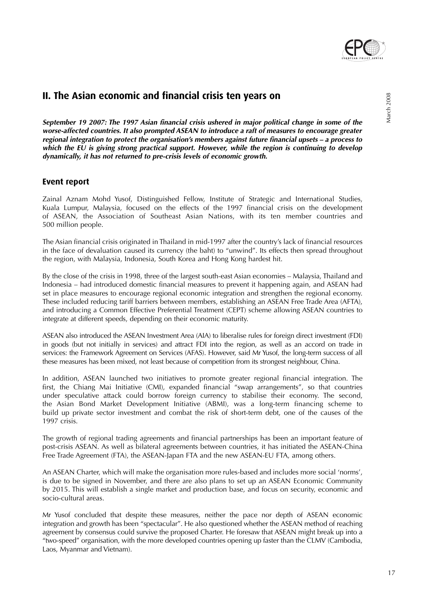

# **II. The Asian economic and financial crisis ten years on**

**September 19 2007: The 1997 Asian financial crisis ushered in major political change in some of the worse-affected countries. It also prompted ASEAN to introduce a raft of measures to encourage greater regional integration to protect the organisation's members against future financial upsets – a process to which the EU is giving strong practical support. However, while the region is continuing to develop dynamically, it has not returned to pre-crisis levels of economic growth.**

# **Event report**

Zainal Aznam Mohd Yusof, Distinguished Fellow, Institute of Strategic and International Studies, Kuala Lumpur, Malaysia, focused on the effects of the 1997 financial crisis on the development of ASEAN, the Association of Southeast Asian Nations, with its ten member countries and 500 million people.

The Asian financial crisis originated in Thailand in mid-1997 after the country's lack of financial resources in the face of devaluation caused its currency (the baht) to "unwind". Its effects then spread throughout the region, with Malaysia, Indonesia, South Korea and Hong Kong hardest hit.

By the close of the crisis in 1998, three of the largest south-east Asian economies – Malaysia, Thailand and Indonesia – had introduced domestic financial measures to prevent it happening again, and ASEAN had set in place measures to encourage regional economic integration and strengthen the regional economy. These included reducing tariff barriers between members, establishing an ASEAN Free Trade Area (AFTA), and introducing a Common Effective Preferential Treatment (CEPT) scheme allowing ASEAN countries to integrate at different speeds, depending on their economic maturity.

ASEAN also introduced the ASEAN Investment Area (AIA) to liberalise rules for foreign direct investment (FDI) in goods (but not initially in services) and attract FDI into the region, as well as an accord on trade in services: the Framework Agreement on Services (AFAS). However, said Mr Yusof, the long-term success of all these measures has been mixed, not least because of competition from its strongest neighbour, China.

In addition, ASEAN launched two initiatives to promote greater regional financial integration. The first, the Chiang Mai Initiative (CMI), expanded financial "swap arrangements", so that countries under speculative attack could borrow foreign currency to stabilise their economy. The second, the Asian Bond Market Development Initiative (ABMI), was a long-term financing scheme to build up private sector investment and combat the risk of short-term debt, one of the causes of the 1997 crisis.

The growth of regional trading agreements and financial partnerships has been an important feature of post-crisis ASEAN. As well as bilateral agreements between countries, it has initiated the ASEAN-China Free Trade Agreement (FTA), the ASEAN-Japan FTA and the new ASEAN-EU FTA, among others.

An ASEAN Charter, which will make the organisation more rules-based and includes more social 'norms', is due to be signed in November, and there are also plans to set up an ASEAN Economic Community by 2015. This will establish a single market and production base, and focus on security, economic and socio-cultural areas.

Mr Yusof concluded that despite these measures, neither the pace nor depth of ASEAN economic integration and growth has been "spectacular". He also questioned whether the ASEAN method of reaching agreement by consensus could survive the proposed Charter. He foresaw that ASEAN might break up into a "two-speed" organisation, with the more developed countries opening up faster than the CLMV (Cambodia, Laos, Myanmar and Vietnam).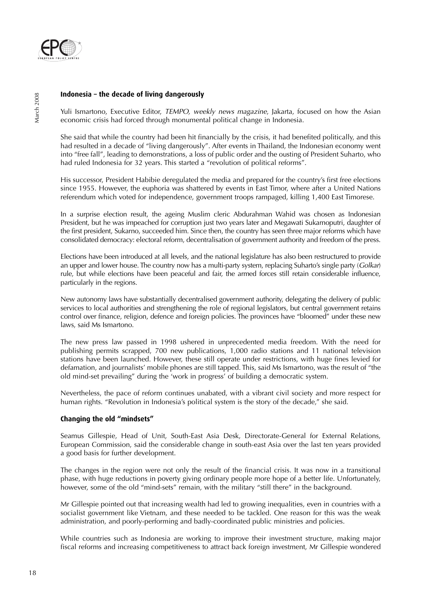

### **Indonesia – the decade of living dangerously**

Yuli Ismartono, Executive Editor, TEMPO, weekly news magazine, Jakarta, focused on how the Asian economic crisis had forced through monumental political change in Indonesia.

She said that while the country had been hit financially by the crisis, it had benefited politically, and this had resulted in a decade of "living dangerously". After events in Thailand, the Indonesian economy went into "free fall", leading to demonstrations, a loss of public order and the ousting of President Suharto, who had ruled Indonesia for 32 years. This started a "revolution of political reforms".

His successor, President Habibie deregulated the media and prepared for the country's first free elections since 1955. However, the euphoria was shattered by events in East Timor, where after a United Nations referendum which voted for independence, government troops rampaged, killing 1,400 East Timorese.

In a surprise election result, the ageing Muslim cleric Abdurahman Wahid was chosen as Indonesian President, but he was impeached for corruption just two years later and Megawati Sukarnoputri, daughter of the first president, Sukarno, succeeded him. Since then, the country has seen three major reforms which have consolidated democracy: electoral reform, decentralisation of government authority and freedom of the press.

Elections have been introduced at all levels, and the national legislature has also been restructured to provide an upper and lower house. The country now has a multi-party system, replacing Suharto's single party (Golkar) rule, but while elections have been peaceful and fair, the armed forces still retain considerable influence, particularly in the regions.

New autonomy laws have substantially decentralised government authority, delegating the delivery of public services to local authorities and strengthening the role of regional legislators, but central government retains control over finance, religion, defence and foreign policies. The provinces have "bloomed" under these new laws, said Ms Ismartono.

The new press law passed in 1998 ushered in unprecedented media freedom. With the need for publishing permits scrapped, 700 new publications, 1,000 radio stations and 11 national television stations have been launched. However, these still operate under restrictions, with huge fines levied for defamation, and journalists' mobile phones are still tapped. This, said Ms Ismartono, was the result of "the old mind-set prevailing" during the 'work in progress' of building a democratic system.

Nevertheless, the pace of reform continues unabated, with a vibrant civil society and more respect for human rights. "Revolution in Indonesia's political system is the story of the decade," she said.

#### **Changing the old "mindsets"**

Seamus Gillespie, Head of Unit, South-East Asia Desk, Directorate-General for External Relations, European Commission, said the considerable change in south-east Asia over the last ten years provided a good basis for further development.

The changes in the region were not only the result of the financial crisis. It was now in a transitional phase, with huge reductions in poverty giving ordinary people more hope of a better life. Unfortunately, however, some of the old "mind-sets" remain, with the military "still there" in the background.

Mr Gillespie pointed out that increasing wealth had led to growing inequalities, even in countries with a socialist government like Vietnam, and these needed to be tackled. One reason for this was the weak administration, and poorly-performing and badly-coordinated public ministries and policies.

While countries such as Indonesia are working to improve their investment structure, making major fiscal reforms and increasing competitiveness to attract back foreign investment, Mr Gillespie wondered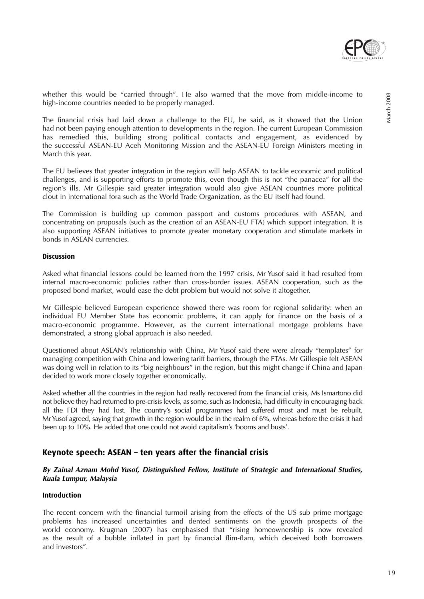

whether this would be "carried through". He also warned that the move from middle-income to high-income countries needed to be properly managed.

The financial crisis had laid down a challenge to the EU, he said, as it showed that the Union had not been paying enough attention to developments in the region. The current European Commission has remedied this, building strong political contacts and engagement, as evidenced by the successful ASEAN-EU Aceh Monitoring Mission and the ASEAN-EU Foreign Ministers meeting in March this year.

The EU believes that greater integration in the region will help ASEAN to tackle economic and political challenges, and is supporting efforts to promote this, even though this is not "the panacea" for all the region's ills. Mr Gillespie said greater integration would also give ASEAN countries more political clout in international fora such as the World Trade Organization, as the EU itself had found.

The Commission is building up common passport and customs procedures with ASEAN, and concentrating on proposals (such as the creation of an ASEAN-EU FTA) which support integration. It is also supporting ASEAN initiatives to promote greater monetary cooperation and stimulate markets in bonds in ASEAN currencies.

#### **Discussion**

Asked what financial lessons could be learned from the 1997 crisis, Mr Yusof said it had resulted from internal macro-economic policies rather than cross-border issues. ASEAN cooperation, such as the proposed bond market, would ease the debt problem but would not solve it altogether.

Mr Gillespie believed European experience showed there was room for regional solidarity: when an individual EU Member State has economic problems, it can apply for finance on the basis of a macro-economic programme. However, as the current international mortgage problems have demonstrated, a strong global approach is also needed.

Questioned about ASEAN's relationship with China, Mr Yusof said there were already "templates" for managing competition with China and lowering tariff barriers, through the FTAs. Mr Gillespie felt ASEAN was doing well in relation to its "big neighbours" in the region, but this might change if China and Japan decided to work more closely together economically.

Asked whether all the countries in the region had really recovered from the financial crisis, Ms Ismartono did not believe they had returned to pre-crisis levels, as some, such as Indonesia, had difficulty in encouraging back all the FDI they had lost. The country's social programmes had suffered most and must be rebuilt. Mr Yusof agreed, saying that growth in the region would be in the realm of 6%, whereas before the crisis it had been up to 10%. He added that one could not avoid capitalism's 'booms and busts'.

# **Keynote speech: ASEAN – ten years after the financial crisis**

### **By Zainal Aznam Mohd Yusof, Distinguished Fellow, Institute of Strategic and International Studies, Kuala Lumpur, Malaysia**

### **Introduction**

The recent concern with the financial turmoil arising from the effects of the US sub prime mortgage problems has increased uncertainties and dented sentiments on the growth prospects of the world economy. Krugman (2007) has emphasised that "rising homeownership is now revealed as the result of a bubble inflated in part by financial flim-flam, which deceived both borrowers and investors".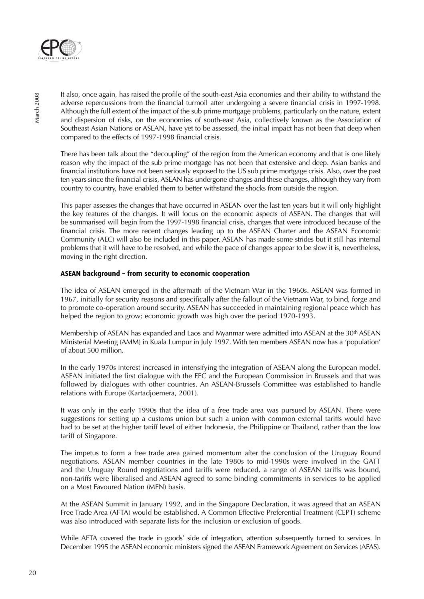

It also, once again, has raised the profile of the south-east Asia economies and their ability to withstand the adverse repercussions from the financial turmoil after undergoing a severe financial crisis in 1997-1998. Although the full extent of the impact of the sub prime mortgage problems, particularly on the nature, extent and dispersion of risks, on the economies of south-east Asia, collectively known as the Association of Southeast Asian Nations or ASEAN, have yet to be assessed, the initial impact has not been that deep when compared to the effects of 1997-1998 financial crisis.

There has been talk about the "decoupling" of the region from the American economy and that is one likely reason why the impact of the sub prime mortgage has not been that extensive and deep. Asian banks and financial institutions have not been seriously exposed to the US sub prime mortgage crisis. Also, over the past ten years since the financial crisis, ASEAN has undergone changes and these changes, although they vary from country to country, have enabled them to better withstand the shocks from outside the region.

This paper assesses the changes that have occurred in ASEAN over the last ten years but it will only highlight the key features of the changes. It will focus on the economic aspects of ASEAN. The changes that will be summarised will begin from the 1997-1998 financial crisis, changes that were introduced because of the financial crisis. The more recent changes leading up to the ASEAN Charter and the ASEAN Economic Community (AEC) will also be included in this paper. ASEAN has made some strides but it still has internal problems that it will have to be resolved, and while the pace of changes appear to be slow it is, nevertheless, moving in the right direction.

# **ASEAN background – from security to economic cooperation**

The idea of ASEAN emerged in the aftermath of the Vietnam War in the 1960s. ASEAN was formed in 1967, initially for security reasons and specifically after the fallout of the Vietnam War, to bind, forge and to promote co-operation around security. ASEAN has succeeded in maintaining regional peace which has helped the region to grow; economic growth was high over the period 1970-1993.

Membership of ASEAN has expanded and Laos and Myanmar were admitted into ASEAN at the 30<sup>th</sup> ASEAN Ministerial Meeting (AMM) in Kuala Lumpur in July 1997. With ten members ASEAN now has a 'population' of about 500 million.

In the early 1970s interest increased in intensifying the integration of ASEAN along the European model. ASEAN initiated the first dialogue with the EEC and the European Commission in Brussels and that was followed by dialogues with other countries. An ASEAN-Brussels Committee was established to handle relations with Europe (Kartadjoemera, 2001).

It was only in the early 1990s that the idea of a free trade area was pursued by ASEAN. There were suggestions for setting up a customs union but such a union with common external tariffs would have had to be set at the higher tariff level of either Indonesia, the Philippine or Thailand, rather than the low tariff of Singapore.

The impetus to form a free trade area gained momentum after the conclusion of the Uruguay Round negotiations. ASEAN member countries in the late 1980s to mid-1990s were involved in the GATT and the Uruguay Round negotiations and tariffs were reduced, a range of ASEAN tariffs was bound, non-tariffs were liberalised and ASEAN agreed to some binding commitments in services to be applied on a Most Favoured Nation (MFN) basis.

At the ASEAN Summit in January 1992, and in the Singapore Declaration, it was agreed that an ASEAN Free Trade Area (AFTA) would be established. A Common Effective Preferential Treatment (CEPT) scheme was also introduced with separate lists for the inclusion or exclusion of goods.

While AFTA covered the trade in goods' side of integration, attention subsequently turned to services. In December 1995 the ASEAN economic ministers signed the ASEAN Framework Agreement on Services (AFAS).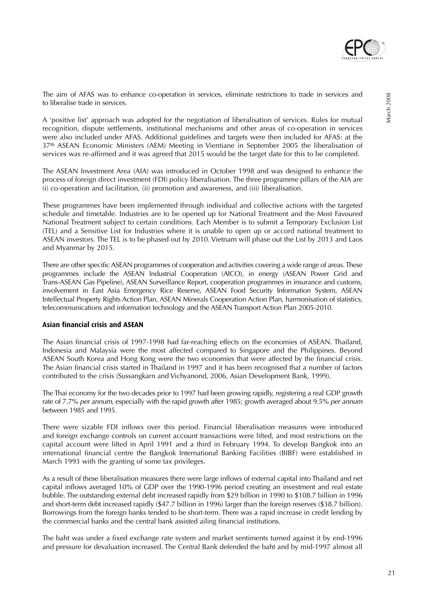

The aim of AFAS was to enhance co-operation in services, eliminate restrictions to trade in services and to liberalise trade in services.

A 'positive list' approach was adopted for the negotiation of liberalisation of services. Rules for mutual recognition, dispute settlements, institutional mechanisms and other areas of co-operation in services were also included under AFAS. Additional guidelines and targets were then included for AFAS: at the 37th ASEAN Economic Ministers (AEM) Meeting in Vientiane in September 2005 the liberalisation of services was re-affirmed and it was agreed that 2015 would be the target date for this to be completed.

The ASEAN Investment Area (AIA) was introduced in October 1998 and was designed to enhance the process of foreign direct investment (FDI) policy liberalisation. The three programme pillars of the AIA are (i) co-operation and facilitation, (ii) promotion and awareness, and (iii) liberalisation.

These programmes have been implemented through individual and collective actions with the targeted schedule and timetable. Industries are to be opened up for National Treatment and the Most Favoured National Treatment subject to certain conditions. Each Member is to submit a Temporary Exclusion List (TEL) and a Sensitive List for Industries where it is unable to open up or accord national treatment to ASEAN investors. The TEL is to be phased out by 2010. Vietnam will phase out the List by 2013 and Laos and Myanmar by 2015.

There are other specific ASEAN programmes of cooperation and activities covering a wide range of areas. These programmes include the ASEAN Industrial Cooperation (AICO), in energy (ASEAN Power Grid and Trans-ASEAN Gas Pipeline), ASEAN Surveillance Report, cooperation programmes in insurance and customs, involvement in East Asia Emergency Rice Reserve, ASEAN Food Security Information System, ASEAN Intellectual Property Rights Action Plan, ASEAN Minerals Cooperation Action Plan, harmonisation of statistics, telecommunications and information technology and the ASEAN Transport Action Plan 2005-2010.

# **Asian financial crisis and ASEAN**

The Asian financial crisis of 1997-1998 had far-reaching effects on the economies of ASEAN. Thailand, Indonesia and Malaysia were the most affected compared to Singapore and the Philippines. Beyond ASEAN South Korea and Hong Kong were the two economies that were affected by the financial crisis. The Asian financial crisis started in Thailand in 1997 and it has been recognised that a number of factors contributed to the crisis (Sussangkarn and Vichyanond, 2006, Asian Development Bank, 1999).

The Thai economy for the two decades prior to 1997 had been growing rapidly, registering a real GDP growth rate of 7.7% per annum, especially with the rapid growth after 1985; growth averaged about 9.5% per annum between 1985 and 1995.

There were sizable FDI inflows over this period. Financial liberalisation measures were introduced and foreign exchange controls on current account transactions were lifted, and most restrictions on the capital account were lifted in April 1991 and a third in February 1994. To develop Bangkok into an international financial centre the Bangkok International Banking Facilities (BIBF) were established in March 1993 with the granting of some tax privileges.

As a result of these liberalisation measures there were large inflows of external capital into Thailand and net capital inflows averaged 10% of GDP over the 1990-1996 period creating an investment and real estate bubble. The outstanding external debt increased rapidly from \$29 billion in 1990 to \$108.7 billion in 1996 and short-term debt increased rapidly (\$47.7 billion in 1996) larger than the foreign reserves (\$38.7 billion). Borrowings from the foreign banks tended to be short-term. There was a rapid increase in credit lending by the commercial banks and the central bank assisted ailing financial institutions.

The baht was under a fixed exchange rate system and market sentiments turned against it by end-1996 and pressure for devaluation increased. The Central Bank defended the baht and by mid-1997 almost all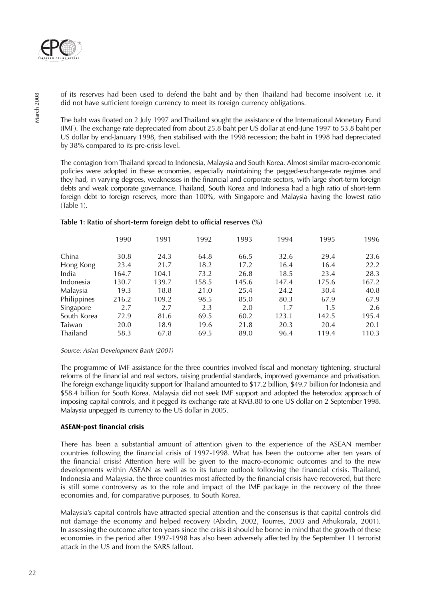

of its reserves had been used to defend the baht and by then Thailand had become insolvent i.e. it did not have sufficient foreign currency to meet its foreign currency obligations.

The baht was floated on 2 July 1997 and Thailand sought the assistance of the International Monetary Fund (IMF). The exchange rate depreciated from about 25.8 baht per US dollar at end-June 1997 to 53.8 baht per US dollar by end-January 1998, then stabilised with the 1998 recession; the baht in 1998 had depreciated by 38% compared to its pre-crisis level.

The contagion from Thailand spread to Indonesia, Malaysia and South Korea. Almost similar macro-economic policies were adopted in these economies, especially maintaining the pegged-exchange-rate regimes and they had, in varying degrees, weaknesses in the financial and corporate sectors, with large short-term foreign debts and weak corporate governance. Thailand, South Korea and Indonesia had a high ratio of short-term foreign debt to foreign reserves, more than 100%, with Singapore and Malaysia having the lowest ratio (Table 1).

# **Table 1: Ratio of short-term foreign debt to official reserves (%)**

|             | 1990  | 1991  | 1992  | 1993  | 1994  | 1995  | 1996  |
|-------------|-------|-------|-------|-------|-------|-------|-------|
| China       | 30.8  | 24.3  | 64.8  | 66.5  | 32.6  | 29.4  | 23.6  |
| Hong Kong   | 23.4  | 21.7  | 18.2  | 17.2  | 16.4  | 16.4  | 22.2  |
| India       | 164.7 | 104.1 | 73.2  | 26.8  | 18.5  | 23.4  | 28.3  |
| Indonesia   | 130.7 | 139.7 | 158.5 | 145.6 | 147.4 | 175.6 | 167.2 |
| Malaysia    | 19.3  | 18.8  | 21.0  | 25.4  | 24.2  | 30.4  | 40.8  |
| Philippines | 216.2 | 109.2 | 98.5  | 85.0  | 80.3  | 67.9  | 67.9  |
| Singapore   | 2.7   | 2.7   | 2.3   | 2.0   | 1.7   | 1.5   | 2.6   |
| South Korea | 72.9  | 81.6  | 69.5  | 60.2  | 123.1 | 142.5 | 195.4 |
| Taiwan      | 20.0  | 18.9  | 19.6  | 21.8  | 20.3  | 20.4  | 20.1  |
| Thailand    | 58.3  | 67.8  | 69.5  | 89.0  | 96.4  | 119.4 | 110.3 |

#### Source: Asian Development Bank (2001)

The programme of IMF assistance for the three countries involved fiscal and monetary tightening, structural reforms of the financial and real sectors, raising prudential standards, improved governance and privatisation. The foreign exchange liquidity support for Thailand amounted to \$17.2 billion, \$49.7 billion for Indonesia and \$58.4 billion for South Korea. Malaysia did not seek IMF support and adopted the heterodox approach of imposing capital controls, and it pegged its exchange rate at RM3.80 to one US dollar on 2 September 1998. Malaysia unpegged its currency to the US dollar in 2005.

#### **ASEAN-post financial crisis**

There has been a substantial amount of attention given to the experience of the ASEAN member countries following the financial crisis of 1997-1998. What has been the outcome after ten years of the financial crisis? Attention here will be given to the macro-economic outcomes and to the new developments within ASEAN as well as to its future outlook following the financial crisis. Thailand, Indonesia and Malaysia, the three countries most affected by the financial crisis have recovered, but there is still some controversy as to the role and impact of the IMF package in the recovery of the three economies and, for comparative purposes, to South Korea.

Malaysia's capital controls have attracted special attention and the consensus is that capital controls did not damage the economy and helped recovery (Abidin, 2002, Tourres, 2003 and Athukorala, 2001). In assessing the outcome after ten years since the crisis it should be borne in mind that the growth of these economies in the period after 1997-1998 has also been adversely affected by the September 11 terrorist attack in the US and from the SARS fallout.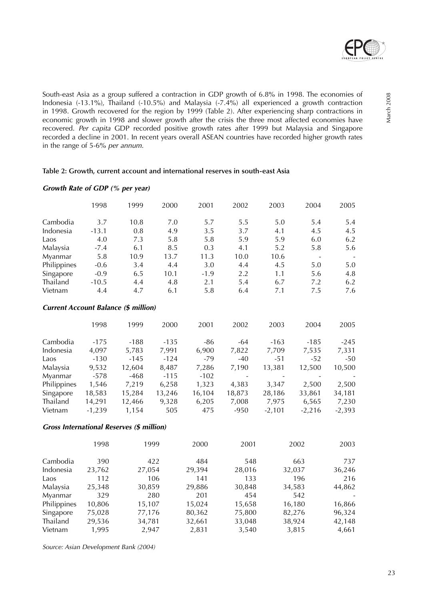

South-east Asia as a group suffered a contraction in GDP growth of 6.8% in 1998. The economies of Indonesia (-13.1%), Thailand (-10.5%) and Malaysia (-7.4%) all experienced a growth contraction in 1998. Growth recovered for the region by 1999 (Table 2). After experiencing sharp contractions in economic growth in 1998 and slower growth after the crisis the three most affected economies have recovered. Per capita GDP recorded positive growth rates after 1999 but Malaysia and Singapore recorded a decline in 2001. In recent years overall ASEAN countries have recorded higher growth rates in the range of 5-6% per annum.

#### **Table 2: Growth, current account and international reserves in south-east Asia**

### **Growth Rate of GDP (% per year)**

|             | 1998    | 1999 | 2000 | 2001   | 2002 | 2003 | 2004 | 2005 |
|-------------|---------|------|------|--------|------|------|------|------|
| Cambodia    | 3.7     | 10.8 | 7.0  | 5.7    | 5.5  | 5.0  | 5.4  | 5.4  |
| Indonesia   | $-13.1$ | 0.8  | 4.9  | 3.5    | 3.7  | 4.1  | 4.5  | 4.5  |
| Laos        | 4.0     | 7.3  | 5.8  | 5.8    | 5.9  | 5.9  | 6.0  | 6.2  |
| Malaysia    | $-7.4$  | 6.1  | 8.5  | 0.3    | 4.1  | 5.2  | 5.8  | 5.6  |
| Myanmar     | 5.8     | 10.9 | 13.7 | 11.3   | 10.0 | 10.6 |      |      |
| Philippines | $-0.6$  | 3.4  | 4.4  | 3.0    | 4.4  | 4.5  | 5.0  | 5.0  |
| Singapore   | $-0.9$  | 6.5  | 10.1 | $-1.9$ | 2.2  | 1.1  | 5.6  | 4.8  |
| Thailand    | $-10.5$ | 4.4  | 4.8  | 2.1    | 5.4  | 6.7  | 7.2  | 6.2  |
| Vietnam     | 4.4     | 4.7  | 6.1  | 5.8    | 6.4  | 7.1  | 7.5  | 7.6  |

#### **Current Account Balance (\$ million)**

|             | 1998     | 1999   | 2000   | 2001   | 2002   | 2003     | 2004     | 2005     |
|-------------|----------|--------|--------|--------|--------|----------|----------|----------|
| Cambodia    | $-175$   | $-188$ | $-135$ | $-86$  | $-64$  | $-163$   | $-185$   | $-245$   |
| Indonesia   | 4,097    | 5,783  | 7,991  | 6,900  | 7,822  | 7,709    | 7,535    | 7,331    |
| Laos        | $-130$   | $-145$ | $-124$ | $-79$  | $-40$  | $-51$    | $-52$    | -50      |
| Malaysia    | 9,532    | 12,604 | 8,487  | 7,286  | 7,190  | 13,381   | 12,500   | 10,500   |
| Myanmar     | $-578$   | -468   | $-115$ | $-102$ |        |          |          |          |
| Philippines | 1,546    | 7,219  | 6,258  | 1,323  | 4,383  | 3,347    | 2,500    | 2,500    |
| Singapore   | 18,583   | 15,284 | 13,246 | 16,104 | 18,873 | 28,186   | 33,861   | 34,181   |
| Thailand    | 14,291   | 12,466 | 9,328  | 6,205  | 7,008  | 7,975    | 6,565    | 7,230    |
| Vietnam     | $-1,239$ | 1,154  | 505    | 475    | $-950$ | $-2,101$ | $-2,216$ | $-2,393$ |

#### **Gross International Reserves (\$ million)**

|             | 1998   | 1999   | 2000   | 2001   | 2002   | 2003   |
|-------------|--------|--------|--------|--------|--------|--------|
| Cambodia    | 390    | 422    | 484    | 548    | 663    | 737    |
| Indonesia   | 23,762 | 27,054 | 29,394 | 28,016 | 32,037 | 36,246 |
| Laos        | 112    | 106    | 141    | 133    | 196    | 216    |
| Malaysia    | 25,348 | 30,859 | 29,886 | 30,848 | 34,583 | 44,862 |
| Myanmar     | 329    | 280    | 201    | 454    | 542    |        |
| Philippines | 10,806 | 15,107 | 15,024 | 15,658 | 16,180 | 16,866 |
| Singapore   | 75,028 | 77,176 | 80,362 | 75,800 | 82,276 | 96,324 |
| Thailand    | 29,536 | 34,781 | 32,661 | 33,048 | 38,924 | 42,148 |
| Vietnam     | 1.995  | 2,947  | 2,831  | 3,540  | 3,815  | 4,661  |

Source: Asian Development Bank (2004)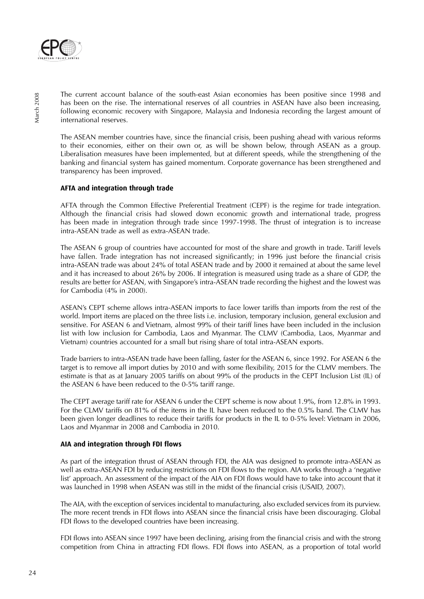

The current account balance of the south-east Asian economies has been positive since 1998 and has been on the rise. The international reserves of all countries in ASEAN have also been increasing, following economic recovery with Singapore, Malaysia and Indonesia recording the largest amount of international reserves.

The ASEAN member countries have, since the financial crisis, been pushing ahead with various reforms to their economies, either on their own or, as will be shown below, through ASEAN as a group. Liberalisation measures have been implemented, but at different speeds, while the strengthening of the banking and financial system has gained momentum. Corporate governance has been strengthened and transparency has been improved.

# **AFTA and integration through trade**

AFTA through the Common Effective Preferential Treatment (CEPF) is the regime for trade integration. Although the financial crisis had slowed down economic growth and international trade, progress has been made in integration through trade since 1997-1998. The thrust of integration is to increase intra-ASEAN trade as well as extra-ASEAN trade.

The ASEAN 6 group of countries have accounted for most of the share and growth in trade. Tariff levels have fallen. Trade integration has not increased significantly; in 1996 just before the financial crisis intra-ASEAN trade was about 24% of total ASEAN trade and by 2000 it remained at about the same level and it has increased to about 26% by 2006. If integration is measured using trade as a share of GDP, the results are better for ASEAN, with Singapore's intra-ASEAN trade recording the highest and the lowest was for Cambodia (4% in 2000).

ASEAN's CEPT scheme allows intra-ASEAN imports to face lower tariffs than imports from the rest of the world. Import items are placed on the three lists i.e. inclusion, temporary inclusion, general exclusion and sensitive. For ASEAN 6 and Vietnam, almost 99% of their tariff lines have been included in the inclusion list with low inclusion for Cambodia, Laos and Myanmar. The CLMV (Cambodia, Laos, Myanmar and Vietnam) countries accounted for a small but rising share of total intra-ASEAN exports.

Trade barriers to intra-ASEAN trade have been falling, faster for the ASEAN 6, since 1992. For ASEAN 6 the target is to remove all import duties by 2010 and with some flexibility, 2015 for the CLMV members. The estimate is that as at January 2005 tariffs on about 99% of the products in the CEPT Inclusion List (IL) of the ASEAN 6 have been reduced to the 0-5% tariff range.

The CEPT average tariff rate for ASEAN 6 under the CEPT scheme is now about 1.9%, from 12.8% in 1993. For the CLMV tariffs on 81% of the items in the IL have been reduced to the 0.5% band. The CLMV has been given longer deadlines to reduce their tariffs for products in the IL to 0-5% level: Vietnam in 2006, Laos and Myanmar in 2008 and Cambodia in 2010.

# **AIA and integration through FDI flows**

As part of the integration thrust of ASEAN through FDI, the AIA was designed to promote intra-ASEAN as well as extra-ASEAN FDI by reducing restrictions on FDI flows to the region. AIA works through a 'negative list' approach. An assessment of the impact of the AIA on FDI flows would have to take into account that it was launched in 1998 when ASEAN was still in the midst of the financial crisis (USAID, 2007).

The AIA, with the exception of services incidental to manufacturing, also excluded services from its purview. The more recent trends in FDI flows into ASEAN since the financial crisis have been discouraging. Global FDI flows to the developed countries have been increasing.

FDI flows into ASEAN since 1997 have been declining, arising from the financial crisis and with the strong competition from China in attracting FDI flows. FDI flows into ASEAN, as a proportion of total world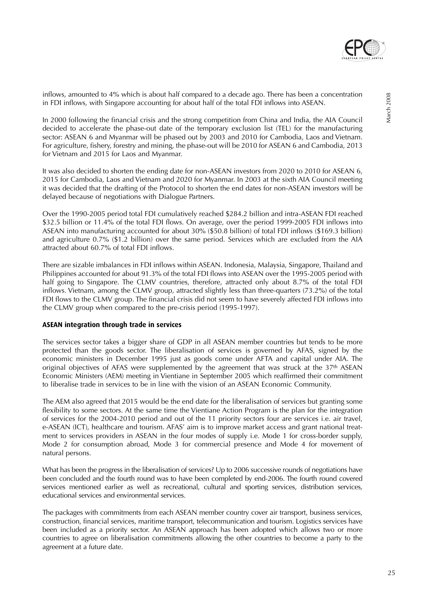

inflows, amounted to 4% which is about half compared to a decade ago. There has been a concentration in FDI inflows, with Singapore accounting for about half of the total FDI inflows into ASEAN.

In 2000 following the financial crisis and the strong competition from China and India, the AIA Council decided to accelerate the phase-out date of the temporary exclusion list (TEL) for the manufacturing sector: ASEAN 6 and Myanmar will be phased out by 2003 and 2010 for Cambodia, Laos and Vietnam. For agriculture, fishery, forestry and mining, the phase-out will be 2010 for ASEAN 6 and Cambodia, 2013 for Vietnam and 2015 for Laos and Myanmar.

It was also decided to shorten the ending date for non-ASEAN investors from 2020 to 2010 for ASEAN 6, 2015 for Cambodia, Laos and Vietnam and 2020 for Myanmar. In 2003 at the sixth AIA Council meeting it was decided that the drafting of the Protocol to shorten the end dates for non-ASEAN investors will be delayed because of negotiations with Dialogue Partners.

Over the 1990-2005 period total FDI cumulatively reached \$284.2 billion and intra-ASEAN FDI reached \$32.5 billion or 11.4% of the total FDI flows. On average, over the period 1999-2005 FDI inflows into ASEAN into manufacturing accounted for about 30% (\$50.8 billion) of total FDI inflows (\$169.3 billion) and agriculture 0.7% (\$1.2 billion) over the same period. Services which are excluded from the AIA attracted about 60.7% of total FDI inflows.

There are sizable imbalances in FDI inflows within ASEAN. Indonesia, Malaysia, Singapore, Thailand and Philippines accounted for about 91.3% of the total FDI flows into ASEAN over the 1995-2005 period with half going to Singapore. The CLMV countries, therefore, attracted only about 8.7% of the total FDI inflows. Vietnam, among the CLMV group, attracted slightly less than three-quarters (73.2%) of the total FDI flows to the CLMV group. The financial crisis did not seem to have severely affected FDI inflows into the CLMV group when compared to the pre-crisis period (1995-1997).

### **ASEAN integration through trade in services**

The services sector takes a bigger share of GDP in all ASEAN member countries but tends to be more protected than the goods sector. The liberalisation of services is governed by AFAS, signed by the economic ministers in December 1995 just as goods come under AFTA and capital under AIA. The original objectives of AFAS were supplemented by the agreement that was struck at the 37th ASEAN Economic Ministers (AEM) meeting in Vientiane in September 2005 which reaffirmed their commitment to liberalise trade in services to be in line with the vision of an ASEAN Economic Community.

The AEM also agreed that 2015 would be the end date for the liberalisation of services but granting some flexibility to some sectors. At the same time the Vientiane Action Program is the plan for the integration of services for the 2004-2010 period and out of the 11 priority sectors four are services i.e. air travel, e-ASEAN (ICT), healthcare and tourism. AFAS' aim is to improve market access and grant national treatment to services providers in ASEAN in the four modes of supply i.e. Mode 1 for cross-border supply, Mode 2 for consumption abroad, Mode 3 for commercial presence and Mode 4 for movement of natural persons.

What has been the progress in the liberalisation of services? Up to 2006 successive rounds of negotiations have been concluded and the fourth round was to have been completed by end-2006. The fourth round covered services mentioned earlier as well as recreational, cultural and sporting services, distribution services, educational services and environmental services.

The packages with commitments from each ASEAN member country cover air transport, business services, construction, financial services, maritime transport, telecommunication and tourism. Logistics services have been included as a priority sector. An ASEAN approach has been adopted which allows two or more countries to agree on liberalisation commitments allowing the other countries to become a party to the agreement at a future date.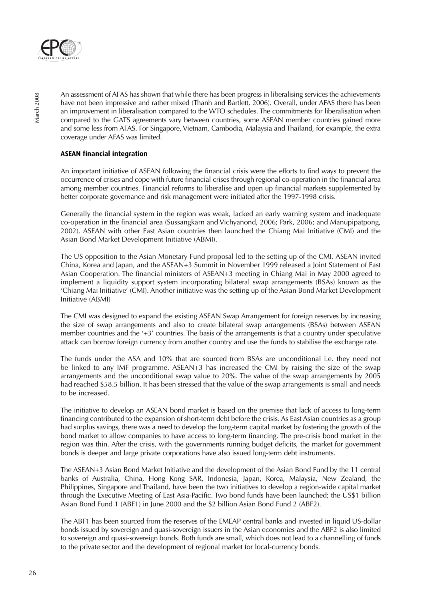

An assessment of AFAS has shown that while there has been progress in liberalising services the achievements have not been impressive and rather mixed (Thanh and Bartlett, 2006). Overall, under AFAS there has been an improvement in liberalisation compared to the WTO schedules. The commitments for liberalisation when compared to the GATS agreements vary between countries, some ASEAN member countries gained more and some less from AFAS. For Singapore, Vietnam, Cambodia, Malaysia and Thailand, for example, the extra coverage under AFAS was limited.

# **ASEAN financial integration**

An important initiative of ASEAN following the financial crisis were the efforts to find ways to prevent the occurrence of crises and cope with future financial crises through regional co-operation in the financial area among member countries. Financial reforms to liberalise and open up financial markets supplemented by better corporate governance and risk management were initiated after the 1997-1998 crisis.

Generally the financial system in the region was weak, lacked an early warning system and inadequate co-operation in the financial area (Sussangkarn and Vichyanond, 2006; Park, 2006; and Manupipatpong, 2002). ASEAN with other East Asian countries then launched the Chiang Mai Initiative (CMI) and the Asian Bond Market Development Initiative (ABMI).

The US opposition to the Asian Monetary Fund proposal led to the setting up of the CMI. ASEAN invited China, Korea and Japan, and the ASEAN+3 Summit in November 1999 released a Joint Statement of East Asian Cooperation. The financial ministers of ASEAN+3 meeting in Chiang Mai in May 2000 agreed to implement a liquidity support system incorporating bilateral swap arrangements (BSAs) known as the 'Chiang Mai Initiative' (CMI). Another initiative was the setting up of the Asian Bond Market Development Initiative (ABMI)

The CMI was designed to expand the existing ASEAN Swap Arrangement for foreign reserves by increasing the size of swap arrangements and also to create bilateral swap arrangements (BSAs) between ASEAN member countries and the '+3' countries. The basis of the arrangements is that a country under speculative attack can borrow foreign currency from another country and use the funds to stabilise the exchange rate.

The funds under the ASA and 10% that are sourced from BSAs are unconditional i.e. they need not be linked to any IMF programme. ASEAN+3 has increased the CMI by raising the size of the swap arrangements and the unconditional swap value to 20%. The value of the swap arrangements by 2005 had reached \$58.5 billion. It has been stressed that the value of the swap arrangements is small and needs to be increased.

The initiative to develop an ASEAN bond market is based on the premise that lack of access to long-term financing contributed to the expansion of short-term debt before the crisis. As East Asian countries as a group had surplus savings, there was a need to develop the long-term capital market by fostering the growth of the bond market to allow companies to have access to long-term financing. The pre-crisis bond market in the region was thin. After the crisis, with the governments running budget deficits, the market for government bonds is deeper and large private corporations have also issued long-term debt instruments.

The ASEAN+3 Asian Bond Market Initiative and the development of the Asian Bond Fund by the 11 central banks of Australia, China, Hong Kong SAR, Indonesia, Japan, Korea, Malaysia, New Zealand, the Philippines, Singapore and Thailand, have been the two initiatives to develop a region-wide capital market through the Executive Meeting of East Asia-Pacific. Two bond funds have been launched; the US\$1 billion Asian Bond Fund 1 (ABF1) in June 2000 and the \$2 billion Asian Bond Fund 2 (ABF2).

The ABF1 has been sourced from the reserves of the EMEAP central banks and invested in liquid US-dollar bonds issued by sovereign and quasi-sovereign issuers in the Asian economies and the ABF2 is also limited to sovereign and quasi-sovereign bonds. Both funds are small, which does not lead to a channelling of funds to the private sector and the development of regional market for local-currency bonds.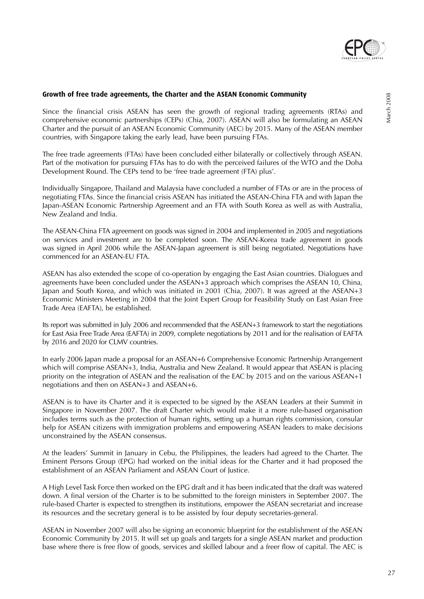

Since the financial crisis ASEAN has seen the growth of regional trading agreements (RTAs) and comprehensive economic partnerships (CEPs) (Chia, 2007). ASEAN will also be formulating an ASEAN Charter and the pursuit of an ASEAN Economic Community (AEC) by 2015. Many of the ASEAN member countries, with Singapore taking the early lead, have been pursuing FTAs.

The free trade agreements (FTAs) have been concluded either bilaterally or collectively through ASEAN. Part of the motivation for pursuing FTAs has to do with the perceived failures of the WTO and the Doha Development Round. The CEPs tend to be 'free trade agreement (FTA) plus'.

Individually Singapore, Thailand and Malaysia have concluded a number of FTAs or are in the process of negotiating FTAs. Since the financial crisis ASEAN has initiated the ASEAN-China FTA and with Japan the Japan-ASEAN Economic Partnership Agreement and an FTA with South Korea as well as with Australia, New Zealand and India.

The ASEAN-China FTA agreement on goods was signed in 2004 and implemented in 2005 and negotiations on services and investment are to be completed soon. The ASEAN-Korea trade agreement in goods was signed in April 2006 while the ASEAN-Japan agreement is still being negotiated. Negotiations have commenced for an ASEAN-EU FTA.

ASEAN has also extended the scope of co-operation by engaging the East Asian countries. Dialogues and agreements have been concluded under the ASEAN+3 approach which comprises the ASEAN 10, China, Japan and South Korea, and which was initiated in 2001 (Chia, 2007). It was agreed at the ASEAN+3 Economic Ministers Meeting in 2004 that the Joint Expert Group for Feasibility Study on East Asian Free Trade Area (EAFTA), be established.

Its report was submitted in July 2006 and recommended that the ASEAN+3 framework to start the negotiations for East Asia Free Trade Area (EAFTA) in 2009, complete negotiations by 2011 and for the realisation of EAFTA by 2016 and 2020 for CLMV countries.

In early 2006 Japan made a proposal for an ASEAN+6 Comprehensive Economic Partnership Arrangement which will comprise ASEAN+3, India, Australia and New Zealand. It would appear that ASEAN is placing priority on the integration of ASEAN and the realisation of the EAC by 2015 and on the various ASEAN+1 negotiations and then on ASEAN+3 and ASEAN+6.

ASEAN is to have its Charter and it is expected to be signed by the ASEAN Leaders at their Summit in Singapore in November 2007. The draft Charter which would make it a more rule-based organisation includes terms such as the protection of human rights, setting up a human rights commission, consular help for ASEAN citizens with immigration problems and empowering ASEAN leaders to make decisions unconstrained by the ASEAN consensus.

At the leaders' Summit in January in Cebu, the Philippines, the leaders had agreed to the Charter. The Eminent Persons Group (EPG) had worked on the initial ideas for the Charter and it had proposed the establishment of an ASEAN Parliament and ASEAN Court of Justice.

A High Level Task Force then worked on the EPG draft and it has been indicated that the draft was watered down. A final version of the Charter is to be submitted to the foreign ministers in September 2007. The rule-based Charter is expected to strengthen its institutions, empower the ASEAN secretariat and increase its resources and the secretary general is to be assisted by four deputy secretaries-general.

ASEAN in November 2007 will also be signing an economic blueprint for the establishment of the ASEAN Economic Community by 2015. It will set up goals and targets for a single ASEAN market and production base where there is free flow of goods, services and skilled labour and a freer flow of capital. The AEC is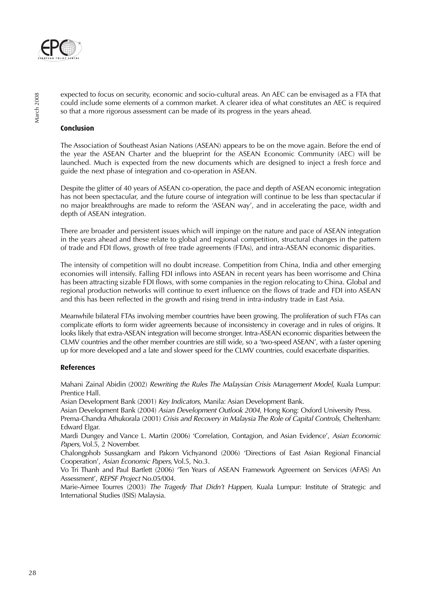

expected to focus on security, economic and socio-cultural areas. An AEC can be envisaged as a FTA that could include some elements of a common market. A clearer idea of what constitutes an AEC is required so that a more rigorous assessment can be made of its progress in the years ahead.

### **Conclusion**

The Association of Southeast Asian Nations (ASEAN) appears to be on the move again. Before the end of the year the ASEAN Charter and the blueprint for the ASEAN Economic Community (AEC) will be launched. Much is expected from the new documents which are designed to inject a fresh force and guide the next phase of integration and co-operation in ASEAN.

Despite the glitter of 40 years of ASEAN co-operation, the pace and depth of ASEAN economic integration has not been spectacular, and the future course of integration will continue to be less than spectacular if no major breakthroughs are made to reform the 'ASEAN way', and in accelerating the pace, width and depth of ASEAN integration.

There are broader and persistent issues which will impinge on the nature and pace of ASEAN integration in the years ahead and these relate to global and regional competition, structural changes in the pattern of trade and FDI flows, growth of free trade agreements (FTAs), and intra-ASEAN economic disparities.

The intensity of competition will no doubt increase. Competition from China, India and other emerging economies will intensify. Falling FDI inflows into ASEAN in recent years has been worrisome and China has been attracting sizable FDI flows, with some companies in the region relocating to China. Global and regional production networks will continue to exert influence on the flows of trade and FDI into ASEAN and this has been reflected in the growth and rising trend in intra-industry trade in East Asia.

Meanwhile bilateral FTAs involving member countries have been growing. The proliferation of such FTAs can complicate efforts to form wider agreements because of inconsistency in coverage and in rules of origins. It looks likely that extra-ASEAN integration will become stronger. Intra-ASEAN economic disparities between the CLMV countries and the other member countries are still wide, so a 'two-speed ASEAN', with a faster opening up for more developed and a late and slower speed for the CLMV countries, could exacerbate disparities.

# **References**

Mahani Zainal Abidin (2002) Rewriting the Rules The Malaysian Crisis Management Model, Kuala Lumpur: Prentice Hall.

Asian Development Bank (2001) Key Indicators, Manila: Asian Development Bank.

Asian Development Bank (2004) Asian Development Outlook 2004, Hong Kong: Oxford University Press. Prema-Chandra Athukorala (2001) Crisis and Recovery in Malaysia The Role of Capital Controls, Cheltenham: Edward Elgar.

Mardi Dungey and Vance L. Martin (2006) 'Correlation, Contagion, and Asian Evidence', Asian Economic Papers, Vol.5, 2 November.

Chalongphob Sussangkarn and Pakorn Vichyanond (2006) 'Directions of East Asian Regional Financial Cooperation', Asian Economic Papers, Vol.5, No.3.

Vo Tri Thanh and Paul Bartlett (2006) 'Ten Years of ASEAN Framework Agreement on Services (AFAS) An Assessment', REPSF Project No.05/004.

Marie-Aimee Tourres (2003) The Tragedy That Didn't Happen, Kuala Lumpur: Institute of Strategic and International Studies (ISIS) Malaysia.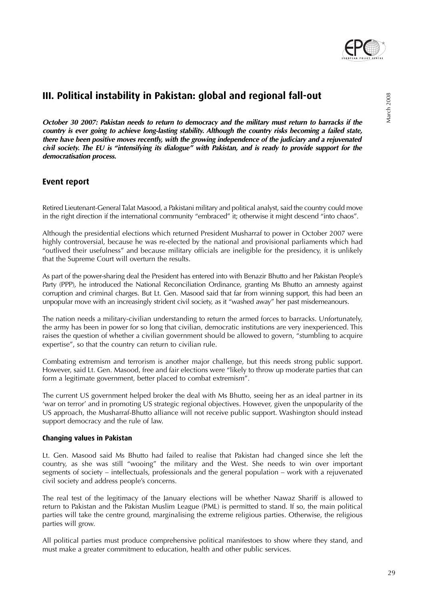

**October 30 2007: Pakistan needs to return to democracy and the military must return to barracks if the country is ever going to achieve long-lasting stability. Although the country risks becoming a failed state, there have been positive moves recently, with the growing independence of the judiciary and a rejuvenated civil society. The EU is "intensifying its dialogue" with Pakistan, and is ready to provide support for the democratisation process.**

# **Event report**

Retired Lieutenant-General Talat Masood, a Pakistani military and political analyst, said the country could move in the right direction if the international community "embraced" it; otherwise it might descend "into chaos".

Although the presidential elections which returned President Musharraf to power in October 2007 were highly controversial, because he was re-elected by the national and provisional parliaments which had "outlived their usefulness" and because military officials are ineligible for the presidency, it is unlikely that the Supreme Court will overturn the results.

As part of the power-sharing deal the President has entered into with Benazir Bhutto and her Pakistan People's Party (PPP), he introduced the National Reconciliation Ordinance, granting Ms Bhutto an amnesty against corruption and criminal charges. But Lt. Gen. Masood said that far from winning support, this had been an unpopular move with an increasingly strident civil society, as it "washed away" her past misdemeanours.

The nation needs a military-civilian understanding to return the armed forces to barracks. Unfortunately, the army has been in power for so long that civilian, democratic institutions are very inexperienced. This raises the question of whether a civilian government should be allowed to govern, "stumbling to acquire expertise", so that the country can return to civilian rule.

Combating extremism and terrorism is another major challenge, but this needs strong public support. However, said Lt. Gen. Masood, free and fair elections were "likely to throw up moderate parties that can form a legitimate government, better placed to combat extremism".

The current US government helped broker the deal with Ms Bhutto, seeing her as an ideal partner in its 'war on terror' and in promoting US strategic regional objectives. However, given the unpopularity of the US approach, the Musharraf-Bhutto alliance will not receive public support. Washington should instead support democracy and the rule of law.

# **Changing values in Pakistan**

Lt. Gen. Masood said Ms Bhutto had failed to realise that Pakistan had changed since she left the country, as she was still "wooing" the military and the West. She needs to win over important segments of society – intellectuals, professionals and the general population – work with a rejuvenated civil society and address people's concerns.

The real test of the legitimacy of the January elections will be whether Nawaz Shariff is allowed to return to Pakistan and the Pakistan Muslim League (PML) is permitted to stand. If so, the main political parties will take the centre ground, marginalising the extreme religious parties. Otherwise, the religious parties will grow.

All political parties must produce comprehensive political manifestoes to show where they stand, and must make a greater commitment to education, health and other public services.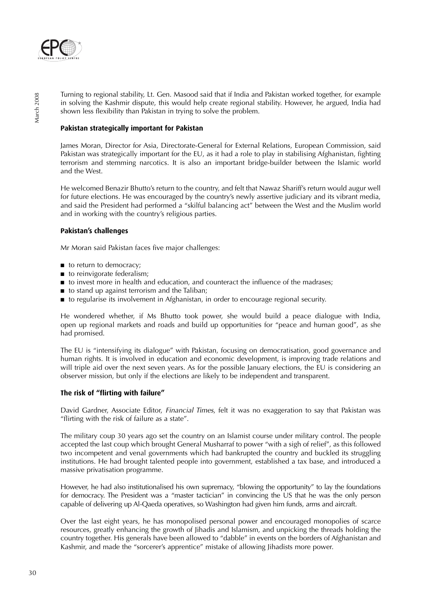

Turning to regional stability, Lt. Gen. Masood said that if India and Pakistan worked together, for example in solving the Kashmir dispute, this would help create regional stability. However, he argued, India had shown less flexibility than Pakistan in trying to solve the problem.

# **Pakistan strategically important for Pakistan**

James Moran, Director for Asia, Directorate-General for External Relations, European Commission, said Pakistan was strategically important for the EU, as it had a role to play in stabilising Afghanistan, fighting terrorism and stemming narcotics. It is also an important bridge-builder between the Islamic world and the West.

He welcomed Benazir Bhutto's return to the country, and felt that Nawaz Shariff's return would augur well for future elections. He was encouraged by the country's newly assertive judiciary and its vibrant media, and said the President had performed a "skilful balancing act" between the West and the Muslim world and in working with the country's religious parties.

# **Pakistan's challenges**

Mr Moran said Pakistan faces five major challenges:

- to return to democracy;
- to reinvigorate federalism;
- to invest more in health and education, and counteract the influence of the madrases;
- to stand up against terrorism and the Taliban;
- to regularise its involvement in Afghanistan, in order to encourage regional security.

He wondered whether, if Ms Bhutto took power, she would build a peace dialogue with India, open up regional markets and roads and build up opportunities for "peace and human good", as she had promised.

The EU is "intensifying its dialogue" with Pakistan, focusing on democratisation, good governance and human rights. It is involved in education and economic development, is improving trade relations and will triple aid over the next seven years. As for the possible January elections, the EU is considering an observer mission, but only if the elections are likely to be independent and transparent.

# **The risk of "flirting with failure"**

David Gardner, Associate Editor, *Financial Times*, felt it was no exaggeration to say that Pakistan was "flirting with the risk of failure as a state".

The military coup 30 years ago set the country on an Islamist course under military control. The people accepted the last coup which brought General Musharraf to power "with a sigh of relief", as this followed two incompetent and venal governments which had bankrupted the country and buckled its struggling institutions. He had brought talented people into government, established a tax base, and introduced a massive privatisation programme.

However, he had also institutionalised his own supremacy, "blowing the opportunity" to lay the foundations for democracy. The President was a "master tactician" in convincing the US that he was the only person capable of delivering up Al-Qaeda operatives, so Washington had given him funds, arms and aircraft.

Over the last eight years, he has monopolised personal power and encouraged monopolies of scarce resources, greatly enhancing the growth of Jihadis and Islamism, and unpicking the threads holding the country together. His generals have been allowed to "dabble" in events on the borders of Afghanistan and Kashmir, and made the "sorcerer's apprentice" mistake of allowing Jihadists more power.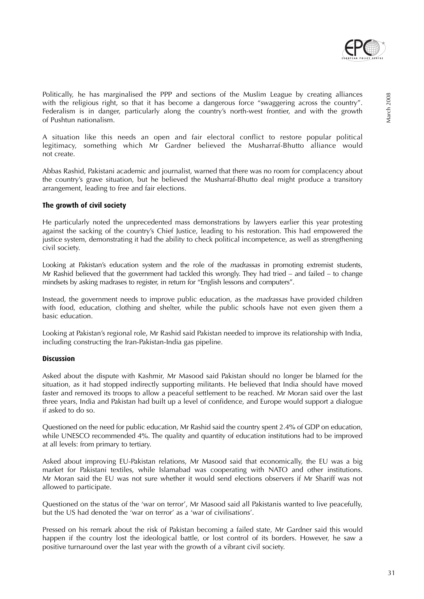

Politically, he has marginalised the PPP and sections of the Muslim League by creating alliances with the religious right, so that it has become a dangerous force "swaggering across the country". Federalism is in danger, particularly along the country's north-west frontier, and with the growth of Pushtun nationalism.

A situation like this needs an open and fair electoral conflict to restore popular political legitimacy, something which Mr Gardner believed the Musharraf-Bhutto alliance would not create.

Abbas Rashid, Pakistani academic and journalist, warned that there was no room for complacency about the country's grave situation, but he believed the Musharraf-Bhutto deal might produce a transitory arrangement, leading to free and fair elections.

### **The growth of civil society**

He particularly noted the unprecedented mass demonstrations by lawyers earlier this year protesting against the sacking of the country's Chief Justice, leading to his restoration. This had empowered the justice system, demonstrating it had the ability to check political incompetence, as well as strengthening civil society.

Looking at Pakistan's education system and the role of the *madrassas* in promoting extremist students, Mr Rashid believed that the government had tackled this wrongly. They had tried – and failed – to change mindsets by asking madrases to register, in return for "English lessons and computers".

Instead, the government needs to improve public education, as the madrassas have provided children with food, education, clothing and shelter, while the public schools have not even given them a basic education.

Looking at Pakistan's regional role, Mr Rashid said Pakistan needed to improve its relationship with India, including constructing the Iran-Pakistan-India gas pipeline.

#### **Discussion**

Asked about the dispute with Kashmir, Mr Masood said Pakistan should no longer be blamed for the situation, as it had stopped indirectly supporting militants. He believed that India should have moved faster and removed its troops to allow a peaceful settlement to be reached. Mr Moran said over the last three years, India and Pakistan had built up a level of confidence, and Europe would support a dialogue if asked to do so.

Questioned on the need for public education, Mr Rashid said the country spent 2.4% of GDP on education, while UNESCO recommended 4%. The quality and quantity of education institutions had to be improved at all levels: from primary to tertiary.

Asked about improving EU-Pakistan relations, Mr Masood said that economically, the EU was a big market for Pakistani textiles, while Islamabad was cooperating with NATO and other institutions. Mr Moran said the EU was not sure whether it would send elections observers if Mr Shariff was not allowed to participate.

Questioned on the status of the 'war on terror', Mr Masood said all Pakistanis wanted to live peacefully, but the US had denoted the 'war on terror' as a 'war of civilisations'.

Pressed on his remark about the risk of Pakistan becoming a failed state, Mr Gardner said this would happen if the country lost the ideological battle, or lost control of its borders. However, he saw a positive turnaround over the last year with the growth of a vibrant civil society.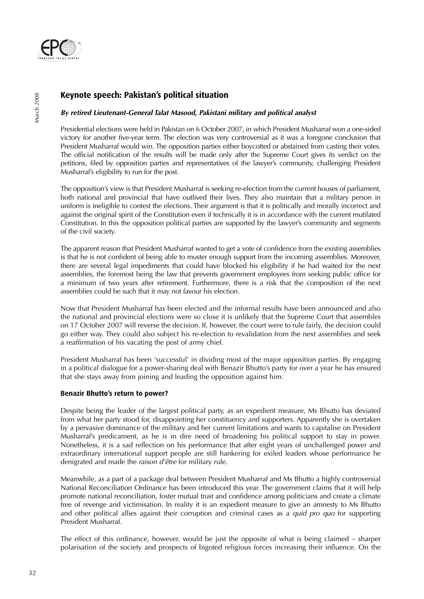

# **Keynote speech: Pakistan's political situation**

# **By retired Lieutenant-General Talat Masood, Pakistani military and political analyst**

Presidential elections were held in Pakistan on 6 October 2007, in which President Musharraf won a one-sided victory for another five-year term. The election was very controversial as it was a foregone conclusion that President Musharraf would win. The opposition parties either boycotted or abstained from casting their votes. The official notification of the results will be made only after the Supreme Court gives its verdict on the petitions, filed by opposition parties and representatives of the lawyer's community, challenging President Musharraf's eligibility to run for the post.

The opposition's view is that President Musharraf is seeking re-election from the current houses of parliament, both national and provincial that have outlived their lives. They also maintain that a military person in uniform is ineligible to contest the elections. Their argument is that it is politically and morally incorrect and against the original spirit of the Constitution even if technically it is in accordance with the current mutilated Constitution. In this the opposition political parties are supported by the lawyer's community and segments of the civil society.

The apparent reason that President Musharraf wanted to get a vote of confidence from the existing assemblies is that he is not confident of being able to muster enough support from the incoming assemblies. Moreover, there are several legal impediments that could have blocked his eligibility if he had waited for the next assemblies, the foremost being the law that prevents government employees from seeking public office for a minimum of two years after retirement. Furthermore, there is a risk that the composition of the next assemblies could be such that it may not favour his election.

Now that President Musharraf has been elected and the informal results have been announced and also the national and provincial elections were so close it is unlikely that the Supreme Court that assembles on 17 October 2007 will reverse the decision. If, however, the court were to rule fairly, the decision could go either way. They could also subject his re-election to revalidation from the next assemblies and seek a reaffirmation of his vacating the post of army chief.

President Musharraf has been 'successful' in dividing most of the major opposition parties. By engaging in a political dialogue for a power-sharing deal with Benazir Bhutto's party for over a year he has ensured that she stays away from joining and leading the opposition against him.

# **Benazir Bhutto's return to power?**

Despite being the leader of the largest political party, as an expedient measure, Ms Bhutto has deviated from what her party stood for, disappointing her constituency and supporters. Apparently she is overtaken by a pervasive dominance of the military and her current limitations and wants to capitalise on President Musharraf's predicament, as he is in dire need of broadening his political support to stay in power. Nonetheless, it is a sad reflection on his performance that after eight years of unchallenged power and extraordinary international support people are still hankering for exiled leaders whose performance he denigrated and made the raison d'être for military rule.

Meanwhile, as a part of a package deal between President Musharraf and Ms Bhutto a highly controversial National Reconciliation Ordinance has been introduced this year. The government claims that it will help promote national reconciliation, foster mutual trust and confidence among politicians and create a climate free of revenge and victimisation. In reality it is an expedient measure to give an amnesty to Ms Bhutto and other political allies against their corruption and criminal cases as a quid pro quo for supporting President Musharraf.

The effect of this ordinance, however, would be just the opposite of what is being claimed – sharper polarisation of the society and prospects of bigoted religious forces increasing their influence. On the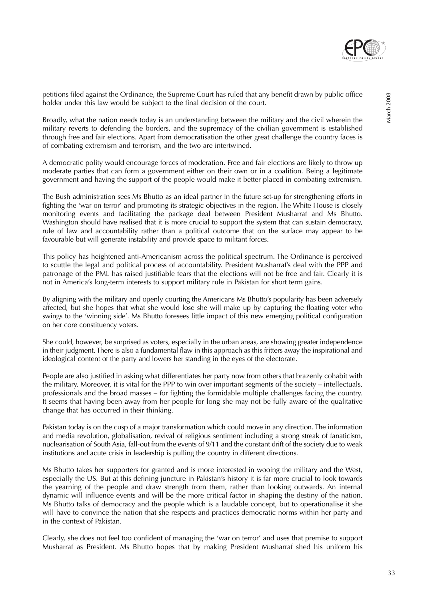

petitions filed against the Ordinance, the Supreme Court has ruled that any benefit drawn by public office holder under this law would be subject to the final decision of the court.

Broadly, what the nation needs today is an understanding between the military and the civil wherein the military reverts to defending the borders, and the supremacy of the civilian government is established through free and fair elections. Apart from democratisation the other great challenge the country faces is of combating extremism and terrorism, and the two are intertwined.

A democratic polity would encourage forces of moderation. Free and fair elections are likely to throw up moderate parties that can form a government either on their own or in a coalition. Being a legitimate government and having the support of the people would make it better placed in combating extremism.

The Bush administration sees Ms Bhutto as an ideal partner in the future set-up for strengthening efforts in fighting the 'war on terror' and promoting its strategic objectives in the region. The White House is closely monitoring events and facilitating the package deal between President Musharraf and Ms Bhutto. Washington should have realised that it is more crucial to support the system that can sustain democracy, rule of law and accountability rather than a political outcome that on the surface may appear to be favourable but will generate instability and provide space to militant forces.

This policy has heightened anti-Americanism across the political spectrum. The Ordinance is perceived to scuttle the legal and political process of accountability. President Musharraf's deal with the PPP and patronage of the PML has raised justifiable fears that the elections will not be free and fair. Clearly it is not in America's long-term interests to support military rule in Pakistan for short term gains.

By aligning with the military and openly courting the Americans Ms Bhutto's popularity has been adversely affected, but she hopes that what she would lose she will make up by capturing the floating voter who swings to the 'winning side'. Ms Bhutto foresees little impact of this new emerging political configuration on her core constituency voters.

She could, however, be surprised as voters, especially in the urban areas, are showing greater independence in their judgment. There is also a fundamental flaw in this approach as this fritters away the inspirational and ideological content of the party and lowers her standing in the eyes of the electorate.

People are also justified in asking what differentiates her party now from others that brazenly cohabit with the military. Moreover, it is vital for the PPP to win over important segments of the society – intellectuals, professionals and the broad masses – for fighting the formidable multiple challenges facing the country. It seems that having been away from her people for long she may not be fully aware of the qualitative change that has occurred in their thinking.

Pakistan today is on the cusp of a major transformation which could move in any direction. The information and media revolution, globalisation, revival of religious sentiment including a strong streak of fanaticism, nuclearisation of South Asia, fall-out from the events of 9/11 and the constant drift of the society due to weak institutions and acute crisis in leadership is pulling the country in different directions.

Ms Bhutto takes her supporters for granted and is more interested in wooing the military and the West, especially the US. But at this defining juncture in Pakistan's history it is far more crucial to look towards the yearning of the people and draw strength from them, rather than looking outwards. An internal dynamic will influence events and will be the more critical factor in shaping the destiny of the nation. Ms Bhutto talks of democracy and the people which is a laudable concept, but to operationalise it she will have to convince the nation that she respects and practices democratic norms within her party and in the context of Pakistan.

Clearly, she does not feel too confident of managing the 'war on terror' and uses that premise to support Musharraf as President. Ms Bhutto hopes that by making President Musharraf shed his uniform his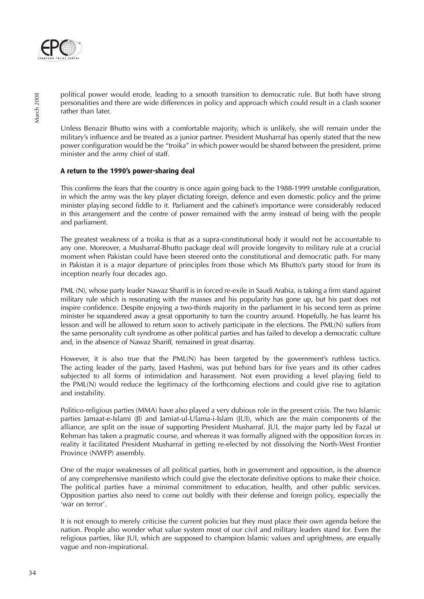

political power would erode, leading to a smooth transition to democratic rule. But both have strong personalities and there are wide differences in policy and approach which could result in a clash sooner rather than later.

Unless Benazir Bhutto wins with a comfortable majority, which is unlikely, she will remain under the military's influence and be treated as a junior partner. President Musharraf has openly stated that the new power configuration would be the "troika" in which power would be shared between the president, prime minister and the army chief of staff.

# **A return to the 1990's power-sharing deal**

This confirms the fears that the country is once again going back to the 1988-1999 unstable configuration, in which the army was the key player dictating foreign, defence and even domestic policy and the prime minister playing second fiddle to it. Parliament and the cabinet's importance were considerably reduced in this arrangement and the centre of power remained with the army instead of being with the people and parliament.

The greatest weakness of a troika is that as a supra-constitutional body it would not be accountable to any one. Moreover, a Musharraf-Bhutto package deal will provide longevity to military rule at a crucial moment when Pakistan could have been steered onto the constitutional and democratic path. For many in Pakistan it is a major departure of principles from those which Ms Bhutto's party stood for from its inception nearly four decades ago.

PML (N), whose party leader Nawaz Shariff is in forced re-exile in Saudi Arabia, is taking a firm stand against military rule which is resonating with the masses and his popularity has gone up, but his past does not inspire confidence. Despite enjoying a two-thirds majority in the parliament in his second term as prime minister he squandered away a great opportunity to turn the country around. Hopefully, he has learnt his lesson and will be allowed to return soon to actively participate in the elections. The PML(N) suffers from the same personality cult syndrome as other political parties and has failed to develop a democratic culture and, in the absence of Nawaz Shariff, remained in great disarray.

However, it is also true that the PML(N) has been targeted by the government's ruthless tactics. The acting leader of the party, Javed Hashmi, was put behind bars for five years and its other cadres subiected to all forms of intimidation and harassment. Not even providing a level playing field to the PML(N) would reduce the legitimacy of the forthcoming elections and could give rise to agitation and instability.

Politico-religious parties (MMA) have also played a very dubious role in the present crisis. The two Islamic parties Jamaat-e-Islami (JI) and Jamiat-ul-Ulama-i-Islam (JUI), which are the main components of the alliance, are split on the issue of supporting President Musharraf. JUI, the major party led by Fazal ur Rehman has taken a pragmatic course, and whereas it was formally aligned with the opposition forces in reality it facilitated President Musharraf in getting re-elected by not dissolving the North-West Frontier Province (NWFP) assembly.

One of the major weaknesses of all political parties, both in government and opposition, is the absence of any comprehensive manifesto which could give the electorate definitive options to make their choice. The political parties have a minimal commitment to education, health, and other public services. Opposition parties also need to come out boldly with their defense and foreign policy, especially the 'war on terror'.

It is not enough to merely criticise the current policies but they must place their own agenda before the nation. People also wonder what value system most of our civil and military leaders stand for. Even the religious parties, like JUI, which are supposed to champion Islamic values and uprightness, are equally vague and non-inspirational.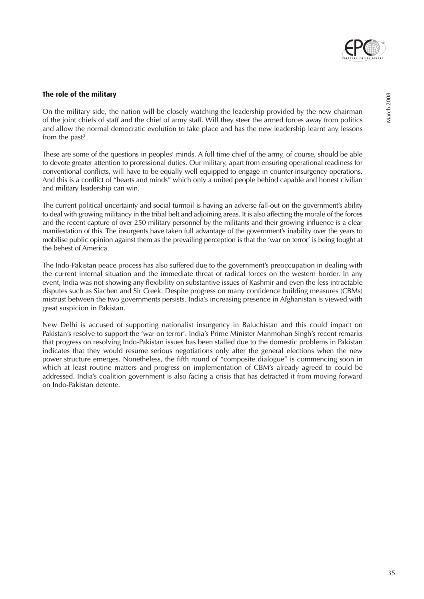

# **The role of the military**

On the military side, the nation will be closely watching the leadership provided by the new chairman of the joint chiefs of staff and the chief of army staff. Will they steer the armed forces away from politics and allow the normal democratic evolution to take place and has the new leadership learnt any lessons from the past?

These are some of the questions in peoples' minds. A full time chief of the army, of course, should be able to devote greater attention to professional duties. Our military, apart from ensuring operational readiness for conventional conflicts, will have to be equally well equipped to engage in counter-insurgency operations. And this is a conflict of "hearts and minds" which only a united people behind capable and honest civilian and military leadership can win.

The current political uncertainty and social turmoil is having an adverse fall-out on the government's ability to deal with growing militancy in the tribal belt and adjoining areas. It is also affecting the morale of the forces and the recent capture of over 250 military personnel by the militants and their growing influence is a clear manifestation of this. The insurgents have taken full advantage of the government's inability over the years to mobilise public opinion against them as the prevailing perception is that the 'war on terror' is being fought at the behest of America.

The Indo-Pakistan peace process has also suffered due to the government's preoccupation in dealing with the current internal situation and the immediate threat of radical forces on the western border. In any event, India was not showing any flexibility on substantive issues of Kashmir and even the less intractable disputes such as Siachen and Sir Creek. Despite progress on many confidence building measures (CBMs) mistrust between the two governments persists. India's increasing presence in Afghanistan is viewed with great suspicion in Pakistan.

New Delhi is accused of supporting nationalist insurgency in Baluchistan and this could impact on Pakistan's resolve to support the 'war on terror'. India's Prime Minister Manmohan Singh's recent remarks that progress on resolving Indo-Pakistan issues has been stalled due to the domestic problems in Pakistan indicates that they would resume serious negotiations only after the general elections when the new power structure emerges. Nonetheless, the fifth round of "composite dialogue" is commencing soon in which at least routine matters and progress on implementation of CBM's already agreed to could be addressed. India's coalition government is also facing a crisis that has detracted it from moving forward on Indo-Pakistan detente.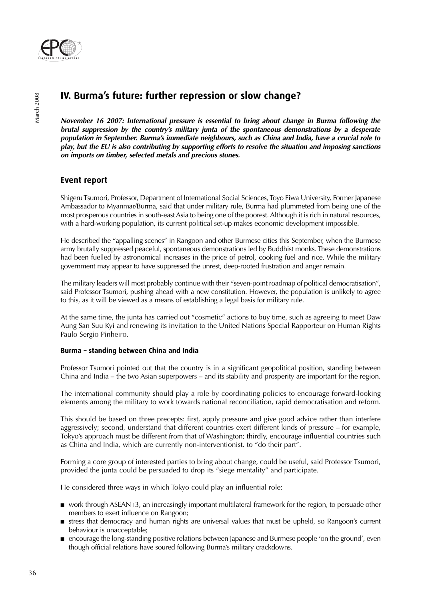

# **IV. Burma's future: further repression or slow change?**

**November 16 2007: International pressure is essential to bring about change in Burma following the brutal suppression by the country's military junta of the spontaneous demonstrations by a desperate population in September. Burma's immediate neighbours, such as China and India, have a crucial role to play, but the EU is also contributing by supporting efforts to resolve the situation and imposing sanctions on imports on timber, selected metals and precious stones.**

# **Event report**

Shigeru Tsumori, Professor, Department of International Social Sciences, Toyo Eiwa University, Former Japanese Ambassador to Myanmar/Burma, said that under military rule, Burma had plummeted from being one of the most prosperous countries in south-east Asia to being one of the poorest. Although it is rich in natural resources, with a hard-working population, its current political set-up makes economic development impossible.

He described the "appalling scenes" in Rangoon and other Burmese cities this September, when the Burmese army brutally suppressed peaceful, spontaneous demonstrations led by Buddhist monks. These demonstrations had been fuelled by astronomical increases in the price of petrol, cooking fuel and rice. While the military government may appear to have suppressed the unrest, deep-rooted frustration and anger remain.

The military leaders will most probably continue with their "seven-point roadmap of political democratisation", said Professor Tsumori, pushing ahead with a new constitution. However, the population is unlikely to agree to this, as it will be viewed as a means of establishing a legal basis for military rule.

At the same time, the junta has carried out "cosmetic" actions to buy time, such as agreeing to meet Daw Aung San Suu Kyi and renewing its invitation to the United Nations Special Rapporteur on Human Rights Paulo Sergio Pinheiro.

# **Burma – standing between China and India**

Professor Tsumori pointed out that the country is in a significant geopolitical position, standing between China and India – the two Asian superpowers – and its stability and prosperity are important for the region.

The international community should play a role by coordinating policies to encourage forward-looking elements among the military to work towards national reconciliation, rapid democratisation and reform.

This should be based on three precepts: first, apply pressure and give good advice rather than interfere aggressively; second, understand that different countries exert different kinds of pressure – for example, Tokyo's approach must be different from that of Washington; thirdly, encourage influential countries such as China and India, which are currently non-interventionist, to "do their part".

Forming a core group of interested parties to bring about change, could be useful, said Professor Tsumori, provided the junta could be persuaded to drop its "siege mentality" and participate.

He considered three ways in which Tokyo could play an influential role:

- work through ASEAN+3, an increasingly important multilateral framework for the region, to persuade other members to exert influence on Rangoon;
- stress that democracy and human rights are universal values that must be upheld, so Rangoon's current behaviour is unacceptable;
- encourage the long-standing positive relations between Japanese and Burmese people 'on the ground', even though official relations have soured following Burma's military crackdowns.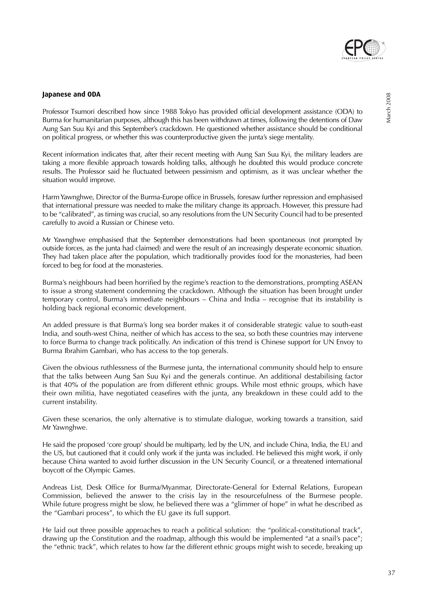

Professor Tsumori described how since 1988 Tokyo has provided official development assistance (ODA) to Burma for humanitarian purposes, although this has been withdrawn at times, following the detentions of Daw Aung San Suu Kyi and this September's crackdown. He questioned whether assistance should be conditional on political progress, or whether this was counterproductive given the junta's siege mentality.

Recent information indicates that, after their recent meeting with Aung San Suu Kyi, the military leaders are taking a more flexible approach towards holding talks, although he doubted this would produce concrete results. The Professor said he fluctuated between pessimism and optimism, as it was unclear whether the situation would improve.

Harm Yawnghwe, Director of the Burma-Europe office in Brussels, foresaw further repression and emphasised that international pressure was needed to make the military change its approach. However, this pressure had to be "calibrated", as timing was crucial, so any resolutions from the UN Security Council had to be presented carefully to avoid a Russian or Chinese veto.

Mr Yawnghwe emphasised that the September demonstrations had been spontaneous (not prompted by outside forces, as the junta had claimed) and were the result of an increasingly desperate economic situation. They had taken place after the population, which traditionally provides food for the monasteries, had been forced to beg for food at the monasteries.

Burma's neighbours had been horrified by the regime's reaction to the demonstrations, prompting ASEAN to issue a strong statement condemning the crackdown. Although the situation has been brought under temporary control, Burma's immediate neighbours – China and India – recognise that its instability is holding back regional economic development.

An added pressure is that Burma's long sea border makes it of considerable strategic value to south-east India, and south-west China, neither of which has access to the sea, so both these countries may intervene to force Burma to change track politically. An indication of this trend is Chinese support for UN Envoy to Burma Ibrahim Gambari, who has access to the top generals.

Given the obvious ruthlessness of the Burmese junta, the international community should help to ensure that the talks between Aung San Suu Kyi and the generals continue. An additional destabilising factor is that 40% of the population are from different ethnic groups. While most ethnic groups, which have their own militia, have negotiated ceasefires with the junta, any breakdown in these could add to the current instability.

Given these scenarios, the only alternative is to stimulate dialogue, working towards a transition, said Mr Yawnghwe.

He said the proposed 'core group' should be multiparty, led by the UN, and include China, India, the EU and the US, but cautioned that it could only work if the junta was included. He believed this might work, if only because China wanted to avoid further discussion in the UN Security Council, or a threatened international boycott of the Olympic Games.

Andreas List, Desk Office for Burma/Myanmar, Directorate-General for External Relations, European Commission, believed the answer to the crisis lay in the resourcefulness of the Burmese people. While future progress might be slow, he believed there was a "glimmer of hope" in what he described as the "Gambari process", to which the EU gave its full support.

He laid out three possible approaches to reach a political solution: the "political-constitutional track", drawing up the Constitution and the roadmap, although this would be implemented "at a snail's pace"; the "ethnic track", which relates to how far the different ethnic groups might wish to secede, breaking up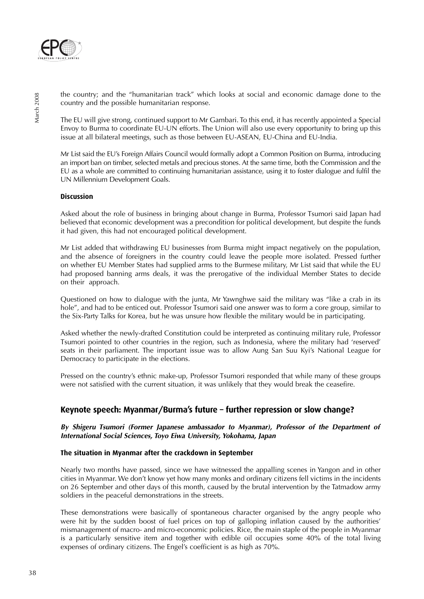

the country; and the "humanitarian track" which looks at social and economic damage done to the country and the possible humanitarian response.

The EU will give strong, continued support to Mr Gambari. To this end, it has recently appointed a Special Envoy to Burma to coordinate EU-UN efforts. The Union will also use every opportunity to bring up this issue at all bilateral meetings, such as those between EU-ASEAN, EU-China and EU-India.

Mr List said the EU's Foreign Affairs Council would formally adopt a Common Position on Burma, introducing an import ban on timber, selected metals and precious stones. At the same time, both the Commission and the EU as a whole are committed to continuing humanitarian assistance, using it to foster dialogue and fulfil the UN Millennium Development Goals.

### **Discussion**

Asked about the role of business in bringing about change in Burma, Professor Tsumori said Japan had believed that economic development was a precondition for political development, but despite the funds it had given, this had not encouraged political development.

Mr List added that withdrawing EU businesses from Burma might impact negatively on the population, and the absence of foreigners in the country could leave the people more isolated. Pressed further on whether EU Member States had supplied arms to the Burmese military, Mr List said that while the EU had proposed banning arms deals, it was the prerogative of the individual Member States to decide on their approach.

Questioned on how to dialogue with the junta, Mr Yawnghwe said the military was "like a crab in its hole", and had to be enticed out. Professor Tsumori said one answer was to form a core group, similar to the Six-Party Talks for Korea, but he was unsure how flexible the military would be in participating.

Asked whether the newly-drafted Constitution could be interpreted as continuing military rule, Professor Tsumori pointed to other countries in the region, such as Indonesia, where the military had 'reserved' seats in their parliament. The important issue was to allow Aung San Suu Kyi's National League for Democracy to participate in the elections.

Pressed on the country's ethnic make-up, Professor Tsumori responded that while many of these groups were not satisfied with the current situation, it was unlikely that they would break the ceasefire.

# **Keynote speech: Myanmar/Burma's future – further repression or slow change?**

**By Shigeru Tsumori (Former Japanese ambassador to Myanmar), Professor of the Department of International Social Sciences, Toyo Eiwa University, Yokohama, Japan**

#### **The situation in Myanmar after the crackdown in September**

Nearly two months have passed, since we have witnessed the appalling scenes in Yangon and in other cities in Myanmar. We don't know yet how many monks and ordinary citizens fell victims in the incidents on 26 September and other days of this month, caused by the brutal intervention by the Tatmadow army soldiers in the peaceful demonstrations in the streets.

These demonstrations were basically of spontaneous character organised by the angry people who were hit by the sudden boost of fuel prices on top of galloping inflation caused by the authorities' mismanagement of macro- and micro-economic policies. Rice, the main staple of the people in Myanmar is a particularly sensitive item and together with edible oil occupies some 40% of the total living expenses of ordinary citizens. The Engel's coefficient is as high as 70%.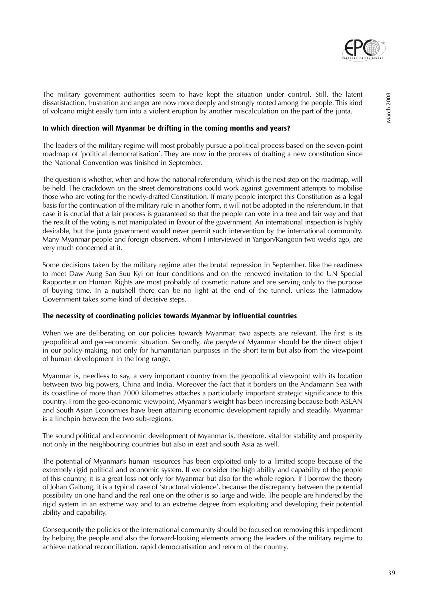

The military government authorities seem to have kept the situation under control. Still, the latent dissatisfaction, frustration and anger are now more deeply and strongly rooted among the people. This kind of volcano might easily turn into a violent eruption by another miscalculation on the part of the junta.

### **In which direction will Myanmar be drifting in the coming months and years?**

The leaders of the military regime will most probably pursue a political process based on the seven-point roadmap of 'political democratisation'. They are now in the process of drafting a new constitution since the National Convention was finished in September.

The question is whether, when and how the national referendum, which is the next step on the roadmap, will be held. The crackdown on the street demonstrations could work against government attempts to mobilise those who are voting for the newly-drafted Constitution. If many people interpret this Constitution as a legal basis for the continuation of the military rule in another form, it will not be adopted in the referendum. In that case it is crucial that a fair process is guaranteed so that the people can vote in a free and fair way and that the result of the voting is not manipulated in favour of the government. An international inspection is highly desirable, but the junta government would never permit such intervention by the international community. Many Myanmar people and foreign observers, whom I interviewed in Yangon/Rangoon two weeks ago, are very much concerned at it.

Some decisions taken by the military regime after the brutal repression in September, like the readiness to meet Daw Aung San Suu Kyi on four conditions and on the renewed invitation to the UN Special Rapporteur on Human Rights are most probably of cosmetic nature and are serving only to the purpose of buying time. In a nutshell there can be no light at the end of the tunnel, unless the Tatmadow Government takes some kind of decisive steps.

#### **The necessity of coordinating policies towards Myanmar by influential countries**

When we are deliberating on our policies towards Myanmar, two aspects are relevant. The first is its geopolitical and geo-economic situation. Secondly, the people of Myanmar should be the direct object in our policy-making, not only for humanitarian purposes in the short term but also from the viewpoint of human development in the long range.

Myanmar is, needless to say, a very important country from the geopolitical viewpoint with its location between two big powers, China and India. Moreover the fact that it borders on the Andamann Sea with its coastline of more than 2000 kilometres attaches a particularly important strategic significance to this country. From the geo-economic viewpoint, Myanmar's weight has been increasing because both ASEAN and South Asian Economies have been attaining economic development rapidly and steadily. Myanmar is a linchpin between the two sub-regions.

The sound political and economic development of Myanmar is, therefore, vital for stability and prosperity not only in the neighbouring countries but also in east and south Asia as well.

The potential of Myanmar's human resources has been exploited only to a limited scope because of the extremely rigid political and economic system. If we consider the high ability and capability of the people of this country, it is a great loss not only for Myanmar but also for the whole region. If I borrow the theory of Johan Galtung, it is a typical case of 'structural violence', because the discrepancy between the potential possibility on one hand and the real one on the other is so large and wide. The people are hindered by the rigid system in an extreme way and to an extreme degree from exploiting and developing their potential ability and capability.

Consequently the policies of the international community should be focused on removing this impediment by helping the people and also the forward-looking elements among the leaders of the military regime to achieve national reconciliation, rapid democratisation and reform of the country.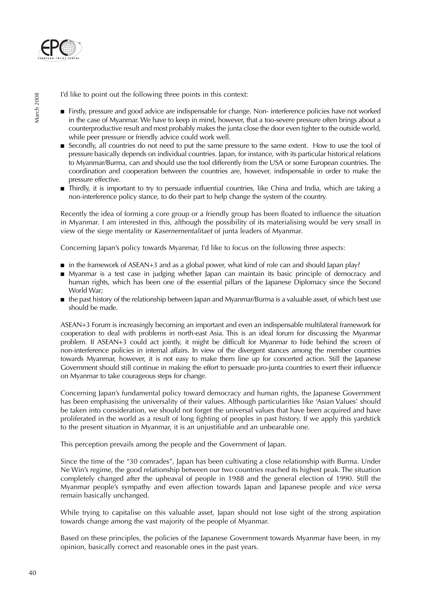

I'd like to point out the following three points in this context:

- Firstly, pressure and good advice are indispensable for change. Non- interference policies have not worked in the case of Myanmar. We have to keep in mind, however, that a too-severe pressure often brings about a counterproductive result and most probably makes the junta close the door even tighter to the outside world, while peer pressure or friendly advice could work well.
- Secondly, all countries do not need to put the same pressure to the same extent. How to use the tool of pressure basically depends on individual countries. Japan, for instance, with its particular historical relations to Myanmar/Burma, can and should use the tool differently from the USA or some European countries. The coordination and cooperation between the countries are, however, indispensable in order to make the pressure effective.
- Thirdly, it is important to try to persuade influential countries, like China and India, which are taking a non-interference policy stance, to do their part to help change the system of the country.

Recently the idea of forming a core group or a friendly group has been floated to influence the situation in Myanmar. I am interested in this, although the possibility of its materialising would be very small in view of the siege mentality or Kasernementalitaet of junta leaders of Myanmar.

Concerning Japan's policy towards Myanmar, I'd like to focus on the following three aspects:

- in the framework of ASEAN+3 and as a global power, what kind of role can and should Japan play?
- Myanmar is a test case in judging whether Japan can maintain its basic principle of democracy and human rights, which has been one of the essential pillars of the Japanese Diplomacy since the Second World War;
- the past history of the relationship between Japan and Myanmar/Burma is a valuable asset, of which best use should be made.

ASEAN+3 Forum is increasingly becoming an important and even an indispensable multilateral framework for cooperation to deal with problems in north-east Asia. This is an ideal forum for discussing the Myanmar problem. If ASEAN+3 could act jointly, it might be difficult for Myanmar to hide behind the screen of non-interference policies in internal affairs. In view of the divergent stances among the member countries towards Myanmar, however, it is not easy to make them line up for concerted action. Still the Japanese Government should still continue in making the effort to persuade pro-junta countries to exert their influence on Myanmar to take courageous steps for change.

Concerning Japan's fundamental policy toward democracy and human rights, the Japanese Government has been emphasising the universality of their values. Although particularities like 'Asian Values' should be taken into consideration, we should not forget the universal values that have been acquired and have proliferated in the world as a result of long fighting of peoples in past history. If we apply this yardstick to the present situation in Myanmar, it is an unjustifiable and an unbearable one.

This perception prevails among the people and the Government of Japan.

Since the time of the "30 comrades", Japan has been cultivating a close relationship with Burma. Under Ne Win's regime, the good relationship between our two countries reached its highest peak. The situation completely changed after the upheaval of people in 1988 and the general election of 1990. Still the Myanmar people's sympathy and even affection towards Japan and Japanese people and vice versa remain basically unchanged.

While trying to capitalise on this valuable asset, Japan should not lose sight of the strong aspiration towards change among the vast majority of the people of Myanmar.

Based on these principles, the policies of the Japanese Government towards Myanmar have been, in my opinion, basically correct and reasonable ones in the past years.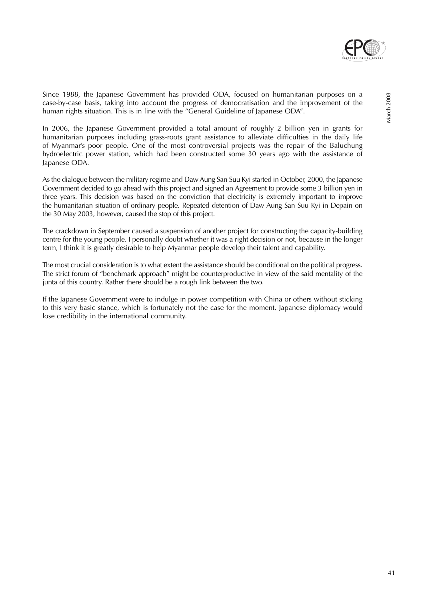

In 2006, the Japanese Government provided a total amount of roughly 2 billion yen in grants for humanitarian purposes including grass-roots grant assistance to alleviate difficulties in the daily life of Myanmar's poor people. One of the most controversial projects was the repair of the Baluchung hydroelectric power station, which had been constructed some 30 years ago with the assistance of Japanese ODA.

As the dialogue between the military regime and Daw Aung San Suu Kyi started in October, 2000, the Japanese Government decided to go ahead with this project and signed an Agreement to provide some 3 billion yen in three years. This decision was based on the conviction that electricity is extremely important to improve the humanitarian situation of ordinary people. Repeated detention of Daw Aung San Suu Kyi in Depain on the 30 May 2003, however, caused the stop of this project.

The crackdown in September caused a suspension of another project for constructing the capacity-building centre for the young people. I personally doubt whether it was a right decision or not, because in the longer term, I think it is greatly desirable to help Myanmar people develop their talent and capability.

The most crucial consideration is to what extent the assistance should be conditional on the political progress. The strict forum of "benchmark approach" might be counterproductive in view of the said mentality of the junta of this country. Rather there should be a rough link between the two.

If the Japanese Government were to indulge in power competition with China or others without sticking to this very basic stance, which is fortunately not the case for the moment, Japanese diplomacy would lose credibility in the international community.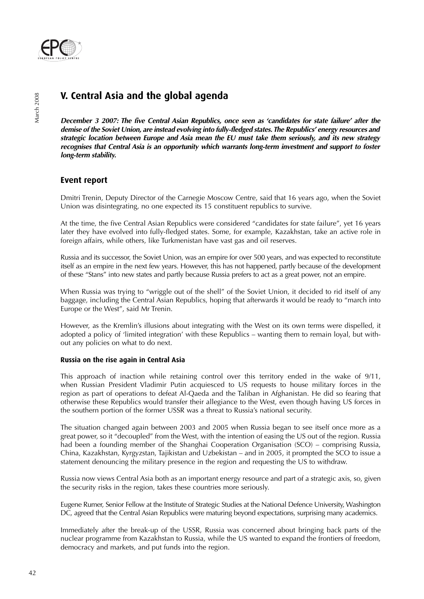

# **V. Central Asia and the global agenda**

**December 3 2007: The five Central Asian Republics, once seen as 'candidates for state failure' after the demise of the Soviet Union, are instead evolving into fully-fledged states. The Republics' energy resources and strategic location between Europe and Asia mean the EU must take them seriously, and its new strategy recognises that Central Asia is an opportunity which warrants long-term investment and support to foster long-term stability.**

# **Event report**

Dmitri Trenin, Deputy Director of the Carnegie Moscow Centre, said that 16 years ago, when the Soviet Union was disintegrating, no one expected its 15 constituent republics to survive.

At the time, the five Central Asian Republics were considered "candidates for state failure", yet 16 years later they have evolved into fully-fledged states. Some, for example, Kazakhstan, take an active role in foreign affairs, while others, like Turkmenistan have vast gas and oil reserves.

Russia and its successor, the Soviet Union, was an empire for over 500 years, and was expected to reconstitute itself as an empire in the next few years. However, this has not happened, partly because of the development of these "Stans" into new states and partly because Russia prefers to act as a great power, not an empire.

When Russia was trying to "wriggle out of the shell" of the Soviet Union, it decided to rid itself of any baggage, including the Central Asian Republics, hoping that afterwards it would be ready to "march into Europe or the West", said Mr Trenin.

However, as the Kremlin's illusions about integrating with the West on its own terms were dispelled, it adopted a policy of 'limited integration' with these Republics – wanting them to remain loyal, but without any policies on what to do next.

# **Russia on the rise again in Central Asia**

This approach of inaction while retaining control over this territory ended in the wake of 9/11, when Russian President Vladimir Putin acquiesced to US requests to house military forces in the region as part of operations to defeat Al-Qaeda and the Taliban in Afghanistan. He did so fearing that otherwise these Republics would transfer their allegiance to the West, even though having US forces in the southern portion of the former USSR was a threat to Russia's national security.

The situation changed again between 2003 and 2005 when Russia began to see itself once more as a great power, so it "decoupled" from the West, with the intention of easing the US out of the region. Russia had been a founding member of the Shanghai Cooperation Organisation (SCO) – comprising Russia, China, Kazakhstan, Kyrgyzstan, Tajikistan and Uzbekistan – and in 2005, it prompted the SCO to issue a statement denouncing the military presence in the region and requesting the US to withdraw.

Russia now views Central Asia both as an important energy resource and part of a strategic axis, so, given the security risks in the region, takes these countries more seriously.

Eugene Rumer, Senior Fellow at the Institute of Strategic Studies at the National Defence University, Washington DC, agreed that the Central Asian Republics were maturing beyond expectations, surprising many academics.

Immediately after the break-up of the USSR, Russia was concerned about bringing back parts of the nuclear programme from Kazakhstan to Russia, while the US wanted to expand the frontiers of freedom, democracy and markets, and put funds into the region.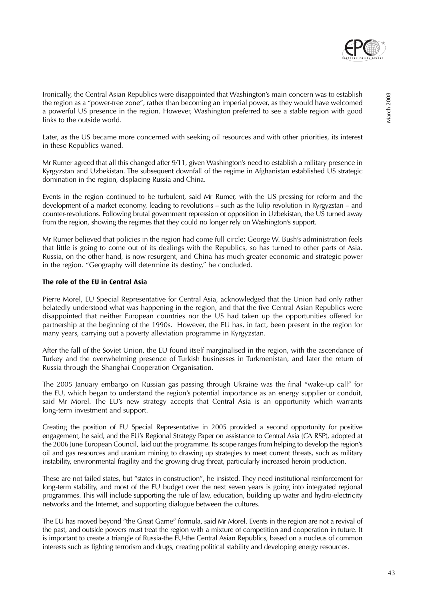

Ironically, the Central Asian Republics were disappointed that Washington's main concern was to establish the region as a "power-free zone", rather than becoming an imperial power, as they would have welcomed a powerful US presence in the region. However, Washington preferred to see a stable region with good links to the outside world.

Later, as the US became more concerned with seeking oil resources and with other priorities, its interest in these Republics waned.

Mr Rumer agreed that all this changed after 9/11, given Washington's need to establish a military presence in Kyrgyzstan and Uzbekistan. The subsequent downfall of the regime in Afghanistan established US strategic domination in the region, displacing Russia and China.

Events in the region continued to be turbulent, said Mr Rumer, with the US pressing for reform and the development of a market economy, leading to revolutions – such as the Tulip revolution in Kyrgyzstan – and counter-revolutions. Following brutal government repression of opposition in Uzbekistan, the US turned away from the region, showing the regimes that they could no longer rely on Washington's support.

Mr Rumer believed that policies in the region had come full circle: George W. Bush's administration feels that little is going to come out of its dealings with the Republics, so has turned to other parts of Asia. Russia, on the other hand, is now resurgent, and China has much greater economic and strategic power in the region. "Geography will determine its destiny," he concluded.

### **The role of the EU in Central Asia**

Pierre Morel, EU Special Representative for Central Asia, acknowledged that the Union had only rather belatedly understood what was happening in the region, and that the five Central Asian Republics were disappointed that neither European countries nor the US had taken up the opportunities offered for partnership at the beginning of the 1990s. However, the EU has, in fact, been present in the region for many years, carrying out a poverty alleviation programme in Kyrgyzstan.

After the fall of the Soviet Union, the EU found itself marginalised in the region, with the ascendance of Turkey and the overwhelming presence of Turkish businesses in Turkmenistan, and later the return of Russia through the Shanghai Cooperation Organisation.

The 2005 January embargo on Russian gas passing through Ukraine was the final "wake-up call" for the EU, which began to understand the region's potential importance as an energy supplier or conduit, said Mr Morel. The EU's new strategy accepts that Central Asia is an opportunity which warrants long-term investment and support.

Creating the position of EU Special Representative in 2005 provided a second opportunity for positive engagement, he said, and the EU's Regional Strategy Paper on assistance to Central Asia (CA RSP), adopted at the 2006 June European Council, laid out the programme. Its scope ranges from helping to develop the region's oil and gas resources and uranium mining to drawing up strategies to meet current threats, such as military instability, environmental fragility and the growing drug threat, particularly increased heroin production.

These are not failed states, but "states in construction", he insisted. They need institutional reinforcement for long-term stability, and most of the EU budget over the next seven years is going into integrated regional programmes. This will include supporting the rule of law, education, building up water and hydro-electricity networks and the Internet, and supporting dialogue between the cultures.

The EU has moved beyond "the Great Game" formula, said Mr Morel. Events in the region are not a revival of the past, and outside powers must treat the region with a mixture of competition and cooperation in future. It is important to create a triangle of Russia-the EU-the Central Asian Republics, based on a nucleus of common interests such as fighting terrorism and drugs, creating political stability and developing energy resources.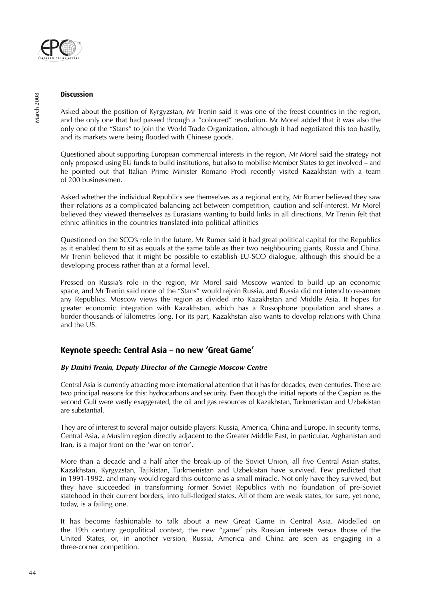

### **Discussion**

Asked about the position of Kyrgyzstan, Mr Trenin said it was one of the freest countries in the region, and the only one that had passed through a "coloured" revolution. Mr Morel added that it was also the only one of the "Stans" to join the World Trade Organization, although it had negotiated this too hastily, and its markets were being flooded with Chinese goods.

Questioned about supporting European commercial interests in the region, Mr Morel said the strategy not only proposed using EU funds to build institutions, but also to mobilise Member States to get involved – and he pointed out that Italian Prime Minister Romano Prodi recently visited Kazakhstan with a team of 200 businessmen.

Asked whether the individual Republics see themselves as a regional entity, Mr Rumer believed they saw their relations as a complicated balancing act between competition, caution and self-interest. Mr Morel believed they viewed themselves as Eurasians wanting to build links in all directions. Mr Trenin felt that ethnic affinities in the countries translated into political affinities

Questioned on the SCO's role in the future, Mr Rumer said it had great political capital for the Republics as it enabled them to sit as equals at the same table as their two neighbouring giants, Russia and China. Mr Trenin believed that it might be possible to establish EU-SCO dialogue, although this should be a developing process rather than at a formal level.

Pressed on Russia's role in the region, Mr Morel said Moscow wanted to build up an economic space, and Mr Trenin said none of the "Stans" would rejoin Russia, and Russia did not intend to re-annex any Republics. Moscow views the region as divided into Kazakhstan and Middle Asia. It hopes for greater economic integration with Kazakhstan, which has a Russophone population and shares a border thousands of kilometres long. For its part, Kazakhstan also wants to develop relations with China and the US.

# **Keynote speech: Central Asia – no new 'Great Game'**

# **By Dmitri Trenin, Deputy Director of the Carnegie Moscow Centre**

Central Asia is currently attracting more international attention that it has for decades, even centuries. There are two principal reasons for this: hydrocarbons and security. Even though the initial reports of the Caspian as the second Gulf were vastly exaggerated, the oil and gas resources of Kazakhstan, Turkmenistan and Uzbekistan are substantial.

They are of interest to several major outside players: Russia, America, China and Europe. In security terms, Central Asia, a Muslim region directly adjacent to the Greater Middle East, in particular, Afghanistan and Iran, is a major front on the 'war on terror'.

More than a decade and a half after the break-up of the Soviet Union, all five Central Asian states, Kazakhstan, Kyrgyzstan, Tajikistan, Turkmenistan and Uzbekistan have survived. Few predicted that in 1991-1992, and many would regard this outcome as a small miracle. Not only have they survived, but they have succeeded in transforming former Soviet Republics with no foundation of pre-Soviet statehood in their current borders, into full-fledged states. All of them are weak states, for sure, yet none, today, is a failing one.

It has become fashionable to talk about a new Great Game in Central Asia. Modelled on the 19th century geopolitical context, the new "game" pits Russian interests versus those of the United States, or, in another version, Russia, America and China are seen as engaging in a three-corner competition.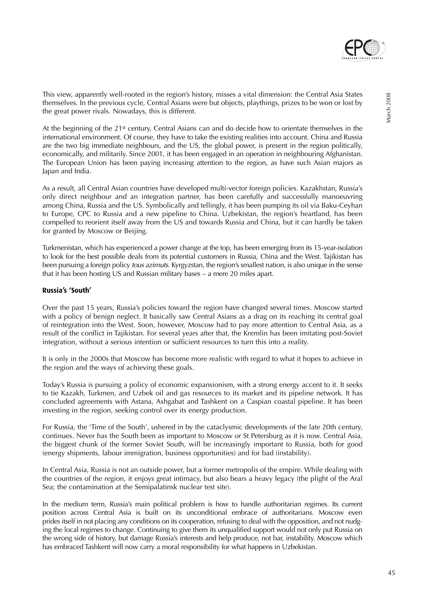

March 2008

March 2008

This view, apparently well-rooted in the region's history, misses a vital dimension: the Central Asia States themselves. In the previous cycle, Central Asians were but objects, playthings, prizes to be won or lost by the great power rivals. Nowadays, this is different.

At the beginning of the 21<sup>st</sup> century, Central Asians can and do decide how to orientate themselves in the international environment. Of course, they have to take the existing realities into account. China and Russia are the two big immediate neighbours, and the US, the global power, is present in the region politically, economically, and militarily. Since 2001, it has been engaged in an operation in neighbouring Afghanistan. The European Union has been paying increasing attention to the region, as have such Asian majors as Japan and India.

As a result, all Central Asian countries have developed multi-vector foreign policies. Kazakhstan, Russia's only direct neighbour and an integration partner, has been carefully and successfully manoeuvring among China, Russia and the US. Symbolically and tellingly, it has been pumping its oil via Baku-Ceyhan to Europe, CPC to Russia and a new pipeline to China. Uzbekistan, the region's heartland, has been compelled to reorient itself away from the US and towards Russia and China, but it can hardly be taken for granted by Moscow or Beijing.

Turkmenistan, which has experienced a power change at the top, has been emerging from its 15-year-isolation to look for the best possible deals from its potential customers in Russia, China and the West. Tajikistan has been pursuing a foreign policy tous azimuts. Kyrgyzstan, the region's smallest nation, is also unique in the sense that it has been hosting US and Russian military bases – a mere 20 miles apart.

#### **Russia's 'South'**

Over the past 15 years, Russia's policies toward the region have changed several times. Moscow started with a policy of benign neglect. It basically saw Central Asians as a drag on its reaching its central goal of reintegration into the West. Soon, however, Moscow had to pay more attention to Central Asia, as a result of the conflict in Tajikistan. For several years after that, the Kremlin has been imitating post-Soviet integration, without a serious intention or sufficient resources to turn this into a reality.

It is only in the 2000s that Moscow has become more realistic with regard to what it hopes to achieve in the region and the ways of achieving these goals.

Today's Russia is pursuing a policy of economic expansionism, with a strong energy accent to it. It seeks to tie Kazakh, Turkmen, and Uzbek oil and gas resources to its market and its pipeline network. It has concluded agreements with Astana, Ashgabat and Tashkent on a Caspian coastal pipeline. It has been investing in the region, seeking control over its energy production.

For Russia, the 'Time of the South', ushered in by the cataclysmic developments of the late 20th century, continues. Never has the South been as important to Moscow or St Petersburg as it is now. Central Asia, the biggest chunk of the former Soviet South, will be increasingly important to Russia, both for good (energy shipments, labour immigration, business opportunities) and for bad (instability).

In Central Asia, Russia is not an outside power, but a former metropolis of the empire. While dealing with the countries of the region, it enjoys great intimacy, but also bears a heavy legacy (the plight of the Aral Sea; the contamination at the Semipalatinsk nuclear test site).

In the medium term, Russia's main political problem is how to handle authoritarian regimes. Its current position across Central Asia is built on its unconditional embrace of authoritarians. Moscow even prides itself in not placing any conditions on its cooperation, refusing to deal with the opposition, and not nudging the local regimes to change. Continuing to give them its unqualified support would not only put Russia on the wrong side of history, but damage Russia's interests and help produce, not bar, instability. Moscow which has embraced Tashkent will now carry a moral responsibility for what happens in Uzbekistan.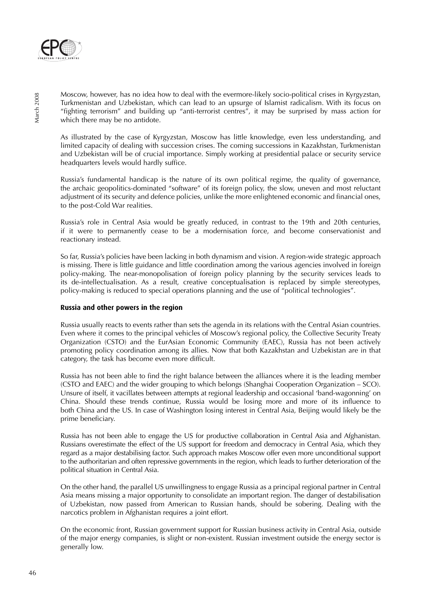

Moscow, however, has no idea how to deal with the evermore-likely socio-political crises in Kyrgyzstan, Turkmenistan and Uzbekistan, which can lead to an upsurge of Islamist radicalism. With its focus on "fighting terrorism" and building up "anti-terrorist centres", it may be surprised by mass action for which there may be no antidote.

As illustrated by the case of Kyrgyzstan, Moscow has little knowledge, even less understanding, and limited capacity of dealing with succession crises. The coming successions in Kazakhstan, Turkmenistan and Uzbekistan will be of crucial importance. Simply working at presidential palace or security service headquarters levels would hardly suffice.

Russia's fundamental handicap is the nature of its own political regime, the quality of governance, the archaic geopolitics-dominated "software" of its foreign policy, the slow, uneven and most reluctant adjustment of its security and defence policies, unlike the more enlightened economic and financial ones, to the post-Cold War realities.

Russia's role in Central Asia would be greatly reduced, in contrast to the 19th and 20th centuries, if it were to permanently cease to be a modernisation force, and become conservationist and reactionary instead.

So far, Russia's policies have been lacking in both dynamism and vision. A region-wide strategic approach is missing. There is little guidance and little coordination among the various agencies involved in foreign policy-making. The near-monopolisation of foreign policy planning by the security services leads to its de-intellectualisation. As a result, creative conceptualisation is replaced by simple stereotypes, policy-making is reduced to special operations planning and the use of "political technologies".

# **Russia and other powers in the region**

Russia usually reacts to events rather than sets the agenda in its relations with the Central Asian countries. Even where it comes to the principal vehicles of Moscow's regional policy, the Collective Security Treaty Organization (CSTO) and the EurAsian Economic Community (EAEC), Russia has not been actively promoting policy coordination among its allies. Now that both Kazakhstan and Uzbekistan are in that category, the task has become even more difficult.

Russia has not been able to find the right balance between the alliances where it is the leading member (CSTO and EAEC) and the wider grouping to which belongs (Shanghai Cooperation Organization – SCO). Unsure of itself, it vacillates between attempts at regional leadership and occasional 'band-wagonning' on China. Should these trends continue, Russia would be losing more and more of its influence to both China and the US. In case of Washington losing interest in Central Asia, Beijing would likely be the prime beneficiary.

Russia has not been able to engage the US for productive collaboration in Central Asia and Afghanistan. Russians overestimate the effect of the US support for freedom and democracy in Central Asia, which they regard as a major destabilising factor. Such approach makes Moscow offer even more unconditional support to the authoritarian and often repressive governments in the region, which leads to further deterioration of the political situation in Central Asia.

On the other hand, the parallel US unwillingness to engage Russia as a principal regional partner in Central Asia means missing a major opportunity to consolidate an important region. The danger of destabilisation of Uzbekistan, now passed from American to Russian hands, should be sobering. Dealing with the narcotics problem in Afghanistan requires a joint effort.

On the economic front, Russian government support for Russian business activity in Central Asia, outside of the major energy companies, is slight or non-existent. Russian investment outside the energy sector is generally low.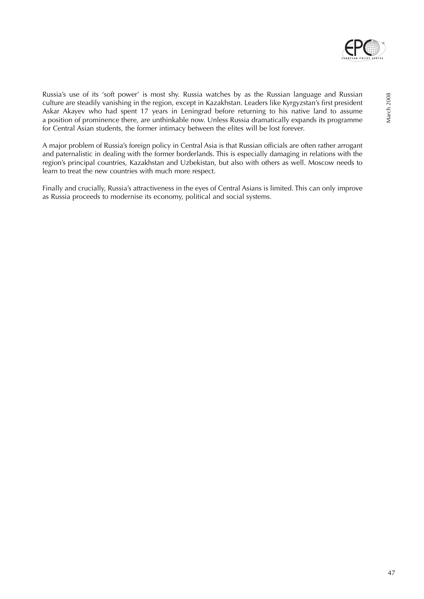

Russia's use of its 'soft power' is most shy. Russia watches by as the Russian language and Russian culture are steadily vanishing in the region, except in Kazakhstan. Leaders like Kyrgyzstan's first president Askar Akayev who had spent 17 years in Leningrad before returning to his native land to assume a position of prominence there, are unthinkable now. Unless Russia dramatically expands its programme for Central Asian students, the former intimacy between the elites will be lost forever.

A major problem of Russia's foreign policy in Central Asia is that Russian officials are often rather arrogant and paternalistic in dealing with the former borderlands. This is especially damaging in relations with the region's principal countries, Kazakhstan and Uzbekistan, but also with others as well. Moscow needs to learn to treat the new countries with much more respect.

Finally and crucially, Russia's attractiveness in the eyes of Central Asians is limited. This can only improve as Russia proceeds to modernise its economy, political and social systems.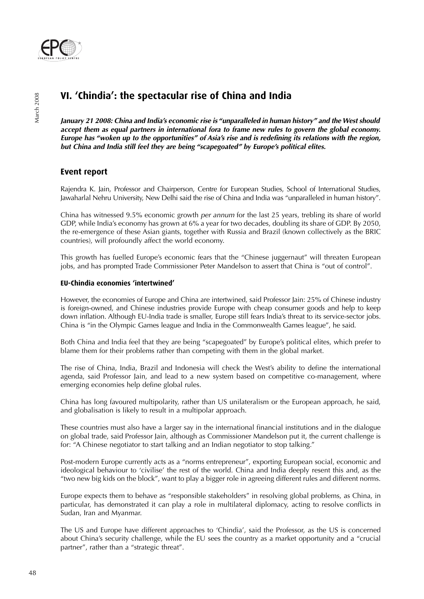

# **VI. 'Chindia': the spectacular rise of China and India**

**January 21 2008: China and India's economic rise is "unparalleled in human history" and the West should accept them as equal partners in international fora to frame new rules to govern the global economy. Europe has "woken up to the opportunities" of Asia's rise and is redefining its relations with the region, but China and India still feel they are being "scapegoated" by Europe's political elites.**

# **Event report**

Rajendra K. Jain, Professor and Chairperson, Centre for European Studies, School of International Studies, Jawaharlal Nehru University, New Delhi said the rise of China and India was "unparalleled in human history".

China has witnessed 9.5% economic growth per annum for the last 25 years, trebling its share of world GDP, while India's economy has grown at 6% a year for two decades, doubling its share of GDP. By 2050, the re-emergence of these Asian giants, together with Russia and Brazil (known collectively as the BRIC countries), will profoundly affect the world economy.

This growth has fuelled Europe's economic fears that the "Chinese juggernaut" will threaten European jobs, and has prompted Trade Commissioner Peter Mandelson to assert that China is "out of control".

# **EU-Chindia economies 'intertwined'**

However, the economies of Europe and China are intertwined, said Professor Jain: 25% of Chinese industry is foreign-owned, and Chinese industries provide Europe with cheap consumer goods and help to keep down inflation. Although EU-India trade is smaller, Europe still fears India's threat to its service-sector jobs. China is "in the Olympic Games league and India in the Commonwealth Games league", he said.

Both China and India feel that they are being "scapegoated" by Europe's political elites, which prefer to blame them for their problems rather than competing with them in the global market.

The rise of China, India, Brazil and Indonesia will check the West's ability to define the international agenda, said Professor Jain, and lead to a new system based on competitive co-management, where emerging economies help define global rules.

China has long favoured multipolarity, rather than US unilateralism or the European approach, he said, and globalisation is likely to result in a multipolar approach.

These countries must also have a larger say in the international financial institutions and in the dialogue on global trade, said Professor Jain, although as Commissioner Mandelson put it, the current challenge is for: "A Chinese negotiator to start talking and an Indian negotiator to stop talking."

Post-modern Europe currently acts as a "norms entrepreneur", exporting European social, economic and ideological behaviour to 'civilise' the rest of the world. China and India deeply resent this and, as the "two new big kids on the block", want to play a bigger role in agreeing different rules and different norms.

Europe expects them to behave as "responsible stakeholders" in resolving global problems, as China, in particular, has demonstrated it can play a role in multilateral diplomacy, acting to resolve conflicts in Sudan, Iran and Myanmar.

The US and Europe have different approaches to 'Chindia', said the Professor, as the US is concerned about China's security challenge, while the EU sees the country as a market opportunity and a "crucial partner", rather than a "strategic threat".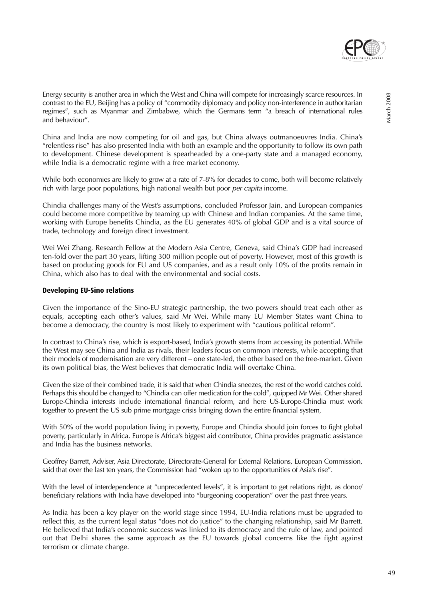

Energy security is another area in which the West and China will compete for increasingly scarce resources. In contrast to the EU, Beijing has a policy of "commodity diplomacy and policy non-interference in authoritarian regimes", such as Myanmar and Zimbabwe, which the Germans term "a breach of international rules and behaviour".

China and India are now competing for oil and gas, but China always outmanoeuvres India. China's "relentless rise" has also presented India with both an example and the opportunity to follow its own path to development. Chinese development is spearheaded by a one-party state and a managed economy, while India is a democratic regime with a free market economy.

While both economies are likely to grow at a rate of 7-8% for decades to come, both will become relatively rich with large poor populations, high national wealth but poor *per capita* income.

Chindia challenges many of the West's assumptions, concluded Professor Jain, and European companies could become more competitive by teaming up with Chinese and Indian companies. At the same time, working with Europe benefits Chindia, as the EU generates 40% of global GDP and is a vital source of trade, technology and foreign direct investment.

Wei Wei Zhang, Research Fellow at the Modern Asia Centre, Geneva, said China's GDP had increased ten-fold over the part 30 years, lifting 300 million people out of poverty. However, most of this growth is based on producing goods for EU and US companies, and as a result only 10% of the profits remain in China, which also has to deal with the environmental and social costs.

# **Developing EU-Sino relations**

Given the importance of the Sino-EU strategic partnership, the two powers should treat each other as equals, accepting each other's values, said Mr Wei. While many EU Member States want China to become a democracy, the country is most likely to experiment with "cautious political reform".

In contrast to China's rise, which is export-based, India's growth stems from accessing its potential. While the West may see China and India as rivals, their leaders focus on common interests, while accepting that their models of modernisation are very different – one state-led, the other based on the free-market. Given its own political bias, the West believes that democratic India will overtake China.

Given the size of their combined trade, it is said that when Chindia sneezes, the rest of the world catches cold. Perhaps this should be changed to "Chindia can offer medication for the cold", quipped Mr Wei. Other shared Europe-Chindia interests include international financial reform, and here US-Europe-Chindia must work together to prevent the US sub prime mortgage crisis bringing down the entire financial system,

With 50% of the world population living in poverty, Europe and Chindia should join forces to fight global poverty, particularly in Africa. Europe is Africa's biggest aid contributor, China provides pragmatic assistance and India has the business networks.

Geoffrey Barrett, Adviser, Asia Directorate, Directorate-General for External Relations, European Commission, said that over the last ten years, the Commission had "woken up to the opportunities of Asia's rise".

With the level of interdependence at "unprecedented levels", it is important to get relations right, as donor/ beneficiary relations with India have developed into "burgeoning cooperation" over the past three years.

As India has been a key player on the world stage since 1994, EU-India relations must be upgraded to reflect this, as the current legal status "does not do justice" to the changing relationship, said Mr Barrett. He believed that India's economic success was linked to its democracy and the rule of law, and pointed out that Delhi shares the same approach as the EU towards global concerns like the fight against terrorism or climate change.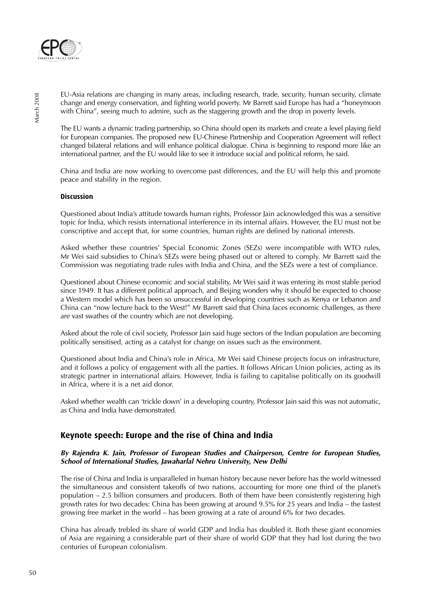

EU-Asia relations are changing in many areas, including research, trade, security, human security, climate change and energy conservation, and fighting world poverty. Mr Barrett said Europe has had a "honeymoon with China", seeing much to admire, such as the staggering growth and the drop in poverty levels.

The EU wants a dynamic trading partnership, so China should open its markets and create a level playing field for European companies. The proposed new EU-Chinese Partnership and Cooperation Agreement will reflect changed bilateral relations and will enhance political dialogue. China is beginning to respond more like an international partner, and the EU would like to see it introduce social and political reform, he said.

China and India are now working to overcome past differences, and the EU will help this and promote peace and stability in the region.

### **Discussion**

Questioned about India's attitude towards human rights, Professor Jain acknowledged this was a sensitive topic for India, which resists international interference in its internal affairs. However, the EU must not be conscriptive and accept that, for some countries, human rights are defined by national interests.

Asked whether these countries' Special Economic Zones (SEZs) were incompatible with WTO rules, Mr Wei said subsidies to China's SEZs were being phased out or altered to comply. Mr Barrett said the Commission was negotiating trade rules with India and China, and the SEZs were a test of compliance.

Questioned about Chinese economic and social stability, Mr Wei said it was entering its most stable period since 1949. It has a different political approach, and Beijing wonders why it should be expected to choose a Western model which has been so unsuccessful in developing countries such as Kenya or Lebanon and China can "now lecture back to the West!" Mr Barrett said that China faces economic challenges, as there are vast swathes of the country which are not developing.

Asked about the role of civil society, Professor Jain said huge sectors of the Indian population are becoming politically sensitised, acting as a catalyst for change on issues such as the environment.

Questioned about India and China's role in Africa, Mr Wei said Chinese projects focus on infrastructure, and it follows a policy of engagement with all the parties. It follows African Union policies, acting as its strategic partner in international affairs. However, India is failing to capitalise politically on its goodwill in Africa, where it is a net aid donor.

Asked whether wealth can 'trickle down' in a developing country, Professor Jain said this was not automatic, as China and India have demonstrated.

# **Keynote speech: Europe and the rise of China and India**

### **By Rajendra K. Jain, Professor of European Studies and Chairperson, Centre for European Studies, School of International Studies, Jawaharlal Nehru University, New Delhi**

The rise of China and India is unparalleled in human history because never before has the world witnessed the simultaneous and consistent takeoffs of two nations, accounting for more one third of the planet's population – 2.5 billion consumers and producers. Both of them have been consistently registering high growth rates for two decades: China has been growing at around 9.5% for 25 years and India – the fastest growing free market in the world – has been growing at a rate of around 6% for two decades.

China has already trebled its share of world GDP and India has doubled it. Both these giant economies of Asia are regaining a considerable part of their share of world GDP that they had lost during the two centuries of European colonialism.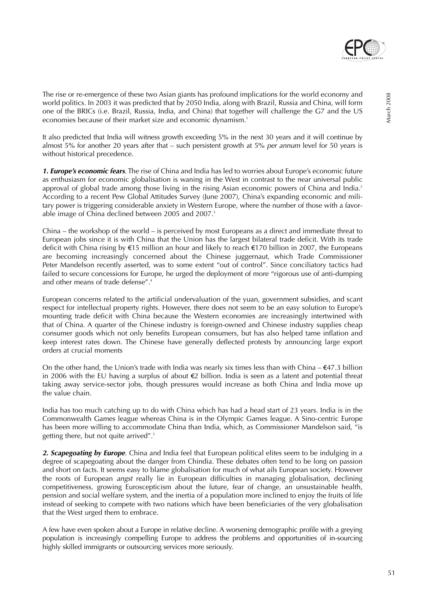

March 2008

March 2008

The rise or re-emergence of these two Asian giants has profound implications for the world economy and world politics. In 2003 it was predicted that by 2050 India, along with Brazil, Russia and China, will form one of the BRICs (i.e. Brazil, Russia, India, and China) that together will challenge the G7 and the US economies because of their market size and economic dynamism.<sup>1</sup>

It also predicted that India will witness growth exceeding 5% in the next 30 years and it will continue by almost 5% for another 20 years after that – such persistent growth at 5% per annum level for 50 years is without historical precedence.

**1. Europe's economic fears**. The rise of China and India has led to worries about Europe's economic future as enthusiasm for economic globalisation is waning in the West in contrast to the near universal public approval of global trade among those living in the rising Asian economic powers of China and India.<sup>2</sup> According to a recent Pew Global Attitudes Survey (June 2007), China's expanding economic and military power is triggering considerable anxiety in Western Europe, where the number of those with a favorable image of China declined between 2005 and 2007.<sup>3</sup>

China – the workshop of the world – is perceived by most Europeans as a direct and immediate threat to European jobs since it is with China that the Union has the largest bilateral trade deficit. With its trade deficit with China rising by €15 million an hour and likely to reach €170 billion in 2007, the Europeans are becoming increasingly concerned about the Chinese juggernaut, which Trade Commissioner Peter Mandelson recently asserted, was to some extent "out of control". Since conciliatory tactics had failed to secure concessions for Europe, he urged the deployment of more "rigorous use of anti-dumping and other means of trade defense".<sup>4</sup>

European concerns related to the artificial undervaluation of the yuan, government subsidies, and scant respect for intellectual property rights. However, there does not seem to be an easy solution to Europe's mounting trade deficit with China because the Western economies are increasingly intertwined with that of China. A quarter of the Chinese industry is foreign-owned and Chinese industry supplies cheap consumer goods which not only benefits European consumers, but has also helped tame inflation and keep interest rates down. The Chinese have generally deflected protests by announcing large export orders at crucial moments

On the other hand, the Union's trade with India was nearly six times less than with China –  $\epsilon$ 47.3 billion in 2006 with the EU having a surplus of about €2 billion. India is seen as a latent and potential threat taking away service-sector jobs, though pressures would increase as both China and India move up the value chain.

India has too much catching up to do with China which has had a head start of 23 years. India is in the Commonwealth Games league whereas China is in the Olympic Games league. A Sino-centric Europe has been more willing to accommodate China than India, which, as Commissioner Mandelson said, "is getting there, but not quite arrived".<sup>5</sup>

**2. Scapegoating by Europe**. China and India feel that European political elites seem to be indulging in a degree of scapegoating about the danger from Chindia. These debates often tend to be long on passion and short on facts. It seems easy to blame globalisation for much of what ails European society. However the roots of European angst really lie in European difficulties in managing globalisation, declining competitiveness, growing Euroscepticism about the future, fear of change, an unsustainable health, pension and social welfare system, and the inertia of a population more inclined to enjoy the fruits of life instead of seeking to compete with two nations which have been beneficiaries of the very globalisation that the West urged them to embrace.

A few have even spoken about a Europe in relative decline. A worsening demographic profile with a greying population is increasingly compelling Europe to address the problems and opportunities of in-sourcing highly skilled immigrants or outsourcing services more seriously.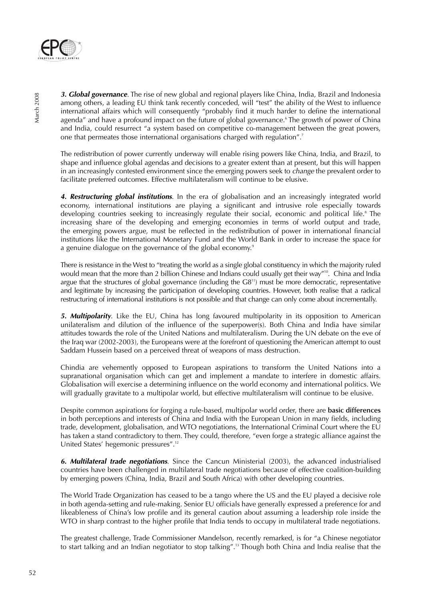

**3. Global governance**. The rise of new global and regional players like China, India, Brazil and Indonesia among others, a leading EU think tank recently conceded, will "test" the ability of the West to influence international affairs which will consequently "probably find it much harder to define the international agenda" and have a profound impact on the future of global governance.<sup>6</sup> The growth of power of China and India, could resurrect "a system based on competitive co-management between the great powers, one that permeates those international organisations charged with regulation".<sup>7</sup>

The redistribution of power currently underway will enable rising powers like China, India, and Brazil, to shape and influence global agendas and decisions to a greater extent than at present, but this will happen in an increasingly contested environment since the emerging powers seek to *change* the prevalent order to facilitate preferred outcomes. Effective multilateralism will continue to be elusive.

**4. Restructuring global institutions**. In the era of globalisation and an increasingly integrated world economy, international institutions are playing a significant and intrusive role especially towards developing countries seeking to increasingly regulate their social, economic and political life.<sup>8</sup> The increasing share of the developing and emerging economies in terms of world output and trade, the emerging powers argue, must be reflected in the redistribution of power in international financial institutions like the International Monetary Fund and the World Bank in order to increase the space for a genuine dialogue on the governance of the global economy.<sup>9</sup>

There is resistance in the West to "treating the world as a single global constituency in which the majority ruled would mean that the more than 2 billion Chinese and Indians could usually get their way"10. China and India argue that the structures of global governance (including the  $G8<sup>11</sup>$ ) must be more democratic, representative and legitimate by increasing the participation of developing countries. However, both realise that a radical restructuring of international institutions is not possible and that change can only come about incrementally.

**5. Multipolarity**. Like the EU, China has long favoured multipolarity in its opposition to American unilateralism and dilution of the influence of the superpower(s). Both China and India have similar attitudes towards the role of the United Nations and multilateralism. During the UN debate on the eve of the Iraq war (2002-2003), the Europeans were at the forefront of questioning the American attempt to oust Saddam Hussein based on a perceived threat of weapons of mass destruction.

Chindia are vehemently opposed to European aspirations to transform the United Nations into a supranational organisation which can get and implement a mandate to interfere in domestic affairs. Globalisation will exercise a determining influence on the world economy and international politics. We will gradually gravitate to a multipolar world, but effective multilateralism will continue to be elusive.

Despite common aspirations for forging a rule-based, multipolar world order, there are **basic differences** in both perceptions and interests of China and India with the European Union in many fields, including trade, development, globalisation, and WTO negotiations, the International Criminal Court where the EU has taken a stand contradictory to them. They could, therefore, "even forge a strategic alliance against the United States' hegemonic pressures".<sup>12</sup>

**6. Multilateral trade negotiations**. Since the Cancun Ministerial (2003), the advanced industrialised countries have been challenged in multilateral trade negotiations because of effective coalition-building by emerging powers (China, India, Brazil and South Africa) with other developing countries.

The World Trade Organization has ceased to be a tango where the US and the EU played a decisive role in both agenda-setting and rule-making. Senior EU officials have generally expressed a preference for and likeableness of China's low profile and its general caution about assuming a leadership role inside the WTO in sharp contrast to the higher profile that India tends to occupy in multilateral trade negotiations.

The greatest challenge, Trade Commissioner Mandelson, recently remarked, is for "a Chinese negotiator to start talking and an Indian negotiator to stop talking".13 Though both China and India realise that the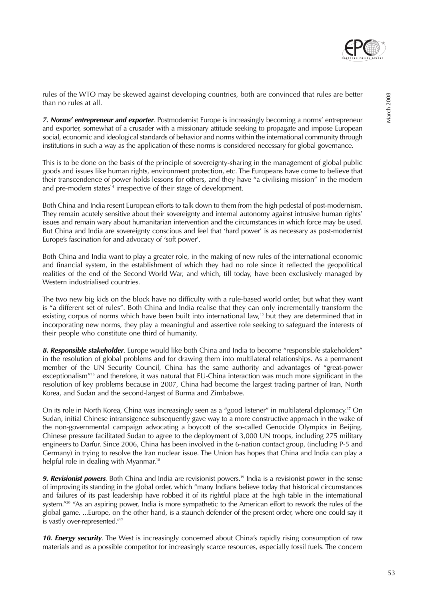

rules of the WTO may be skewed against developing countries, both are convinced that rules are better than no rules at all.

**7. Norms' entrepreneur and exporter**. Postmodernist Europe is increasingly becoming a norms' entrepreneur and exporter, somewhat of a crusader with a missionary attitude seeking to propagate and impose European social, economic and ideological standards of behavior and norms within the international community through institutions in such a way as the application of these norms is considered necessary for global governance.

This is to be done on the basis of the principle of sovereignty-sharing in the management of global public goods and issues like human rights, environment protection, etc. The Europeans have come to believe that their transcendence of power holds lessons for others, and they have "a civilising mission" in the modern and pre-modern states<sup>14</sup> irrespective of their stage of development.

Both China and India resent European efforts to talk down to them from the high pedestal of post-modernism. They remain acutely sensitive about their sovereignty and internal autonomy against intrusive human rights' issues and remain wary about humanitarian intervention and the circumstances in which force may be used. But China and India are sovereignty conscious and feel that 'hard power' is as necessary as post-modernist Europe's fascination for and advocacy of 'soft power'.

Both China and India want to play a greater role, in the making of new rules of the international economic and financial system, in the establishment of which they had no role since it reflected the geopolitical realities of the end of the Second World War, and which, till today, have been exclusively managed by Western industrialised countries.

The two new big kids on the block have no difficulty with a rule-based world order, but what they want is "a different set of rules". Both China and India realise that they can only incrementally transform the existing corpus of norms which have been built into international law,<sup>15</sup> but they are determined that in incorporating new norms, they play a meaningful and assertive role seeking to safeguard the interests of their people who constitute one third of humanity.

**8. Responsible stakeholder**. Europe would like both China and India to become "responsible stakeholders" in the resolution of global problems and for drawing them into multilateral relationships. As a permanent member of the UN Security Council, China has the same authority and advantages of "great-power exceptionalism"16 and therefore, it was natural that EU-China interaction was much more significant in the resolution of key problems because in 2007, China had become the largest trading partner of Iran, North Korea, and Sudan and the second-largest of Burma and Zimbabwe.

On its role in North Korea, China was increasingly seen as a "good listener" in multilateral diplomacy.17 On Sudan, initial Chinese intransigence subsequently gave way to a more constructive approach in the wake of the non-governmental campaign advocating a boycott of the so-called Genocide Olympics in Beijing. Chinese pressure facilitated Sudan to agree to the deployment of 3,000 UN troops, including 275 military engineers to Darfur. Since 2006, China has been involved in the 6-nation contact group, (including P-5 and Germany) in trying to resolve the Iran nuclear issue. The Union has hopes that China and India can play a helpful role in dealing with Myanmar.<sup>18</sup>

**9. Revisionist powers**. Both China and India are revisionist powers.<sup>19</sup> India is a revisionist power in the sense of improving its standing in the global order, which "many Indians believe today that historical circumstances and failures of its past leadership have robbed it of its rightful place at the high table in the international system."<sup>20</sup> "As an aspiring power, India is more sympathetic to the American effort to rework the rules of the global game. ...Europe, on the other hand, is a staunch defender of the present order, where one could say it is vastly over-represented."<sup>21</sup>

**10. Energy security**. The West is increasingly concerned about China's rapidly rising consumption of raw materials and as a possible competitor for increasingly scarce resources, especially fossil fuels. The concern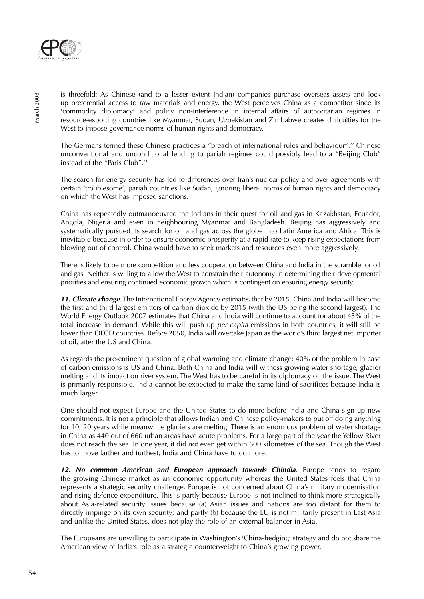

is threefold: As Chinese (and to a lesser extent Indian) companies purchase overseas assets and lock up preferential access to raw materials and energy, the West perceives China as a competitor since its 'commodity diplomacy' and policy non-interference in internal affairs of authoritarian regimes in resource-exporting countries like Myanmar, Sudan, Uzbekistan and Zimbabwe creates difficulties for the West to impose governance norms of human rights and democracy.

The Germans termed these Chinese practices a "breach of international rules and behaviour".22 Chinese unconventional and unconditional lending to pariah regimes could possibly lead to a "Beijing Club" instead of the "Paris Club".<sup>23</sup>

The search for energy security has led to differences over Iran's nuclear policy and over agreements with certain 'troublesome', pariah countries like Sudan, ignoring liberal norms of human rights and democracy on which the West has imposed sanctions.

China has repeatedly outmanoeuvred the Indians in their quest for oil and gas in Kazakhstan, Ecuador, Angola, Nigeria and even in neighbouring Myanmar and Bangladesh. Beijing has aggressively and systematically pursued its search for oil and gas across the globe into Latin America and Africa. This is inevitable because in order to ensure economic prosperity at a rapid rate to keep rising expectations from blowing out of control, China would have to seek markets and resources even more aggressively.

There is likely to be more competition and less cooperation between China and India in the scramble for oil and gas. Neither is willing to allow the West to constrain their autonomy in determining their developmental priorities and ensuring continued economic growth which is contingent on ensuring energy security.

**11. Climate change**. The International Energy Agency estimates that by 2015, China and India will become the first and third largest emitters of carbon dioxide by 2015 (with the US being the second largest). The World Energy Outlook 2007 estimates that China and India will continue to account for about 45% of the total increase in demand. While this will push up *per capita* emissions in both countries, it will still be lower than OECD countries. Before 2050, India will overtake Japan as the world's third largest net importer of oil, after the US and China.

As regards the pre-eminent question of global warming and climate change: 40% of the problem in case of carbon emissions is US and China. Both China and India will witness growing water shortage, glacier melting and its impact on river system. The West has to be careful in its diplomacy on the issue. The West is primarily responsible. India cannot be expected to make the same kind of sacrifices because India is much larger.

One should not expect Europe and the United States to do more before India and China sign up new commitments. It is not a principle that allows Indian and Chinese policy-makers to put off doing anything for 10, 20 years while meanwhile glaciers are melting. There is an enormous problem of water shortage in China as 440 out of 660 urban areas have acute problems. For a large part of the year the Yellow River does not reach the sea. In one year, it did not even get within 600 kilometres of the sea. Though the West has to move farther and furthest, India and China have to do more.

**12. No common American and European approach towards Chindia**. Europe tends to regard the growing Chinese market as an economic opportunity whereas the United States feels that China represents a strategic security challenge. Europe is not concerned about China's military modernisation and rising defence expenditure. This is partly because Europe is not inclined to think more strategically about Asia-related security issues because (a) Asian issues and nations are too distant for them to directly impinge on its own security; and partly (b) because the EU is not militarily present in East Asia and unlike the United States, does not play the role of an external balancer in Asia.

The Europeans are unwilling to participate in Washington's 'China-hedging' strategy and do not share the American view of India's role as a strategic counterweight to China's growing power.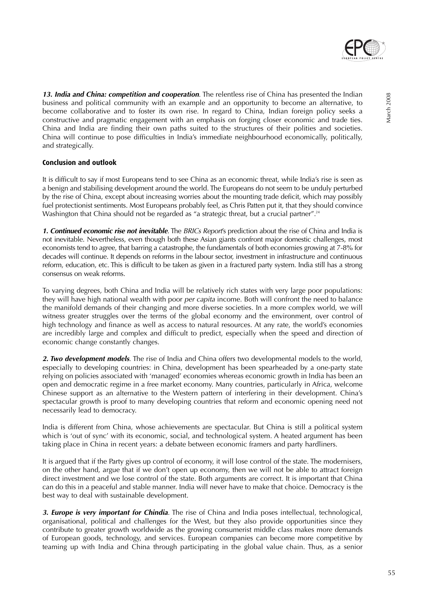

**13. India and China: competition and cooperation**. The relentless rise of China has presented the Indian business and political community with an example and an opportunity to become an alternative, to become collaborative and to foster its own rise. In regard to China, Indian foreign policy seeks a constructive and pragmatic engagement with an emphasis on forging closer economic and trade ties. China and India are finding their own paths suited to the structures of their polities and societies. China will continue to pose difficulties in India's immediate neighbourhood economically, politically, and strategically.

# **Conclusion and outlook**

It is difficult to say if most Europeans tend to see China as an economic threat, while India's rise is seen as a benign and stabilising development around the world. The Europeans do not seem to be unduly perturbed by the rise of China, except about increasing worries about the mounting trade deficit, which may possibly fuel protectionist sentiments. Most Europeans probably feel, as Chris Patten put it, that they should convince Washington that China should not be regarded as "a strategic threat, but a crucial partner".<sup>24</sup>

**1. Continued economic rise not inevitable**. The BRICs Report's prediction about the rise of China and India is not inevitable. Nevertheless, even though both these Asian giants confront major domestic challenges, most economists tend to agree, that barring a catastrophe, the fundamentals of both economies growing at 7-8% for decades will continue. It depends on reforms in the labour sector, investment in infrastructure and continuous reform, education, etc. This is difficult to be taken as given in a fractured party system. India still has a strong consensus on weak reforms.

To varying degrees, both China and India will be relatively rich states with very large poor populations: they will have high national wealth with poor *per capita* income. Both will confront the need to balance the manifold demands of their changing and more diverse societies. In a more complex world, we will witness greater struggles over the terms of the global economy and the environment, over control of high technology and finance as well as access to natural resources. At any rate, the world's economies are incredibly large and complex and difficult to predict, especially when the speed and direction of economic change constantly changes.

**2. Two development models**. The rise of India and China offers two developmental models to the world, especially to developing countries: in China, development has been spearheaded by a one-party state relying on policies associated with 'managed' economies whereas economic growth in India has been an open and democratic regime in a free market economy. Many countries, particularly in Africa, welcome Chinese support as an alternative to the Western pattern of interfering in their development. China's spectacular growth is proof to many developing countries that reform and economic opening need not necessarily lead to democracy.

India is different from China, whose achievements are spectacular. But China is still a political system which is 'out of sync' with its economic, social, and technological system. A heated argument has been taking place in China in recent years: a debate between economic framers and party hardliners.

It is argued that if the Party gives up control of economy, it will lose control of the state. The modernisers, on the other hand, argue that if we don't open up economy, then we will not be able to attract foreign direct investment and we lose control of the state. Both arguments are correct. It is important that China can do this in a peaceful and stable manner. India will never have to make that choice. Democracy is the best way to deal with sustainable development.

**3. Europe is very important for Chindia**. The rise of China and India poses intellectual, technological, organisational, political and challenges for the West, but they also provide opportunities since they contribute to greater growth worldwide as the growing consumerist middle class makes more demands of European goods, technology, and services. European companies can become more competitive by teaming up with India and China through participating in the global value chain. Thus, as a senior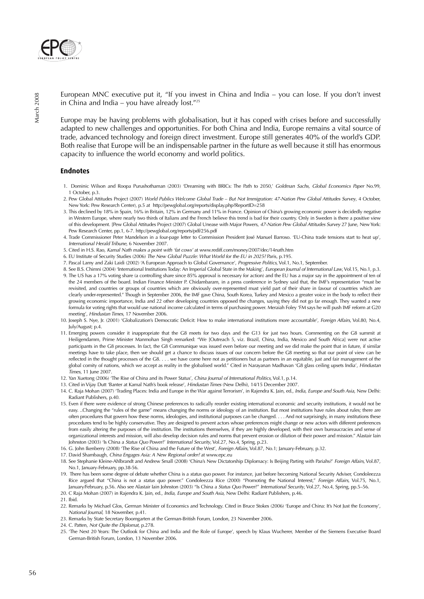

European MNC executive put it, "If you invest in China and India – you can lose. If you don't invest in China and India – you have already lost."25

Europe may be having problems with globalisation, but it has coped with crises before and successfully adapted to new challenges and opportunities. For both China and India, Europe remains a vital source of trade, advanced technology and foreign direct investment. Europe still generates 40% of the world's GDP. Both realise that Europe will be an indispensable partner in the future as well because it still has enormous capacity to influence the world economy and world politics.

#### **Endnotes**

- 1. Dominic Wilson and Roopa Purushothaman (2003) 'Dreaming with BRICs: The Path to 2050,' Goldman Sachs, Global Economics Paper No.99, 1 October, p.3.
- 2. Pew Global Attitudes Project (2007) World Publics Welcome Global Trade But Not Immigration: 47-Nation Pew Global Attitudes Survey, 4 October, New York: Pew Research Center), p.5 at http://pewglobal.org/reports/display.php?ReportID=258
- 3. This declined by 18% in Spain, 16% in Britain, 12% in Germany and 11% in France. Opinion of China's growing economic power is decidedly negative in Western Europe, where nearly two thirds of Italians and the French believe this trend is bad for their country. Only in Sweden is there a positive view of this development. [Pew Global Attitudes Project (2007) Global Unease with Major Powers, 47-Nation Pew Global Attitudes Survey 27 June, New York: Pew Research Center, pp.1, 6-7. http://pewglobal.org/reports/pdf/256.pdf
- 4. Trade Commissioner Peter Mandelson in a four-page letter to Commission President José Manuel Barroso. 'EU-China trade tensions start to heat up', International Herald Tribune, 6 November 2007.
- 5. Cited in H.S. Rao, Kamal Nath makes a point with 'fat cows' at www.rediff.com/money/2007/dec/14nath.htm
- 6. EU Institute of Security Studies (2006) The New Global Puzzle: What World for the EU in 2025? Paris, p.195.
- 7. Pascal Lamy and Zaki Laidi (2002) 'A European Approach to Global Governance', Progressive Politics, Vol.1, No.1, September.
- 8. See B.S. Chimni (2004) 'International Institutions Today: An Imperial Global State in the Making', European Journal of International Law, Vol.15, No.1, p.3. 9. The US has a 17% voting share (a controlling share since 85% approval is necessary for action) and the EU has a major say in the appointment of ten of the 24 members of the board. Indian Finance Minister P. Chidambaram, in a press conference in Sydney said that, the IMF's representation "must be revisited, and countries or groups of countries which are obviously over-represented must yield part of their share in favour of countries which are clearly under-represented." Though in September 2006, the IMF gave China, South Korea, Turkey and Mexico a greater voice in the body to reflect their growing economic importance, India and 22 other developing countries opposed the changes, saying they did not go far enough. They wanted a new formula for voting rights that would use national income calculated in terms of purchasing power. Meraiah Foley 'FM says he will push IMF reform at G20 meeting', Hindustan Times, 17 November 2006.
- 10. Joseph S. Nye, Jr. (2001) 'Globalization's Democratic Deficit: How to make international institutions more accountable', Foreign Affairs, Vol.80, No.4, July/August; p.4.
- 11. Emerging powers consider it inappropriate that the G8 meets for two days and the G13 for just two hours. Commenting on the G8 summit at Heiligendamm, Prime Minister Manmohan Singh remarked: "We [Outreach 5, viz. Brazil, China, India, Mexico and South Africa] were not active participants in the G8 processes. In fact, the G8 Communique was issued even before our meeting and we did make the point that in future, if similar meetings have to take place, then we should get a chance to discuss issues of our concern before the G8 meeting so that our point of view can be reflected in the thought processes of the G8. . . . we have come here not as petitioners but as partners in an equitable, just and fair management of the global comity of nations, which we accept as reality in the globalised world." Cited in Narayanan Madhavan 'G8 glass ceiling upsets India', Hindustan Times, 11 June 2007.
- 12. Yan Xuetong (2006) 'The Rise of China and its Power Status', China Journal of International Politics, Vol.1, p.14.
- 13. Cited in Vijay Dutt 'Banter at Kamal Nath's book release', Hindustan Times (New Delhi), 14/15 December 2007.
- 14. C. Raja Mohan (2007) 'Trading Places: India and Europe in the War against Terrorism', in Rajendra K. Jain, ed., India, Europe and South Asia, New Delhi: Radiant Publishers, p.40.
- 15. Even if there were evidence of strong Chinese preferences to radically reorder existing international economic and security institutions, it would not be easy. ..Changing the "rules of the game" means changing the norms or ideology of an institution. But most institutions have rules about rules; there are often procedures that govern how these norms, ideologies, and institutional purposes can be changed. . . . And not surprisingly, in many institutions these procedures tend to be highly conservative. They are designed to prevent actors whose preferences might change or new actors with different preferences from easily altering the purposes of the institution. The institutions themselves, if they are highly developed, with their own bureaucracies and sense of organizational interests and mission, will also develop decision rules and norms that prevent erosion or dilution of their power and mission." Alastair Iain Johnston (2003) 'Is China a Status Quo Power?' International Security, Vol.27, No.4, Spring, p.23.
- 16. G. John Ikenberry (2008) 'The Rise of China and the Future of the West', Foreign Affairs, Vol.87, No.1; January-February, p.32.
- 17. David Shambaugh, China Engages Asia: A New Regional order? at www.epc.eu
- 18. See Stephanie Kleine-Ahlbrandt and Andrew Small (2008) 'China's New Dictatorship Diplomacy: Is Beijing Parting with Pariahs?' Foreign Affairs, Vol.87, No.1, January-February, pp.38-56.
- 19. There has been some degree of debate whether China is a status quo power. For instance, just before becoming National Security Adviser, Condoleezza Rice argued that "China is not a status quo power." Condoleezza Rice (2000) "Promoting the National Interest," Foreign Affairs, Vol.75, No.1, January/February, p.56. Also see Alastair Iain Johnston (2003) "Is China a Status Quo Power?" International Security, Vol.27, No.4, Spring, pp.5–56.
- 20. C Raja Mohan (2007) in Rajendra K. Jain, ed., India, Europe and South Asia, New Delhi: Radiant Publishers, p.46.
- 21. Ibid.
- 22. Remarks by Michael Glos, German Minister of Economics and Technology. Cited in Bruce Stokes (2006) 'Europe and China: It's Not Just the Economy', National Journal, 18 November, p.41.
- 23. Remarks by State Secretary Boomgarten at the German-British Forum, London, 23 November 2006.
- 24. C. Patten, Not Quite the Diplomat, p.278.
- 25. 'The Next 20 Years: The Outlook for China and India and the Role of Europe', speech by Klaus Wucherer, Member of the Siemens Executive Board German-British Forum, London, 13 November 2006.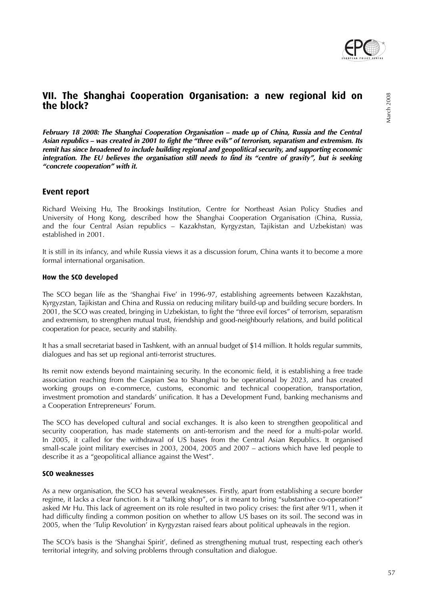

**February 18 2008: The Shanghai Cooperation Organisation – made up of China, Russia and the Central Asian republics – was created in 2001 to fight the "three evils" of terrorism, separatism and extremism. Its remit has since broadened to include building regional and geopolitical security, and supporting economic integration. The EU believes the organisation still needs to find its "centre of gravity", but is seeking "concrete cooperation" with it.**

# **Event report**

Richard Weixing Hu, The Brookings Institution, Centre for Northeast Asian Policy Studies and University of Hong Kong, described how the Shanghai Cooperation Organisation (China, Russia, and the four Central Asian republics – Kazakhstan, Kyrgyzstan, Tajikistan and Uzbekistan) was established in 2001.

It is still in its infancy, and while Russia views it as a discussion forum, China wants it to become a more formal international organisation.

# **How the SCO developed**

The SCO began life as the 'Shanghai Five' in 1996-97, establishing agreements between Kazakhstan, Kyrgyzstan, Tajikistan and China and Russia on reducing military build-up and building secure borders. In 2001, the SCO was created, bringing in Uzbekistan, to fight the "three evil forces" of terrorism, separatism and extremism, to strengthen mutual trust, friendship and good-neighbourly relations, and build political cooperation for peace, security and stability.

It has a small secretariat based in Tashkent, with an annual budget of \$14 million. It holds regular summits, dialogues and has set up regional anti-terrorist structures.

Its remit now extends beyond maintaining security. In the economic field, it is establishing a free trade association reaching from the Caspian Sea to Shanghai to be operational by 2023, and has created working groups on e-commerce, customs, economic and technical cooperation, transportation, investment promotion and standards' unification. It has a Development Fund, banking mechanisms and a Cooperation Entrepreneurs' Forum.

The SCO has developed cultural and social exchanges. It is also keen to strengthen geopolitical and security cooperation, has made statements on anti-terrorism and the need for a multi-polar world. In 2005, it called for the withdrawal of US bases from the Central Asian Republics. It organised small-scale joint military exercises in 2003, 2004, 2005 and 2007 – actions which have led people to describe it as a "geopolitical alliance against the West".

### **SCO weaknesses**

As a new organisation, the SCO has several weaknesses. Firstly, apart from establishing a secure border regime, it lacks a clear function. Is it a "talking shop", or is it meant to bring "substantive co-operation?" asked Mr Hu. This lack of agreement on its role resulted in two policy crises: the first after 9/11, when it had difficulty finding a common position on whether to allow US bases on its soil. The second was in 2005, when the 'Tulip Revolution' in Kyrgyzstan raised fears about political upheavals in the region.

The SCO's basis is the 'Shanghai Spirit', defined as strengthening mutual trust, respecting each other's territorial integrity, and solving problems through consultation and dialogue.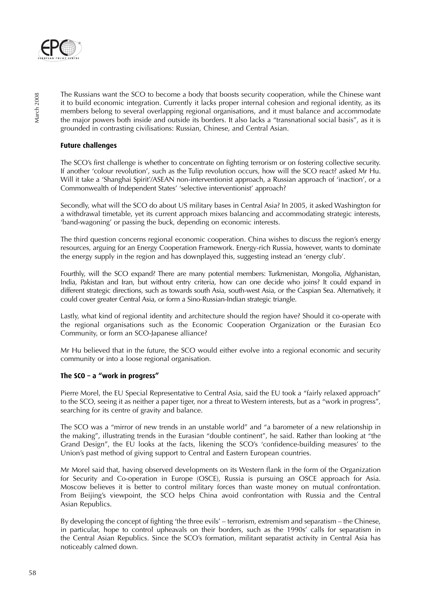

The Russians want the SCO to become a body that boosts security cooperation, while the Chinese want it to build economic integration. Currently it lacks proper internal cohesion and regional identity, as its members belong to several overlapping regional organisations, and it must balance and accommodate the major powers both inside and outside its borders. It also lacks a "transnational social basis", as it is grounded in contrasting civilisations: Russian, Chinese, and Central Asian.

# **Future challenges**

The SCO's first challenge is whether to concentrate on fighting terrorism or on fostering collective security. If another 'colour revolution', such as the Tulip revolution occurs, how will the SCO react? asked Mr Hu. Will it take a 'Shanghai Spirit'/ASEAN non-interventionist approach, a Russian approach of 'inaction', or a Commonwealth of Independent States' 'selective interventionist' approach?

Secondly, what will the SCO do about US military bases in Central Asia? In 2005, it asked Washington for a withdrawal timetable, yet its current approach mixes balancing and accommodating strategic interests, 'band-wagoning' or passing the buck, depending on economic interests.

The third question concerns regional economic cooperation. China wishes to discuss the region's energy resources, arguing for an Energy Cooperation Framework. Energy-rich Russia, however, wants to dominate the energy supply in the region and has downplayed this, suggesting instead an 'energy club'.

Fourthly, will the SCO expand? There are many potential members: Turkmenistan, Mongolia, Afghanistan, India, Pakistan and Iran, but without entry criteria, how can one decide who joins? It could expand in different strategic directions, such as towards south Asia, south-west Asia, or the Caspian Sea. Alternatively, it could cover greater Central Asia, or form a Sino-Russian-Indian strategic triangle.

Lastly, what kind of regional identity and architecture should the region have? Should it co-operate with the regional organisations such as the Economic Cooperation Organization or the Eurasian Eco Community, or form an SCO-Japanese alliance?

Mr Hu believed that in the future, the SCO would either evolve into a regional economic and security community or into a loose regional organisation.

# **The SCO – a "work in progress"**

Pierre Morel, the EU Special Representative to Central Asia, said the EU took a "fairly relaxed approach" to the SCO, seeing it as neither a paper tiger, nor a threat to Western interests, but as a "work in progress", searching for its centre of gravity and balance.

The SCO was a "mirror of new trends in an unstable world" and "a barometer of a new relationship in the making", illustrating trends in the Eurasian "double continent", he said. Rather than looking at "the Grand Design", the EU looks at the facts, likening the SCO's 'confidence-building measures' to the Union's past method of giving support to Central and Eastern European countries.

Mr Morel said that, having observed developments on its Western flank in the form of the Organization for Security and Co-operation in Europe (OSCE), Russia is pursuing an OSCE approach for Asia. Moscow believes it is better to control military forces than waste money on mutual confrontation. From Beijing's viewpoint, the SCO helps China avoid confrontation with Russia and the Central Asian Republics.

By developing the concept of fighting 'the three evils' – terrorism, extremism and separatism – the Chinese, in particular, hope to control upheavals on their borders, such as the 1990s' calls for separatism in the Central Asian Republics. Since the SCO's formation, militant separatist activity in Central Asia has noticeably calmed down.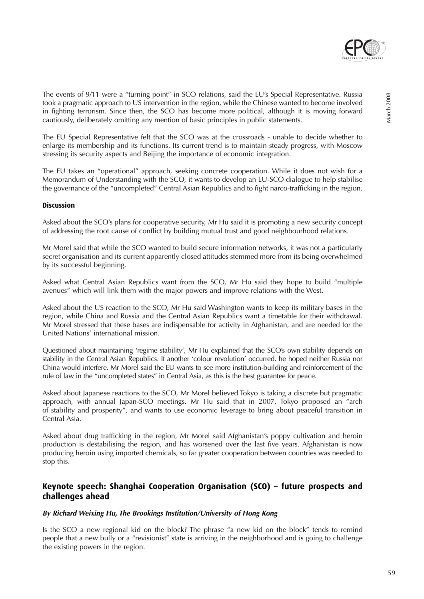

The events of 9/11 were a "turning point" in SCO relations, said the EU's Special Representative. Russia took a pragmatic approach to US intervention in the region, while the Chinese wanted to become involved in fighting terrorism. Since then, the SCO has become more political, although it is moving forward cautiously, deliberately omitting any mention of basic principles in public statements.

The EU Special Representative felt that the SCO was at the crossroads - unable to decide whether to enlarge its membership and its functions. Its current trend is to maintain steady progress, with Moscow stressing its security aspects and Beijing the importance of economic integration.

The EU takes an "operational" approach, seeking concrete cooperation. While it does not wish for a Memorandum of Understanding with the SCO, it wants to develop an EU-SCO dialogue to help stabilise the governance of the "uncompleted" Central Asian Republics and to fight narco-trafficking in the region.

### **Discussion**

Asked about the SCO's plans for cooperative security, Mr Hu said it is promoting a new security concept of addressing the root cause of conflict by building mutual trust and good neighbourhood relations.

Mr Morel said that while the SCO wanted to build secure information networks, it was not a particularly secret organisation and its current apparently closed attitudes stemmed more from its being overwhelmed by its successful beginning.

Asked what Central Asian Republics want from the SCO, Mr Hu said they hope to build "multiple avenues" which will link them with the major powers and improve relations with the West.

Asked about the US reaction to the SCO, Mr Hu said Washington wants to keep its military bases in the region, while China and Russia and the Central Asian Republics want a timetable for their withdrawal. Mr Morel stressed that these bases are indispensable for activity in Afghanistan, and are needed for the United Nations' international mission.

Questioned about maintaining 'regime stability', Mr Hu explained that the SCO's own stability depends on stability in the Central Asian Republics. If another 'colour revolution' occurred, he hoped neither Russia nor China would interfere. Mr Morel said the EU wants to see more institution-building and reinforcement of the rule of law in the "uncompleted states" in Central Asia, as this is the best guarantee for peace.

Asked about Japanese reactions to the SCO, Mr Morel believed Tokyo is taking a discrete but pragmatic approach, with annual Japan-SCO meetings. Mr Hu said that in 2007, Tokyo proposed an "arch of stability and prosperity", and wants to use economic leverage to bring about peaceful transition in Central Asia.

Asked about drug trafficking in the region, Mr Morel said Afghanistan's poppy cultivation and heroin production is destabilising the region, and has worsened over the last five years. Afghanistan is now producing heroin using imported chemicals, so far greater cooperation between countries was needed to stop this.

# **Keynote speech: Shanghai Cooperation Organisation (SCO) – future prospects and challenges ahead**

#### **By Richard Weixing Hu, The Brookings Institution/University of Hong Kong**

Is the SCO a new regional kid on the block? The phrase "a new kid on the block" tends to remind people that a new bully or a "revisionist" state is arriving in the neighborhood and is going to challenge the existing powers in the region.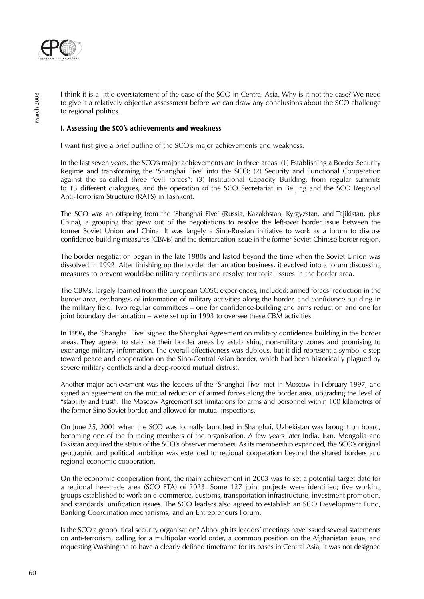

I think it is a little overstatement of the case of the SCO in Central Asia. Why is it not the case? We need to give it a relatively objective assessment before we can draw any conclusions about the SCO challenge to regional politics.

### **I. Assessing the SCO's achievements and weakness**

I want first give a brief outline of the SCO's major achievements and weakness.

In the last seven years, the SCO's major achievements are in three areas: (1) Establishing a Border Security Regime and transforming the 'Shanghai Five' into the SCO; (2) Security and Functional Cooperation against the so-called three "evil forces"; (3) Institutional Capacity Building, from regular summits to 13 different dialogues, and the operation of the SCO Secretariat in Beijing and the SCO Regional Anti-Terrorism Structure (RATS) in Tashkent.

The SCO was an offspring from the 'Shanghai Five' (Russia, Kazakhstan, Kyrgyzstan, and Tajikistan, plus China), a grouping that grew out of the negotiations to resolve the left-over border issue between the former Soviet Union and China. It was largely a Sino-Russian initiative to work as a forum to discuss confidence-building measures (CBMs) and the demarcation issue in the former Soviet-Chinese border region.

The border negotiation began in the late 1980s and lasted beyond the time when the Soviet Union was dissolved in 1992. After finishing up the border demarcation business, it evolved into a forum discussing measures to prevent would-be military conflicts and resolve territorial issues in the border area.

The CBMs, largely learned from the European COSC experiences, included: armed forces' reduction in the border area, exchanges of information of military activities along the border, and confidence-building in the military field. Two regular committees – one for confidence-building and arms reduction and one for joint boundary demarcation – were set up in 1993 to oversee these CBM activities.

In 1996, the 'Shanghai Five' signed the Shanghai Agreement on military confidence building in the border areas. They agreed to stabilise their border areas by establishing non-military zones and promising to exchange military information. The overall effectiveness was dubious, but it did represent a symbolic step toward peace and cooperation on the Sino-Central Asian border, which had been historically plagued by severe military conflicts and a deep-rooted mutual distrust.

Another major achievement was the leaders of the 'Shanghai Five' met in Moscow in February 1997, and signed an agreement on the mutual reduction of armed forces along the border area, upgrading the level of "stability and trust". The Moscow Agreement set limitations for arms and personnel within 100 kilometres of the former Sino-Soviet border, and allowed for mutual inspections.

On June 25, 2001 when the SCO was formally launched in Shanghai, Uzbekistan was brought on board, becoming one of the founding members of the organisation. A few years later India, Iran, Mongolia and Pakistan acquired the status of the SCO's observer members. As its membership expanded, the SCO's original geographic and political ambition was extended to regional cooperation beyond the shared borders and regional economic cooperation.

On the economic cooperation front, the main achievement in 2003 was to set a potential target date for a regional free-trade area (SCO FTA) of 2023. Some 127 joint projects were identified; five working groups established to work on e-commerce, customs, transportation infrastructure, investment promotion, and standards' unification issues. The SCO leaders also agreed to establish an SCO Development Fund, Banking Coordination mechanisms, and an Entrepreneurs Forum.

Is the SCO a geopolitical security organisation? Although its leaders' meetings have issued several statements on anti-terrorism, calling for a multipolar world order, a common position on the Afghanistan issue, and requesting Washington to have a clearly defined timeframe for its bases in Central Asia, it was not designed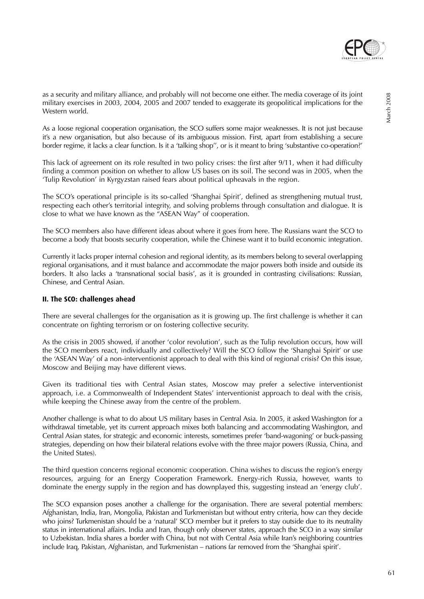

as a security and military alliance, and probably will not become one either. The media coverage of its joint military exercises in 2003, 2004, 2005 and 2007 tended to exaggerate its geopolitical implications for the Western world.

As a loose regional cooperation organisation, the SCO suffers some major weaknesses. It is not just because it's a new organisation, but also because of its ambiguous mission. First, apart from establishing a secure border regime, it lacks a clear function. Is it a 'talking shop'', or is it meant to bring 'substantive co-operation?'

This lack of agreement on its role resulted in two policy crises: the first after 9/11, when it had difficulty finding a common position on whether to allow US bases on its soil. The second was in 2005, when the 'Tulip Revolution' in Kyrgyzstan raised fears about political upheavals in the region.

The SCO's operational principle is its so-called 'Shanghai Spirit', defined as strengthening mutual trust, respecting each other's territorial integrity, and solving problems through consultation and dialogue. It is close to what we have known as the "ASEAN Way" of cooperation.

The SCO members also have different ideas about where it goes from here. The Russians want the SCO to become a body that boosts security cooperation, while the Chinese want it to build economic integration.

Currently it lacks proper internal cohesion and regional identity, as its members belong to several overlapping regional organisations, and it must balance and accommodate the major powers both inside and outside its borders. It also lacks a 'transnational social basis', as it is grounded in contrasting civilisations: Russian, Chinese, and Central Asian.

### **II. The SCO: challenges ahead**

There are several challenges for the organisation as it is growing up. The first challenge is whether it can concentrate on fighting terrorism or on fostering collective security.

As the crisis in 2005 showed, if another 'color revolution', such as the Tulip revolution occurs, how will the SCO members react, individually and collectively? Will the SCO follow the 'Shanghai Spirit' or use the 'ASEAN Way' of a non-interventionist approach to deal with this kind of regional crisis? On this issue, Moscow and Beijing may have different views.

Given its traditional ties with Central Asian states, Moscow may prefer a selective interventionist approach, i.e. a Commonwealth of Independent States' interventionist approach to deal with the crisis, while keeping the Chinese away from the centre of the problem.

Another challenge is what to do about US military bases in Central Asia. In 2005, it asked Washington for a withdrawal timetable, yet its current approach mixes both balancing and accommodating Washington, and Central Asian states, for strategic and economic interests, sometimes prefer 'band-wagoning' or buck-passing strategies, depending on how their bilateral relations evolve with the three major powers (Russia, China, and the United States).

The third question concerns regional economic cooperation. China wishes to discuss the region's energy resources, arguing for an Energy Cooperation Framework. Energy-rich Russia, however, wants to dominate the energy supply in the region and has downplayed this, suggesting instead an 'energy club'.

The SCO expansion poses another a challenge for the organisation. There are several potential members: Afghanistan, India, Iran, Mongolia, Pakistan and Turkmenistan but without entry criteria, how can they decide who joins? Turkmenistan should be a 'natural' SCO member but it prefers to stay outside due to its neutrality status in international affairs. India and Iran, though only observer states, approach the SCO in a way similar to Uzbekistan. India shares a border with China, but not with Central Asia while Iran's neighboring countries include Iraq, Pakistan, Afghanistan, and Turkmenistan – nations far removed from the 'Shanghai spirit'.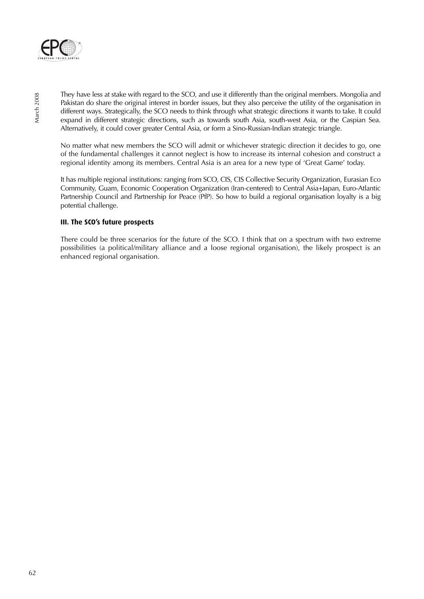

They have less at stake with regard to the SCO, and use it differently than the original members. Mongolia and Pakistan do share the original interest in border issues, but they also perceive the utility of the organisation in different ways. Strategically, the SCO needs to think through what strategic directions it wants to take. It could expand in different strategic directions, such as towards south Asia, south-west Asia, or the Caspian Sea. Alternatively, it could cover greater Central Asia, or form a Sino-Russian-Indian strategic triangle.

No matter what new members the SCO will admit or whichever strategic direction it decides to go, one of the fundamental challenges it cannot neglect is how to increase its internal cohesion and construct a regional identity among its members. Central Asia is an area for a new type of 'Great Game' today.

It has multiple regional institutions: ranging from SCO, CIS, CIS Collective Security Organization, Eurasian Eco Community, Guam, Economic Cooperation Organization (Iran-centered) to Central Asia+Japan, Euro-Atlantic Partnership Council and Partnership for Peace (PfP). So how to build a regional organisation loyalty is a big potential challenge.

# **III. The SCO's future prospects**

There could be three scenarios for the future of the SCO. I think that on a spectrum with two extreme possibilities (a political/military alliance and a loose regional organisation), the likely prospect is an enhanced regional organisation.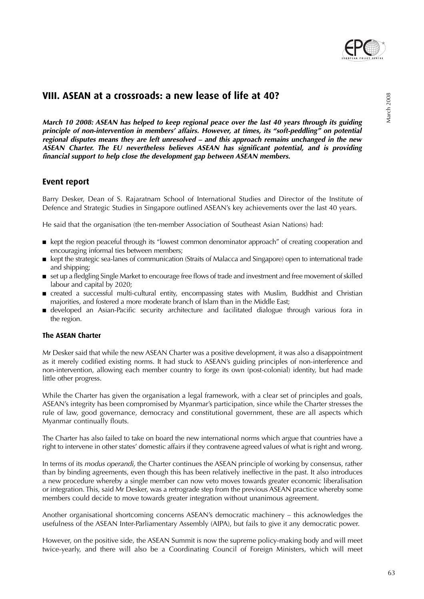

# **VIII. ASEAN at a crossroads: a new lease of life at 40?**

**March 10 2008: ASEAN has helped to keep regional peace over the last 40 years through its guiding principle of non-intervention in members' affairs. However, at times, its "soft-peddling" on potential regional disputes means they are left unresolved – and this approach remains unchanged in the new ASEAN Charter. The EU nevertheless believes ASEAN has significant potential, and is providing financial support to help close the development gap between ASEAN members.**

# **Event report**

Barry Desker, Dean of S. Rajaratnam School of International Studies and Director of the Institute of Defence and Strategic Studies in Singapore outlined ASEAN's key achievements over the last 40 years.

He said that the organisation (the ten-member Association of Southeast Asian Nations) had:

- kept the region peaceful through its "lowest common denominator approach" of creating cooperation and encouraging informal ties between members;
- kept the strategic sea-lanes of communication (Straits of Malacca and Singapore) open to international trade and shipping;
- set up a fledgling Single Market to encourage free flows of trade and investment and free movement of skilled labour and capital by 2020;
- created a successful multi-cultural entity, encompassing states with Muslim, Buddhist and Christian majorities, and fostered a more moderate branch of Islam than in the Middle East;
- developed an Asian-Pacific security architecture and facilitated dialogue through various fora in the region.

# **The ASEAN Charter**

Mr Desker said that while the new ASEAN Charter was a positive development, it was also a disappointment as it merely codified existing norms. It had stuck to ASEAN's guiding principles of non-interference and non-intervention, allowing each member country to forge its own (post-colonial) identity, but had made little other progress.

While the Charter has given the organisation a legal framework, with a clear set of principles and goals, ASEAN's integrity has been compromised by Myanmar's participation, since while the Charter stresses the rule of law, good governance, democracy and constitutional government, these are all aspects which Myanmar continually flouts.

The Charter has also failed to take on board the new international norms which argue that countries have a right to intervene in other states' domestic affairs if they contravene agreed values of what is right and wrong.

In terms of its modus operandi, the Charter continues the ASEAN principle of working by consensus, rather than by binding agreements, even though this has been relatively ineffective in the past. It also introduces a new procedure whereby a single member can now veto moves towards greater economic liberalisation or integration. This, said Mr Desker, was a retrograde step from the previous ASEAN practice whereby some members could decide to move towards greater integration without unanimous agreement.

Another organisational shortcoming concerns ASEAN's democratic machinery – this acknowledges the usefulness of the ASEAN Inter-Parliamentary Assembly (AIPA), but fails to give it any democratic power.

However, on the positive side, the ASEAN Summit is now the supreme policy-making body and will meet twice-yearly, and there will also be a Coordinating Council of Foreign Ministers, which will meet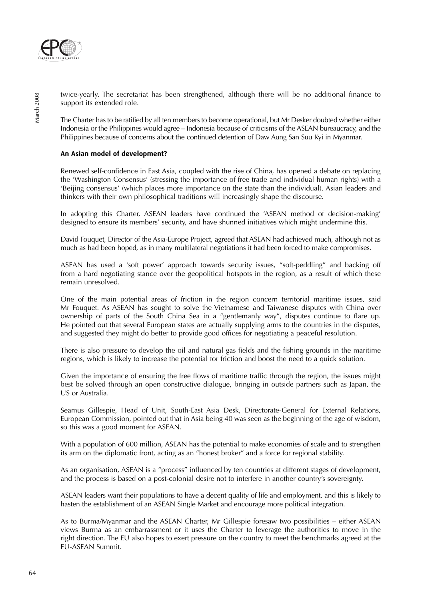

twice-yearly. The secretariat has been strengthened, although there will be no additional finance to support its extended role.

The Charter has to be ratified by all ten members to become operational, but Mr Desker doubted whether either Indonesia or the Philippines would agree – Indonesia because of criticisms of the ASEAN bureaucracy, and the Philippines because of concerns about the continued detention of Daw Aung San Suu Kyi in Myanmar.

# **An Asian model of development?**

Renewed self-confidence in East Asia, coupled with the rise of China, has opened a debate on replacing the 'Washington Consensus' (stressing the importance of free trade and individual human rights) with a 'Beijing consensus' (which places more importance on the state than the individual). Asian leaders and thinkers with their own philosophical traditions will increasingly shape the discourse.

In adopting this Charter, ASEAN leaders have continued the 'ASEAN method of decision-making' designed to ensure its members' security, and have shunned initiatives which might undermine this.

David Fouquet, Director of the Asia-Europe Project, agreed that ASEAN had achieved much, although not as much as had been hoped, as in many multilateral negotiations it had been forced to make compromises.

ASEAN has used a 'soft power' approach towards security issues, "soft-peddling" and backing off from a hard negotiating stance over the geopolitical hotspots in the region, as a result of which these remain unresolved.

One of the main potential areas of friction in the region concern territorial maritime issues, said Mr Fouquet. As ASEAN has sought to solve the Vietnamese and Taiwanese disputes with China over ownership of parts of the South China Sea in a "gentlemanly way", disputes continue to flare up. He pointed out that several European states are actually supplying arms to the countries in the disputes, and suggested they might do better to provide good offices for negotiating a peaceful resolution.

There is also pressure to develop the oil and natural gas fields and the fishing grounds in the maritime regions, which is likely to increase the potential for friction and boost the need to a quick solution.

Given the importance of ensuring the free flows of maritime traffic through the region, the issues might best be solved through an open constructive dialogue, bringing in outside partners such as Japan, the US or Australia.

Seamus Gillespie, Head of Unit, South-East Asia Desk, Directorate-General for External Relations, European Commission, pointed out that in Asia being 40 was seen as the beginning of the age of wisdom, so this was a good moment for ASEAN.

With a population of 600 million, ASEAN has the potential to make economies of scale and to strengthen its arm on the diplomatic front, acting as an "honest broker" and a force for regional stability.

As an organisation, ASEAN is a "process" influenced by ten countries at different stages of development, and the process is based on a post-colonial desire not to interfere in another country's sovereignty.

ASEAN leaders want their populations to have a decent quality of life and employment, and this is likely to hasten the establishment of an ASEAN Single Market and encourage more political integration.

As to Burma/Myanmar and the ASEAN Charter, Mr Gillespie foresaw two possibilities – either ASEAN views Burma as an embarrassment or it uses the Charter to leverage the authorities to move in the right direction. The EU also hopes to exert pressure on the country to meet the benchmarks agreed at the EU-ASEAN Summit.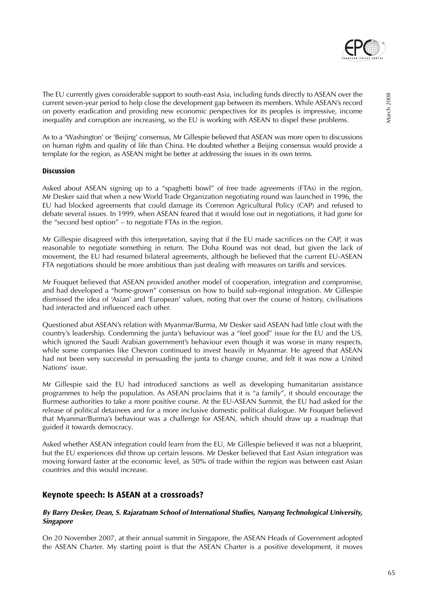

The EU currently gives considerable support to south-east Asia, including funds directly to ASEAN over the current seven-year period to help close the development gap between its members. While ASEAN's record on poverty eradication and providing new economic perspectives for its peoples is impressive, income inequality and corruption are increasing, so the EU is working with ASEAN to dispel these problems.

As to a 'Washington' or 'Beijing' consensus, Mr Gillespie believed that ASEAN was more open to discussions on human rights and quality of life than China. He doubted whether a Beijing consensus would provide a template for the region, as ASEAN might be better at addressing the issues in its own terms.

### **Discussion**

Asked about ASEAN signing up to a "spaghetti bowl" of free trade agreements (FTAs) in the region, Mr Desker said that when a new World Trade Organization negotiating round was launched in 1996, the EU had blocked agreements that could damage its Common Agricultural Policy (CAP) and refused to debate several issues. In 1999, when ASEAN feared that it would lose out in negotiations, it had gone for the "second best option" – to negotiate FTAs in the region.

Mr Gillespie disagreed with this interpretation, saying that if the EU made sacrifices on the CAP, it was reasonable to negotiate something in return. The Doha Round was not dead, but given the lack of movement, the EU had resumed bilateral agreements, although he believed that the current EU-ASEAN FTA negotiations should be more ambitious than just dealing with measures on tariffs and services.

Mr Fouquet believed that ASEAN provided another model of cooperation, integration and compromise, and had developed a "home-grown" consensus on how to build sub-regional integration. Mr Gillespie dismissed the idea of 'Asian' and 'European' values, noting that over the course of history, civilisations had interacted and influenced each other.

Questioned abut ASEAN's relation with Myanmar/Burma, Mr Desker said ASEAN had little clout with the country's leadership. Condemning the junta's behaviour was a "feel good" issue for the EU and the US, which ignored the Saudi Arabian government's behaviour even though it was worse in many respects, while some companies like Chevron continued to invest heavily in Myanmar. He agreed that ASEAN had not been very successful in persuading the junta to change course, and felt it was now a United Nations' issue.

Mr Gillespie said the EU had introduced sanctions as well as developing humanitarian assistance programmes to help the population. As ASEAN proclaims that it is "a family", it should encourage the Burmese authorities to take a more positive course. At the EU-ASEAN Summit, the EU had asked for the release of political detainees and for a more inclusive domestic political dialogue. Mr Fouquet believed that Myanmar/Burma's behaviour was a challenge for ASEAN, which should draw up a roadmap that guided it towards democracy.

Asked whether ASEAN integration could learn from the EU, Mr Gillespie believed it was not a blueprint, but the EU experiences did throw up certain lessons. Mr Desker believed that East Asian integration was moving forward faster at the economic level, as 50% of trade within the region was between east Asian countries and this would increase.

# **Keynote speech: Is ASEAN at a crossroads?**

# **By Barry Desker, Dean, S. Rajaratnam School of International Studies, Nanyang Technological University, Singapore**

On 20 November 2007, at their annual summit in Singapore, the ASEAN Heads of Government adopted the ASEAN Charter. My starting point is that the ASEAN Charter is a positive development, it moves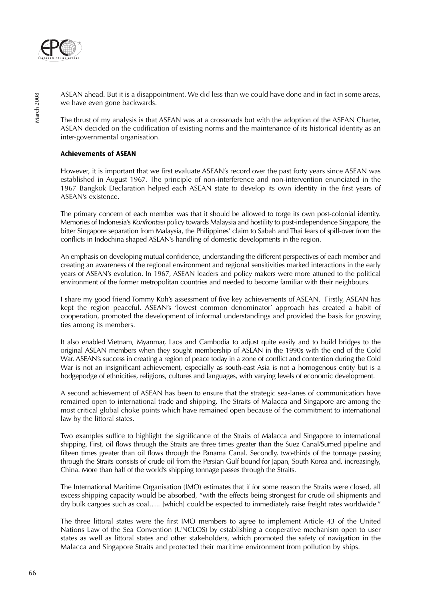

ASEAN ahead. But it is a disappointment. We did less than we could have done and in fact in some areas, we have even gone backwards.

The thrust of my analysis is that ASEAN was at a crossroads but with the adoption of the ASEAN Charter, ASEAN decided on the codification of existing norms and the maintenance of its historical identity as an inter-governmental organisation.

# **Achievements of ASEAN**

However, it is important that we first evaluate ASEAN's record over the past forty years since ASEAN was established in August 1967. The principle of non-interference and non-intervention enunciated in the 1967 Bangkok Declaration helped each ASEAN state to develop its own identity in the first vears of ASEAN's existence.

The primary concern of each member was that it should be allowed to forge its own post-colonial identity. Memories of Indonesia's Konfrontasi policy towards Malaysia and hostility to post-independence Singapore, the bitter Singapore separation from Malaysia, the Philippines' claim to Sabah and Thai fears of spill-over from the conflicts in Indochina shaped ASEAN's handling of domestic developments in the region.

An emphasis on developing mutual confidence, understanding the different perspectives of each member and creating an awareness of the regional environment and regional sensitivities marked interactions in the early years of ASEAN's evolution. In 1967, ASEAN leaders and policy makers were more attuned to the political environment of the former metropolitan countries and needed to become familiar with their neighbours.

I share my good friend Tommy Koh's assessment of five key achievements of ASEAN. Firstly, ASEAN has kept the region peaceful. ASEAN's 'lowest common denominator' approach has created a habit of cooperation, promoted the development of informal understandings and provided the basis for growing ties among its members.

It also enabled Vietnam, Myanmar, Laos and Cambodia to adjust quite easily and to build bridges to the original ASEAN members when they sought membership of ASEAN in the 1990s with the end of the Cold War. ASEAN's success in creating a region of peace today in a zone of conflict and contention during the Cold War is not an insignificant achievement, especially as south-east Asia is not a homogenous entity but is a hodgepodge of ethnicities, religions, cultures and languages, with varying levels of economic development.

A second achievement of ASEAN has been to ensure that the strategic sea-lanes of communication have remained open to international trade and shipping. The Straits of Malacca and Singapore are among the most critical global choke points which have remained open because of the commitment to international law by the littoral states.

Two examples suffice to highlight the significance of the Straits of Malacca and Singapore to international shipping. First, oil flows through the Straits are three times greater than the Suez Canal/Sumed pipeline and fifteen times greater than oil flows through the Panama Canal. Secondly, two-thirds of the tonnage passing through the Straits consists of crude oil from the Persian Gulf bound for Japan, South Korea and, increasingly, China. More than half of the world's shipping tonnage passes through the Straits.

The International Maritime Organisation (IMO) estimates that if for some reason the Straits were closed, all excess shipping capacity would be absorbed, "with the effects being strongest for crude oil shipments and dry bulk cargoes such as coal….. [which] could be expected to immediately raise freight rates worldwide."

The three littoral states were the first IMO members to agree to implement Article 43 of the United Nations Law of the Sea Convention (UNCLOS) by establishing a cooperative mechanism open to user states as well as littoral states and other stakeholders, which promoted the safety of navigation in the Malacca and Singapore Straits and protected their maritime environment from pollution by ships.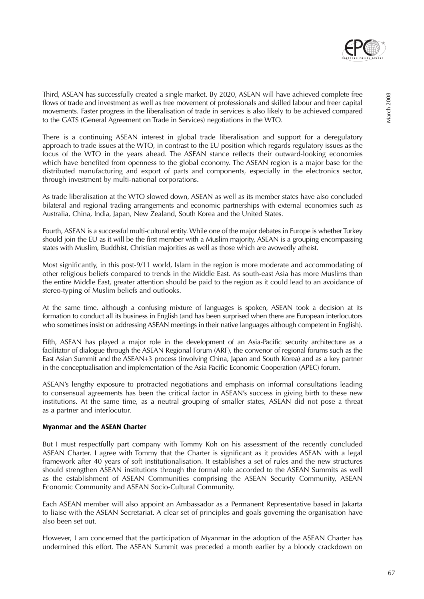

March 2008

March 2008

Third, ASEAN has successfully created a single market. By 2020, ASEAN will have achieved complete free flows of trade and investment as well as free movement of professionals and skilled labour and freer capital movements. Faster progress in the liberalisation of trade in services is also likely to be achieved compared to the GATS (General Agreement on Trade in Services) negotiations in the WTO.

There is a continuing ASEAN interest in global trade liberalisation and support for a deregulatory approach to trade issues at the WTO, in contrast to the EU position which regards regulatory issues as the focus of the WTO in the years ahead. The ASEAN stance reflects their outward-looking economies which have benefited from openness to the global economy. The ASEAN region is a major base for the distributed manufacturing and export of parts and components, especially in the electronics sector, through investment by multi-national corporations.

As trade liberalisation at the WTO slowed down, ASEAN as well as its member states have also concluded bilateral and regional trading arrangements and economic partnerships with external economies such as Australia, China, India, Japan, New Zealand, South Korea and the United States.

Fourth, ASEAN is a successful multi-cultural entity. While one of the major debates in Europe is whether Turkey should join the EU as it will be the first member with a Muslim majority, ASEAN is a grouping encompassing states with Muslim, Buddhist, Christian majorities as well as those which are avowedly atheist.

Most significantly, in this post-9/11 world, Islam in the region is more moderate and accommodating of other religious beliefs compared to trends in the Middle East. As south-east Asia has more Muslims than the entire Middle East, greater attention should be paid to the region as it could lead to an avoidance of stereo-typing of Muslim beliefs and outlooks.

At the same time, although a confusing mixture of languages is spoken, ASEAN took a decision at its formation to conduct all its business in English (and has been surprised when there are European interlocutors who sometimes insist on addressing ASEAN meetings in their native languages although competent in English).

Fifth, ASEAN has played a major role in the development of an Asia-Pacific security architecture as a facilitator of dialogue through the ASEAN Regional Forum (ARF), the convenor of regional forums such as the East Asian Summit and the ASEAN+3 process (involving China, Japan and South Korea) and as a key partner in the conceptualisation and implementation of the Asia Pacific Economic Cooperation (APEC) forum.

ASEAN's lengthy exposure to protracted negotiations and emphasis on informal consultations leading to consensual agreements has been the critical factor in ASEAN's success in giving birth to these new institutions. At the same time, as a neutral grouping of smaller states, ASEAN did not pose a threat as a partner and interlocutor.

# **Myanmar and the ASEAN Charter**

But I must respectfully part company with Tommy Koh on his assessment of the recently concluded ASEAN Charter. I agree with Tommy that the Charter is significant as it provides ASEAN with a legal framework after 40 years of soft institutionalisation. It establishes a set of rules and the new structures should strengthen ASEAN institutions through the formal role accorded to the ASEAN Summits as well as the establishment of ASEAN Communities comprising the ASEAN Security Community, ASEAN Economic Community and ASEAN Socio-Cultural Community.

Each ASEAN member will also appoint an Ambassador as a Permanent Representative based in Jakarta to liaise with the ASEAN Secretariat. A clear set of principles and goals governing the organisation have also been set out.

However, I am concerned that the participation of Myanmar in the adoption of the ASEAN Charter has undermined this effort. The ASEAN Summit was preceded a month earlier by a bloody crackdown on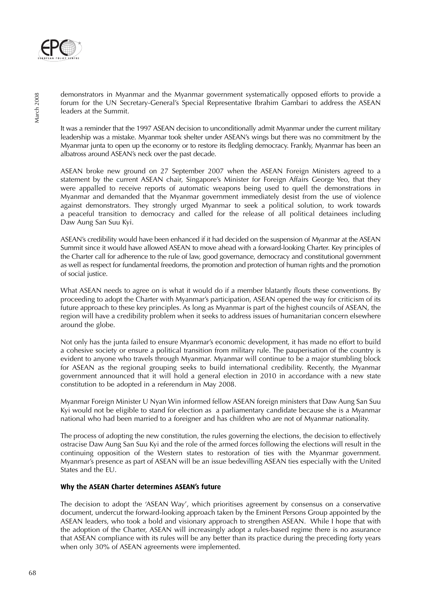

demonstrators in Myanmar and the Myanmar government systematically opposed efforts to provide a forum for the UN Secretary-General's Special Representative Ibrahim Gambari to address the ASEAN leaders at the Summit.

It was a reminder that the 1997 ASEAN decision to unconditionally admit Myanmar under the current military leadership was a mistake. Myanmar took shelter under ASEAN's wings but there was no commitment by the Myanmar junta to open up the economy or to restore its fledgling democracy. Frankly, Myanmar has been an albatross around ASEAN's neck over the past decade.

ASEAN broke new ground on 27 September 2007 when the ASEAN Foreign Ministers agreed to a statement by the current ASEAN chair, Singapore's Minister for Foreign Affairs George Yeo, that they were appalled to receive reports of automatic weapons being used to quell the demonstrations in Myanmar and demanded that the Myanmar government immediately desist from the use of violence against demonstrators. They strongly urged Myanmar to seek a political solution, to work towards a peaceful transition to democracy and called for the release of all political detainees including Daw Aung San Suu Kyi.

ASEAN's credibility would have been enhanced if it had decided on the suspension of Myanmar at the ASEAN Summit since it would have allowed ASEAN to move ahead with a forward-looking Charter. Key principles of the Charter call for adherence to the rule of law, good governance, democracy and constitutional government as well as respect for fundamental freedoms, the promotion and protection of human rights and the promotion of social justice.

What ASEAN needs to agree on is what it would do if a member blatantly flouts these conventions. By proceeding to adopt the Charter with Myanmar's participation, ASEAN opened the way for criticism of its future approach to these key principles. As long as Myanmar is part of the highest councils of ASEAN, the region will have a credibility problem when it seeks to address issues of humanitarian concern elsewhere around the globe.

Not only has the junta failed to ensure Myanmar's economic development, it has made no effort to build a cohesive society or ensure a political transition from military rule. The pauperisation of the country is evident to anyone who travels through Myanmar. Myanmar will continue to be a major stumbling block for ASEAN as the regional grouping seeks to build international credibility. Recently, the Myanmar government announced that it will hold a general election in 2010 in accordance with a new state constitution to be adopted in a referendum in May 2008.

Myanmar Foreign Minister U Nyan Win informed fellow ASEAN foreign ministers that Daw Aung San Suu Kyi would not be eligible to stand for election as a parliamentary candidate because she is a Myanmar national who had been married to a foreigner and has children who are not of Myanmar nationality.

The process of adopting the new constitution, the rules governing the elections, the decision to effectively ostracise Daw Aung San Suu Kyi and the role of the armed forces following the elections will result in the continuing opposition of the Western states to restoration of ties with the Myanmar government. Myanmar's presence as part of ASEAN will be an issue bedevilling ASEAN ties especially with the United States and the EU.

# **Why the ASEAN Charter determines ASEAN's future**

The decision to adopt the 'ASEAN Way', which prioritises agreement by consensus on a conservative document, undercut the forward-looking approach taken by the Eminent Persons Group appointed by the ASEAN leaders, who took a bold and visionary approach to strengthen ASEAN. While I hope that with the adoption of the Charter, ASEAN will increasingly adopt a rules-based regime there is no assurance that ASEAN compliance with its rules will be any better than its practice during the preceding forty years when only 30% of ASEAN agreements were implemented.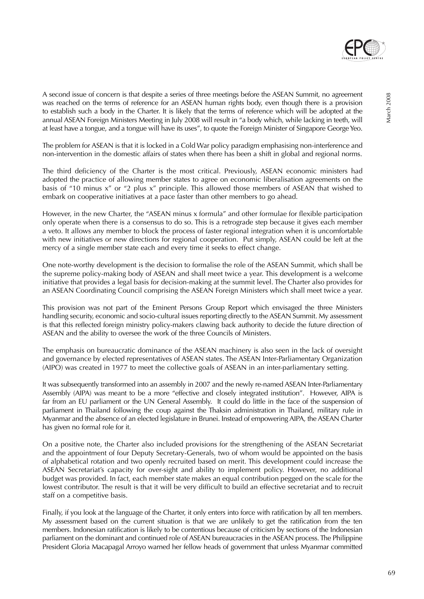

A second issue of concern is that despite a series of three meetings before the ASEAN Summit, no agreement was reached on the terms of reference for an ASEAN human rights body, even though there is a provision to establish such a body in the Charter. It is likely that the terms of reference which will be adopted at the annual ASEAN Foreign Ministers Meeting in July 2008 will result in "a body which, while lacking in teeth, will at least have a tongue, and a tongue will have its uses", to quote the Foreign Minister of Singapore George Yeo.

The problem for ASEAN is that it is locked in a Cold War policy paradigm emphasising non-interference and non-intervention in the domestic affairs of states when there has been a shift in global and regional norms.

The third deficiency of the Charter is the most critical. Previously, ASEAN economic ministers had adopted the practice of allowing member states to agree on economic liberalisation agreements on the basis of "10 minus x" or "2 plus x" principle. This allowed those members of ASEAN that wished to embark on cooperative initiatives at a pace faster than other members to go ahead.

However, in the new Charter, the "ASEAN minus x formula" and other formulae for flexible participation only operate when there is a consensus to do so. This is a retrograde step because it gives each member a veto. It allows any member to block the process of faster regional integration when it is uncomfortable with new initiatives or new directions for regional cooperation. Put simply, ASEAN could be left at the mercy of a single member state each and every time it seeks to effect change.

One note-worthy development is the decision to formalise the role of the ASEAN Summit, which shall be the supreme policy-making body of ASEAN and shall meet twice a year. This development is a welcome initiative that provides a legal basis for decision-making at the summit level. The Charter also provides for an ASEAN Coordinating Council comprising the ASEAN Foreign Ministers which shall meet twice a year.

This provision was not part of the Eminent Persons Group Report which envisaged the three Ministers handling security, economic and socio-cultural issues reporting directly to the ASEAN Summit. My assessment is that this reflected foreign ministry policy-makers clawing back authority to decide the future direction of ASEAN and the ability to oversee the work of the three Councils of Ministers.

The emphasis on bureaucratic dominance of the ASEAN machinery is also seen in the lack of oversight and governance by elected representatives of ASEAN states. The ASEAN Inter-Parliamentary Organization (AIPO) was created in 1977 to meet the collective goals of ASEAN in an inter-parliamentary setting.

It was subsequently transformed into an assembly in 2007 and the newly re-named ASEAN Inter-Parliamentary Assembly (AIPA) was meant to be a more "effective and closely integrated institution". However, AIPA is far from an EU parliament or the UN General Assembly. It could do little in the face of the suspension of parliament in Thailand following the coup against the Thaksin administration in Thailand, military rule in Myanmar and the absence of an elected legislature in Brunei. Instead of empowering AIPA, the ASEAN Charter has given no formal role for it.

On a positive note, the Charter also included provisions for the strengthening of the ASEAN Secretariat and the appointment of four Deputy Secretary-Generals, two of whom would be appointed on the basis of alphabetical rotation and two openly recruited based on merit. This development could increase the ASEAN Secretariat's capacity for over-sight and ability to implement policy. However, no additional budget was provided. In fact, each member state makes an equal contribution pegged on the scale for the lowest contributor. The result is that it will be very difficult to build an effective secretariat and to recruit staff on a competitive basis.

Finally, if you look at the language of the Charter, it only enters into force with ratification by all ten members. My assessment based on the current situation is that we are unlikely to get the ratification from the ten members. Indonesian ratification is likely to be contentious because of criticism by sections of the Indonesian parliament on the dominant and continued role of ASEAN bureaucracies in the ASEAN process. The Philippine President Gloria Macapagal Arroyo warned her fellow heads of government that unless Myanmar committed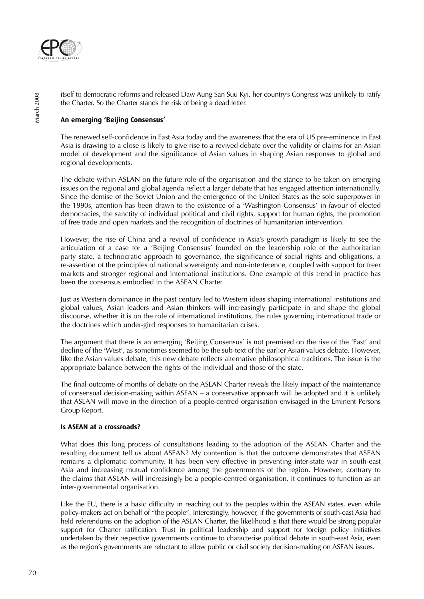

itself to democratic reforms and released Daw Aung San Suu Kyi, her country's Congress was unlikely to ratify the Charter. So the Charter stands the risk of being a dead letter.

# **An emerging 'Beijing Consensus'**

The renewed self-confidence in East Asia today and the awareness that the era of US pre-eminence in East Asia is drawing to a close is likely to give rise to a revived debate over the validity of claims for an Asian model of development and the significance of Asian values in shaping Asian responses to global and regional developments.

The debate within ASEAN on the future role of the organisation and the stance to be taken on emerging issues on the regional and global agenda reflect a larger debate that has engaged attention internationally. Since the demise of the Soviet Union and the emergence of the United States as the sole superpower in the 1990s, attention has been drawn to the existence of a 'Washington Consensus' in favour of elected democracies, the sanctity of individual political and civil rights, support for human rights, the promotion of free trade and open markets and the recognition of doctrines of humanitarian intervention.

However, the rise of China and a revival of confidence in Asia's growth paradigm is likely to see the articulation of a case for a 'Beijing Consensus' founded on the leadership role of the authoritarian party state, a technocratic approach to governance, the significance of social rights and obligations, a re-assertion of the principles of national sovereignty and non-interference, coupled with support for freer markets and stronger regional and international institutions. One example of this trend in practice has been the consensus embodied in the ASEAN Charter.

Just as Western dominance in the past century led to Western ideas shaping international institutions and global values, Asian leaders and Asian thinkers will increasingly participate in and shape the global discourse, whether it is on the role of international institutions, the rules governing international trade or the doctrines which under-gird responses to humanitarian crises.

The argument that there is an emerging 'Beijing Consensus' is not premised on the rise of the 'East' and decline of the 'West', as sometimes seemed to be the sub-text of the earlier Asian values debate. However, like the Asian values debate, this new debate reflects alternative philosophical traditions. The issue is the appropriate balance between the rights of the individual and those of the state.

The final outcome of months of debate on the ASEAN Charter reveals the likely impact of the maintenance of consensual decision-making within ASEAN – a conservative approach will be adopted and it is unlikely that ASEAN will move in the direction of a people-centred organisation envisaged in the Eminent Persons Group Report.

# **Is ASEAN at a crossroads?**

What does this long process of consultations leading to the adoption of the ASEAN Charter and the resulting document tell us about ASEAN? My contention is that the outcome demonstrates that ASEAN remains a diplomatic community. It has been very effective in preventing inter-state war in south-east Asia and increasing mutual confidence among the governments of the region. However, contrary to the claims that ASEAN will increasingly be a people-centred organisation, it continues to function as an inter-governmental organisation.

Like the EU, there is a basic difficulty in reaching out to the peoples within the ASEAN states, even while policy-makers act on behalf of "the people". Interestingly, however, if the governments of south-east Asia had held referendums on the adoption of the ASEAN Charter, the likelihood is that there would be strong popular support for Charter ratification. Trust in political leadership and support for foreign policy initiatives undertaken by their respective governments continue to characterise political debate in south-east Asia, even as the region's governments are reluctant to allow public or civil society decision-making on ASEAN issues.